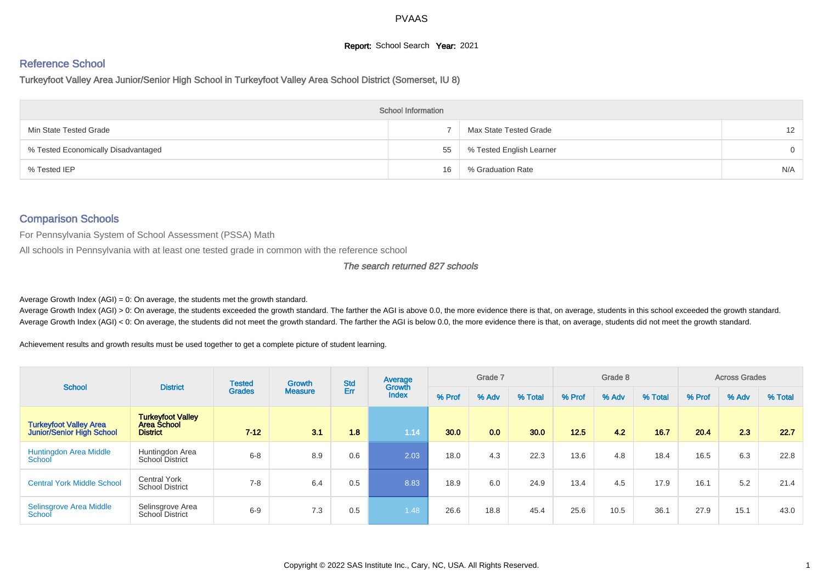### **Report:** School Search **Year:** 2021

## Reference School

Turkeyfoot Valley Area Junior/Senior High School in Turkeyfoot Valley Area School District (Somerset, IU 8)

|                                     | <b>School Information</b> |                          |                   |
|-------------------------------------|---------------------------|--------------------------|-------------------|
| Min State Tested Grade              |                           | Max State Tested Grade   | $12 \overline{ }$ |
| % Tested Economically Disadvantaged | 55                        | % Tested English Learner | $\Omega$          |
| % Tested IEP                        | 16                        | % Graduation Rate        | N/A               |

### Comparison Schools

For Pennsylvania System of School Assessment (PSSA) Math

All schools in Pennsylvania with at least one tested grade in common with the reference school

#### The search returned 827 schools

Average Growth Index  $(AGI) = 0$ : On average, the students met the growth standard.

Average Growth Index (AGI) > 0: On average, the students exceeded the growth standard. The farther the AGI is above 0.0, the more evidence there is that, on average, students in this school exceeded the growth standard. Average Growth Index (AGI) < 0: On average, the students did not meet the growth standard. The farther the AGI is below 0.0, the more evidence there is that, on average, students did not meet the growth standard.

Achievement results and growth results must be used together to get a complete picture of student learning.

| <b>School</b>                                              | <b>District</b>                                            | <b>Tested</b> | <b>Growth</b>  | <b>Std</b> | Average                |        | Grade 7 |         |        | Grade 8 |         |        | <b>Across Grades</b> |         |
|------------------------------------------------------------|------------------------------------------------------------|---------------|----------------|------------|------------------------|--------|---------|---------|--------|---------|---------|--------|----------------------|---------|
|                                                            |                                                            | <b>Grades</b> | <b>Measure</b> | Err        | Growth<br><b>Index</b> | % Prof | % Adv   | % Total | % Prof | % Adv   | % Total | % Prof | % Adv                | % Total |
| <b>Turkeyfoot Valley Area</b><br>Junior/Senior High School | <b>Turkeyfoot Valley</b><br>Area School<br><b>District</b> | $7 - 12$      | 3.1            | 1.8        | 1.14                   | 30.0   | 0.0     | 30.0    | 12.5   | 4.2     | 16.7    | 20.4   | 2.3                  | 22.7    |
| <b>Huntingdon Area Middle</b><br>School                    | Huntingdon Area<br>School District                         | $6 - 8$       | 8.9            | 0.6        | 2.03                   | 18.0   | 4.3     | 22.3    | 13.6   | 4.8     | 18.4    | 16.5   | 6.3                  | 22.8    |
| <b>Central York Middle School</b>                          | <b>Central York</b><br><b>School District</b>              | $7 - 8$       | 6.4            | 0.5        | 8.83                   | 18.9   | 6.0     | 24.9    | 13.4   | 4.5     | 17.9    | 16.1   | 5.2                  | 21.4    |
| Selinsgrove Area Middle<br>School                          | Selinsgrove Area<br>School District                        | $6-9$         | 7.3            | 0.5        | 1.481                  | 26.6   | 18.8    | 45.4    | 25.6   | 10.5    | 36.1    | 27.9   | 15.1                 | 43.0    |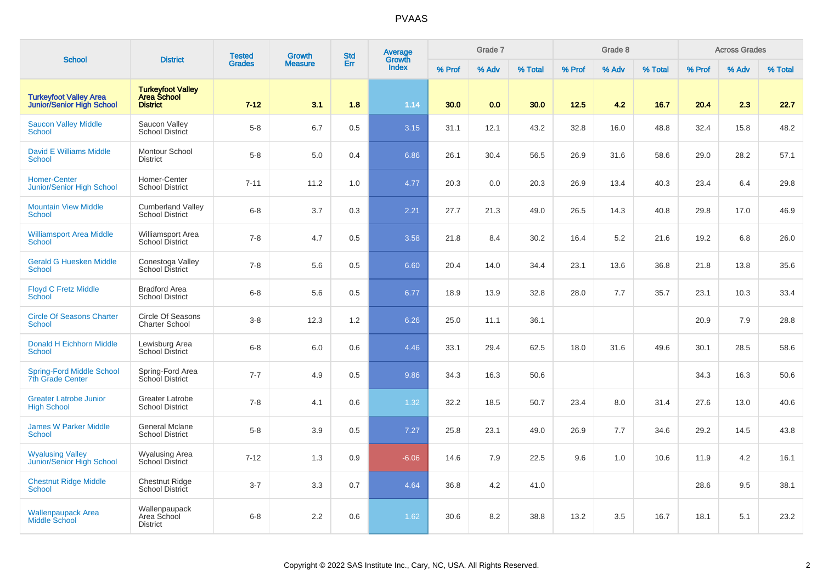| <b>School</b>                                                     | <b>District</b>                                                   | <b>Tested</b> | <b>Growth</b>  | <b>Std</b> | Average<br>Growth |        | Grade 7 |         |        | Grade 8 |         |        | <b>Across Grades</b> |         |
|-------------------------------------------------------------------|-------------------------------------------------------------------|---------------|----------------|------------|-------------------|--------|---------|---------|--------|---------|---------|--------|----------------------|---------|
|                                                                   |                                                                   | <b>Grades</b> | <b>Measure</b> | Err        | Index             | % Prof | % Adv   | % Total | % Prof | % Adv   | % Total | % Prof | % Adv                | % Total |
| <b>Turkeyfoot Valley Area</b><br><b>Junior/Senior High School</b> | <b>Turkeyfoot Valley</b><br><b>Area School</b><br><b>District</b> | $7 - 12$      | 3.1            | 1.8        | 1.14              | 30.0   | 0.0     | 30.0    | 12.5   | 4.2     | 16.7    | 20.4   | 2.3                  | 22.7    |
| <b>Saucon Valley Middle</b><br><b>School</b>                      | Saucon Valley<br>School District                                  | $5-8$         | 6.7            | 0.5        | 3.15              | 31.1   | 12.1    | 43.2    | 32.8   | 16.0    | 48.8    | 32.4   | 15.8                 | 48.2    |
| <b>David E Williams Middle</b><br><b>School</b>                   | Montour School<br><b>District</b>                                 | $5-8$         | 5.0            | 0.4        | 6.86              | 26.1   | 30.4    | 56.5    | 26.9   | 31.6    | 58.6    | 29.0   | 28.2                 | 57.1    |
| <b>Homer-Center</b><br><b>Junior/Senior High School</b>           | Homer-Center<br><b>School District</b>                            | $7 - 11$      | 11.2           | 1.0        | 4.77              | 20.3   | 0.0     | 20.3    | 26.9   | 13.4    | 40.3    | 23.4   | 6.4                  | 29.8    |
| <b>Mountain View Middle</b><br><b>School</b>                      | <b>Cumberland Valley</b><br><b>School District</b>                | $6 - 8$       | 3.7            | 0.3        | 2.21              | 27.7   | 21.3    | 49.0    | 26.5   | 14.3    | 40.8    | 29.8   | 17.0                 | 46.9    |
| <b>Williamsport Area Middle</b><br><b>School</b>                  | <b>Williamsport Area</b><br><b>School District</b>                | $7 - 8$       | 4.7            | 0.5        | 3.58              | 21.8   | 8.4     | 30.2    | 16.4   | 5.2     | 21.6    | 19.2   | 6.8                  | 26.0    |
| <b>Gerald G Huesken Middle</b><br><b>School</b>                   | Conestoga Valley<br><b>School District</b>                        | $7 - 8$       | 5.6            | 0.5        | 6.60              | 20.4   | 14.0    | 34.4    | 23.1   | 13.6    | 36.8    | 21.8   | 13.8                 | 35.6    |
| <b>Floyd C Fretz Middle</b><br>School                             | <b>Bradford Area</b><br><b>School District</b>                    | $6 - 8$       | 5.6            | 0.5        | 6.77              | 18.9   | 13.9    | 32.8    | 28.0   | 7.7     | 35.7    | 23.1   | 10.3                 | 33.4    |
| <b>Circle Of Seasons Charter</b><br>School                        | Circle Of Seasons<br><b>Charter School</b>                        | $3-8$         | 12.3           | 1.2        | 6.26              | 25.0   | 11.1    | 36.1    |        |         |         | 20.9   | 7.9                  | 28.8    |
| Donald H Eichhorn Middle<br><b>School</b>                         | Lewisburg Area<br><b>School District</b>                          | $6 - 8$       | 6.0            | 0.6        | 4.46              | 33.1   | 29.4    | 62.5    | 18.0   | 31.6    | 49.6    | 30.1   | 28.5                 | 58.6    |
| <b>Spring-Ford Middle School</b><br><b>7th Grade Center</b>       | Spring-Ford Area<br>School District                               | $7 - 7$       | 4.9            | 0.5        | 9.86              | 34.3   | 16.3    | 50.6    |        |         |         | 34.3   | 16.3                 | 50.6    |
| <b>Greater Latrobe Junior</b><br><b>High School</b>               | <b>Greater Latrobe</b><br><b>School District</b>                  | $7 - 8$       | 4.1            | 0.6        | 1.32              | 32.2   | 18.5    | 50.7    | 23.4   | 8.0     | 31.4    | 27.6   | 13.0                 | 40.6    |
| <b>James W Parker Middle</b><br><b>School</b>                     | <b>General Mclane</b><br><b>School District</b>                   | $5-8$         | 3.9            | 0.5        | 7.27              | 25.8   | 23.1    | 49.0    | 26.9   | 7.7     | 34.6    | 29.2   | 14.5                 | 43.8    |
| <b>Wyalusing Valley</b><br>Junior/Senior High School              | Wyalusing Area<br>School District                                 | $7 - 12$      | 1.3            | 0.9        | $-6.06$           | 14.6   | 7.9     | 22.5    | 9.6    | 1.0     | 10.6    | 11.9   | 4.2                  | 16.1    |
| <b>Chestnut Ridge Middle</b><br><b>School</b>                     | <b>Chestnut Ridge</b><br><b>School District</b>                   | $3 - 7$       | 3.3            | 0.7        | 4.64              | 36.8   | 4.2     | 41.0    |        |         |         | 28.6   | 9.5                  | 38.1    |
| <b>Wallenpaupack Area</b><br>Middle School                        | Wallenpaupack<br>Area School<br><b>District</b>                   | $6 - 8$       | 2.2            | 0.6        | 1.62              | 30.6   | 8.2     | 38.8    | 13.2   | 3.5     | 16.7    | 18.1   | 5.1                  | 23.2    |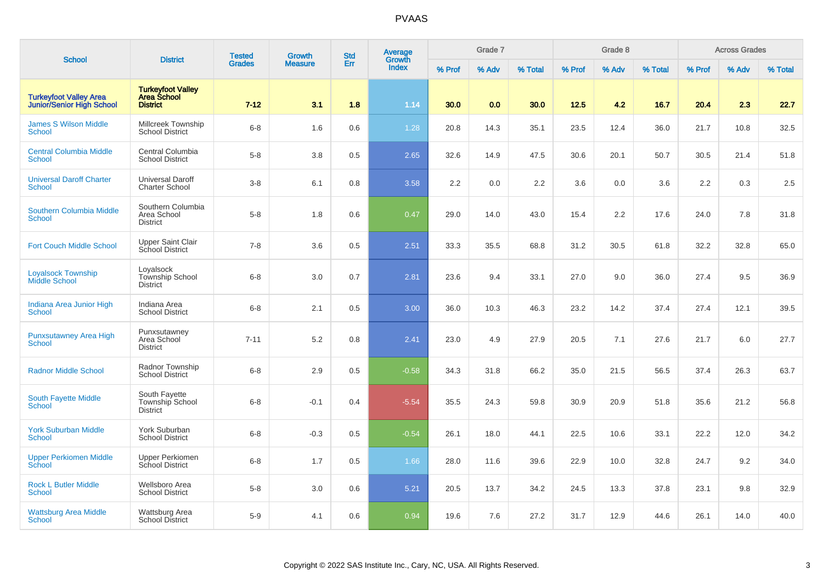| <b>School</b>                                                     | <b>District</b>                                                   | <b>Tested</b> | Growth         | <b>Std</b> | Average<br>Growth |        | Grade 7 |         |        | Grade 8 |         |        | <b>Across Grades</b> |         |
|-------------------------------------------------------------------|-------------------------------------------------------------------|---------------|----------------|------------|-------------------|--------|---------|---------|--------|---------|---------|--------|----------------------|---------|
|                                                                   |                                                                   | <b>Grades</b> | <b>Measure</b> | Err        | <b>Index</b>      | % Prof | % Adv   | % Total | % Prof | % Adv   | % Total | % Prof | % Adv                | % Total |
| <b>Turkeyfoot Valley Area</b><br><b>Junior/Senior High School</b> | <b>Turkeyfoot Valley</b><br><b>Area School</b><br><b>District</b> | $7 - 12$      | 3.1            | 1.8        | 1.14              | 30.0   | 0.0     | 30.0    | 12.5   | 4.2     | 16.7    | 20.4   | 2.3                  | 22.7    |
| <b>James S Wilson Middle</b><br><b>School</b>                     | Millcreek Township<br><b>School District</b>                      | $6 - 8$       | 1.6            | 0.6        | 1.28              | 20.8   | 14.3    | 35.1    | 23.5   | 12.4    | 36.0    | 21.7   | 10.8                 | 32.5    |
| <b>Central Columbia Middle</b><br><b>School</b>                   | Central Columbia<br><b>School District</b>                        | $5 - 8$       | 3.8            | 0.5        | 2.65              | 32.6   | 14.9    | 47.5    | 30.6   | 20.1    | 50.7    | 30.5   | 21.4                 | 51.8    |
| <b>Universal Daroff Charter</b><br><b>School</b>                  | <b>Universal Daroff</b><br><b>Charter School</b>                  | $3-8$         | 6.1            | 0.8        | 3.58              | 2.2    | 0.0     | 2.2     | 3.6    | 0.0     | 3.6     | 2.2    | 0.3                  | 2.5     |
| <b>Southern Columbia Middle</b><br><b>School</b>                  | Southern Columbia<br>Area School<br><b>District</b>               | $5 - 8$       | 1.8            | 0.6        | 0.47              | 29.0   | 14.0    | 43.0    | 15.4   | 2.2     | 17.6    | 24.0   | 7.8                  | 31.8    |
| <b>Fort Couch Middle School</b>                                   | <b>Upper Saint Clair</b><br>School District                       | $7 - 8$       | 3.6            | 0.5        | 2.51              | 33.3   | 35.5    | 68.8    | 31.2   | 30.5    | 61.8    | 32.2   | 32.8                 | 65.0    |
| <b>Loyalsock Township</b><br><b>Middle School</b>                 | Loyalsock<br>Township School<br><b>District</b>                   | $6 - 8$       | 3.0            | 0.7        | 2.81              | 23.6   | 9.4     | 33.1    | 27.0   | 9.0     | 36.0    | 27.4   | 9.5                  | 36.9    |
| Indiana Area Junior High<br><b>School</b>                         | Indiana Area<br><b>School District</b>                            | $6 - 8$       | 2.1            | 0.5        | 3.00              | 36.0   | 10.3    | 46.3    | 23.2   | 14.2    | 37.4    | 27.4   | 12.1                 | 39.5    |
| <b>Punxsutawney Area High</b><br><b>School</b>                    | Punxsutawney<br>Area School<br><b>District</b>                    | $7 - 11$      | 5.2            | 0.8        | 2.41              | 23.0   | 4.9     | 27.9    | 20.5   | 7.1     | 27.6    | 21.7   | 6.0                  | 27.7    |
| <b>Radnor Middle School</b>                                       | Radnor Township<br><b>School District</b>                         | $6 - 8$       | 2.9            | 0.5        | $-0.58$           | 34.3   | 31.8    | 66.2    | 35.0   | 21.5    | 56.5    | 37.4   | 26.3                 | 63.7    |
| <b>South Fayette Middle</b><br><b>School</b>                      | South Fayette<br>Township School<br><b>District</b>               | $6 - 8$       | $-0.1$         | 0.4        | $-5.54$           | 35.5   | 24.3    | 59.8    | 30.9   | 20.9    | 51.8    | 35.6   | 21.2                 | 56.8    |
| <b>York Suburban Middle</b><br>School                             | York Suburban<br><b>School District</b>                           | $6 - 8$       | $-0.3$         | 0.5        | $-0.54$           | 26.1   | 18.0    | 44.1    | 22.5   | 10.6    | 33.1    | 22.2   | 12.0                 | 34.2    |
| <b>Upper Perkiomen Middle</b><br>School                           | <b>Upper Perkiomen</b><br>School District                         | $6 - 8$       | 1.7            | 0.5        | 1.66              | 28.0   | 11.6    | 39.6    | 22.9   | 10.0    | 32.8    | 24.7   | 9.2                  | 34.0    |
| <b>Rock L Butler Middle</b><br><b>School</b>                      | Wellsboro Area<br><b>School District</b>                          | $5 - 8$       | 3.0            | 0.6        | 5.21              | 20.5   | 13.7    | 34.2    | 24.5   | 13.3    | 37.8    | 23.1   | 9.8                  | 32.9    |
| <b>Wattsburg Area Middle</b><br><b>School</b>                     | Wattsburg Area<br><b>School District</b>                          | $5-9$         | 4.1            | 0.6        | 0.94              | 19.6   | 7.6     | 27.2    | 31.7   | 12.9    | 44.6    | 26.1   | 14.0                 | 40.0    |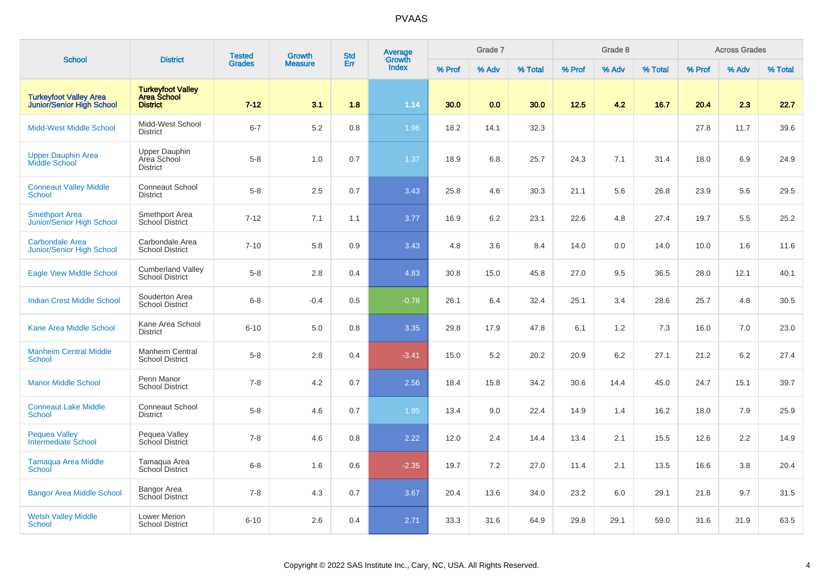| <b>School</b>                                                     | <b>District</b>                                                   | <b>Tested</b> | Growth         | <b>Std</b> | Average<br>Growth |        | Grade 7 |         |        | Grade 8 |         |        | <b>Across Grades</b> |         |
|-------------------------------------------------------------------|-------------------------------------------------------------------|---------------|----------------|------------|-------------------|--------|---------|---------|--------|---------|---------|--------|----------------------|---------|
|                                                                   |                                                                   | <b>Grades</b> | <b>Measure</b> | Err        | <b>Index</b>      | % Prof | % Adv   | % Total | % Prof | % Adv   | % Total | % Prof | % Adv                | % Total |
| <b>Turkeyfoot Valley Area</b><br><b>Junior/Senior High School</b> | <b>Turkeyfoot Valley</b><br><b>Area School</b><br><b>District</b> | $7 - 12$      | 3.1            | 1.8        | 1.14              | 30.0   | 0.0     | 30.0    | 12.5   | 4.2     | 16.7    | 20.4   | 2.3                  | 22.7    |
| <b>Midd-West Middle School</b>                                    | Midd-West School<br><b>District</b>                               | $6 - 7$       | 5.2            | 0.8        | 1.96              | 18.2   | 14.1    | 32.3    |        |         |         | 27.8   | 11.7                 | 39.6    |
| <b>Upper Dauphin Area</b><br>Middle School                        | Upper Dauphin<br>Area School<br><b>District</b>                   | $5 - 8$       | 1.0            | 0.7        | 1.37              | 18.9   | 6.8     | 25.7    | 24.3   | 7.1     | 31.4    | 18.0   | 6.9                  | 24.9    |
| <b>Conneaut Valley Middle</b><br><b>School</b>                    | <b>Conneaut School</b><br><b>District</b>                         | $5 - 8$       | 2.5            | 0.7        | 3.43              | 25.8   | 4.6     | 30.3    | 21.1   | 5.6     | 26.8    | 23.9   | 5.6                  | 29.5    |
| <b>Smethport Area</b><br>Junior/Senior High School                | Smethport Area<br>School District                                 | $7 - 12$      | 7.1            | 1.1        | 3.77              | 16.9   | 6.2     | 23.1    | 22.6   | 4.8     | 27.4    | 19.7   | 5.5                  | 25.2    |
| <b>Carbondale Area</b><br><b>Junior/Senior High School</b>        | Carbondale Area<br><b>School District</b>                         | $7 - 10$      | 5.8            | 0.9        | 3.43              | 4.8    | 3.6     | 8.4     | 14.0   | 0.0     | 14.0    | 10.0   | 1.6                  | 11.6    |
| <b>Eagle View Middle School</b>                                   | <b>Cumberland Valley</b><br><b>School District</b>                | $5-8$         | 2.8            | 0.4        | 4.83              | 30.8   | 15.0    | 45.8    | 27.0   | 9.5     | 36.5    | 28.0   | 12.1                 | 40.1    |
| <b>Indian Crest Middle School</b>                                 | Souderton Area<br><b>School District</b>                          | $6 - 8$       | $-0.4$         | 0.5        | $-0.78$           | 26.1   | 6.4     | 32.4    | 25.1   | 3.4     | 28.6    | 25.7   | 4.8                  | 30.5    |
| <b>Kane Area Middle School</b>                                    | Kane Area School<br><b>District</b>                               | $6 - 10$      | 5.0            | 0.8        | 3.35              | 29.8   | 17.9    | 47.8    | 6.1    | 1.2     | 7.3     | 16.0   | 7.0                  | 23.0    |
| <b>Manheim Central Middle</b><br><b>School</b>                    | Manheim Central<br><b>School District</b>                         | $5-8$         | 2.8            | 0.4        | $-3.41$           | 15.0   | 5.2     | 20.2    | 20.9   | 6.2     | 27.1    | 21.2   | 6.2                  | 27.4    |
| <b>Manor Middle School</b>                                        | Penn Manor<br><b>School District</b>                              | $7 - 8$       | 4.2            | 0.7        | 2.56              | 18.4   | 15.8    | 34.2    | 30.6   | 14.4    | 45.0    | 24.7   | 15.1                 | 39.7    |
| <b>Conneaut Lake Middle</b><br><b>School</b>                      | <b>Conneaut School</b><br><b>District</b>                         | $5-8$         | 4.6            | 0.7        | 1.95              | 13.4   | 9.0     | 22.4    | 14.9   | 1.4     | 16.2    | 18.0   | 7.9                  | 25.9    |
| <b>Pequea Valley</b><br>Intermediate School                       | Pequea Valley<br>School District                                  | $7 - 8$       | 4.6            | 0.8        | 2.22              | 12.0   | 2.4     | 14.4    | 13.4   | 2.1     | 15.5    | 12.6   | 2.2                  | 14.9    |
| <b>Tamaqua Area Middle</b><br>School                              | Tamaqua Area<br>School District                                   | $6 - 8$       | 1.6            | 0.6        | $-2.35$           | 19.7   | 7.2     | 27.0    | 11.4   | 2.1     | 13.5    | 16.6   | 3.8                  | 20.4    |
| <b>Bangor Area Middle School</b>                                  | Bangor Area<br>School District                                    | $7 - 8$       | 4.3            | 0.7        | 3.67              | 20.4   | 13.6    | 34.0    | 23.2   | 6.0     | 29.1    | 21.8   | 9.7                  | 31.5    |
| <b>Welsh Valley Middle</b><br><b>School</b>                       | <b>Lower Merion</b><br><b>School District</b>                     | $6 - 10$      | 2.6            | 0.4        | 2.71              | 33.3   | 31.6    | 64.9    | 29.8   | 29.1    | 59.0    | 31.6   | 31.9                 | 63.5    |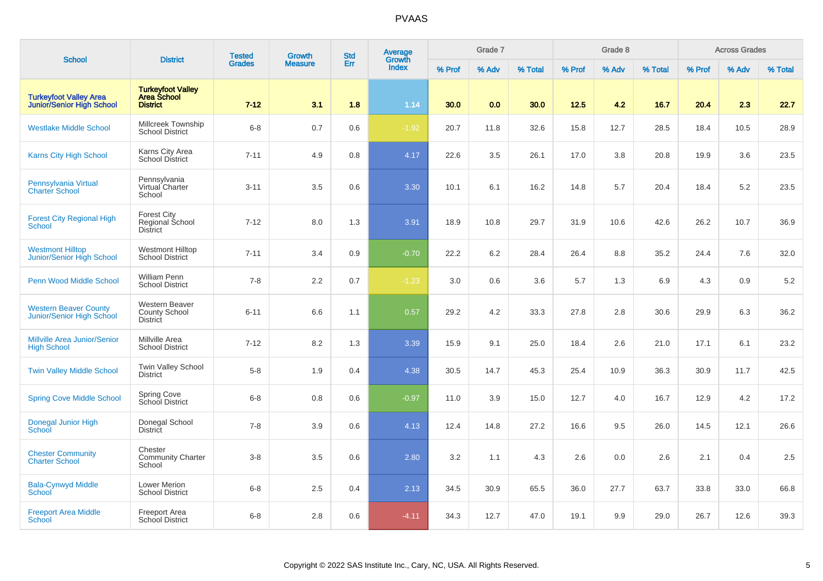| <b>School</b>                                                     | <b>District</b>                                                   | <b>Tested</b> | <b>Growth</b>  | <b>Std</b> | <b>Average</b><br>Growth |        | Grade 7 |         |        | Grade 8 |         |        | <b>Across Grades</b> |         |
|-------------------------------------------------------------------|-------------------------------------------------------------------|---------------|----------------|------------|--------------------------|--------|---------|---------|--------|---------|---------|--------|----------------------|---------|
|                                                                   |                                                                   | <b>Grades</b> | <b>Measure</b> | Err        | <b>Index</b>             | % Prof | % Adv   | % Total | % Prof | % Adv   | % Total | % Prof | % Adv                | % Total |
| <b>Turkeyfoot Valley Area</b><br><b>Junior/Senior High School</b> | <b>Turkeyfoot Valley</b><br><b>Area School</b><br><b>District</b> | $7 - 12$      | 3.1            | 1.8        | 1.14                     | 30.0   | 0.0     | 30.0    | 12.5   | 4.2     | 16.7    | 20.4   | 2.3                  | 22.7    |
| <b>Westlake Middle School</b>                                     | Millcreek Township<br><b>School District</b>                      | $6 - 8$       | 0.7            | 0.6        | $-1.92$                  | 20.7   | 11.8    | 32.6    | 15.8   | 12.7    | 28.5    | 18.4   | 10.5                 | 28.9    |
| <b>Karns City High School</b>                                     | Karns City Area<br>School District                                | $7 - 11$      | 4.9            | 0.8        | 4.17                     | 22.6   | 3.5     | 26.1    | 17.0   | 3.8     | 20.8    | 19.9   | 3.6                  | 23.5    |
| Pennsylvania Virtual<br><b>Charter School</b>                     | Pennsylvania<br>Virtual Charter<br>School                         | $3 - 11$      | 3.5            | 0.6        | 3.30                     | 10.1   | 6.1     | 16.2    | 14.8   | 5.7     | 20.4    | 18.4   | 5.2                  | 23.5    |
| <b>Forest City Regional High</b><br><b>School</b>                 | <b>Forest City</b><br>Regional School<br><b>District</b>          | $7 - 12$      | 8.0            | 1.3        | 3.91                     | 18.9   | 10.8    | 29.7    | 31.9   | 10.6    | 42.6    | 26.2   | 10.7                 | 36.9    |
| <b>Westmont Hilltop</b><br>Junior/Senior High School              | <b>Westmont Hilltop</b><br><b>School District</b>                 | $7 - 11$      | 3.4            | 0.9        | $-0.70$                  | 22.2   | 6.2     | 28.4    | 26.4   | 8.8     | 35.2    | 24.4   | 7.6                  | 32.0    |
| Penn Wood Middle School                                           | William Penn<br><b>School District</b>                            | $7 - 8$       | 2.2            | 0.7        | $-1.23$                  | 3.0    | 0.6     | 3.6     | 5.7    | 1.3     | 6.9     | 4.3    | 0.9                  | 5.2     |
| <b>Western Beaver County</b><br>Junior/Senior High School         | Western Beaver<br>County School<br><b>District</b>                | $6 - 11$      | 6.6            | 1.1        | 0.57                     | 29.2   | 4.2     | 33.3    | 27.8   | 2.8     | 30.6    | 29.9   | 6.3                  | 36.2    |
| <b>Millville Area Junior/Senior</b><br><b>High School</b>         | Millville Area<br><b>School District</b>                          | $7 - 12$      | 8.2            | 1.3        | 3.39                     | 15.9   | 9.1     | 25.0    | 18.4   | 2.6     | 21.0    | 17.1   | 6.1                  | 23.2    |
| <b>Twin Valley Middle School</b>                                  | <b>Twin Valley School</b><br><b>District</b>                      | $5 - 8$       | 1.9            | 0.4        | 4.38                     | 30.5   | 14.7    | 45.3    | 25.4   | 10.9    | 36.3    | 30.9   | 11.7                 | 42.5    |
| <b>Spring Cove Middle School</b>                                  | Spring Cove<br>School District                                    | $6 - 8$       | 0.8            | 0.6        | $-0.97$                  | 11.0   | 3.9     | 15.0    | 12.7   | 4.0     | 16.7    | 12.9   | 4.2                  | 17.2    |
| <b>Donegal Junior High</b><br>School                              | Donegal School<br><b>District</b>                                 | $7 - 8$       | 3.9            | 0.6        | 4.13                     | 12.4   | 14.8    | 27.2    | 16.6   | 9.5     | 26.0    | 14.5   | 12.1                 | 26.6    |
| <b>Chester Community</b><br><b>Charter School</b>                 | Chester<br><b>Community Charter</b><br>School                     | $3 - 8$       | 3.5            | 0.6        | 2.80                     | 3.2    | 1.1     | 4.3     | 2.6    | 0.0     | 2.6     | 2.1    | 0.4                  | 2.5     |
| <b>Bala-Cynwyd Middle</b><br>School                               | Lower Merion<br><b>School District</b>                            | $6 - 8$       | 2.5            | 0.4        | 2.13                     | 34.5   | 30.9    | 65.5    | 36.0   | 27.7    | 63.7    | 33.8   | 33.0                 | 66.8    |
| <b>Freeport Area Middle</b><br><b>School</b>                      | <b>Freeport Area</b><br>School District                           | $6 - 8$       | 2.8            | 0.6        | $-4.11$                  | 34.3   | 12.7    | 47.0    | 19.1   | 9.9     | 29.0    | 26.7   | 12.6                 | 39.3    |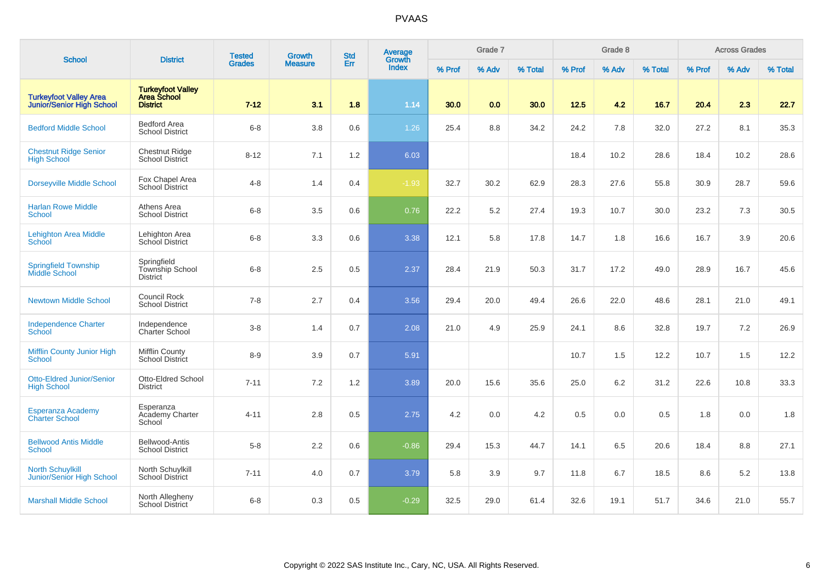| <b>School</b>                                                     |                                                                   | <b>Tested</b> | <b>Growth</b>  | <b>Std</b> | Average                |        | Grade 7 |         |        | Grade 8 |         |        | <b>Across Grades</b> |         |
|-------------------------------------------------------------------|-------------------------------------------------------------------|---------------|----------------|------------|------------------------|--------|---------|---------|--------|---------|---------|--------|----------------------|---------|
|                                                                   | <b>District</b>                                                   | <b>Grades</b> | <b>Measure</b> | Err        | Growth<br><b>Index</b> | % Prof | % Adv   | % Total | % Prof | % Adv   | % Total | % Prof | % Adv                | % Total |
| <b>Turkeyfoot Valley Area</b><br><b>Junior/Senior High School</b> | <b>Turkeyfoot Valley</b><br><b>Area School</b><br><b>District</b> | $7 - 12$      | 3.1            | 1.8        | 1.14                   | 30.0   | 0.0     | 30.0    | 12.5   | 4.2     | 16.7    | 20.4   | 2.3                  | 22.7    |
| <b>Bedford Middle School</b>                                      | <b>Bedford Area</b><br><b>School District</b>                     | $6-8$         | 3.8            | 0.6        | 1.26                   | 25.4   | 8.8     | 34.2    | 24.2   | 7.8     | 32.0    | 27.2   | 8.1                  | 35.3    |
| <b>Chestnut Ridge Senior</b><br><b>High School</b>                | <b>Chestnut Ridge</b><br><b>School District</b>                   | $8 - 12$      | 7.1            | 1.2        | 6.03                   |        |         |         | 18.4   | 10.2    | 28.6    | 18.4   | 10.2                 | 28.6    |
| <b>Dorseyville Middle School</b>                                  | Fox Chapel Area<br>School District                                | $4 - 8$       | 1.4            | 0.4        | $-1.93$                | 32.7   | 30.2    | 62.9    | 28.3   | 27.6    | 55.8    | 30.9   | 28.7                 | 59.6    |
| <b>Harlan Rowe Middle</b><br><b>School</b>                        | Athens Area<br><b>School District</b>                             | $6 - 8$       | 3.5            | 0.6        | 0.76                   | 22.2   | 5.2     | 27.4    | 19.3   | 10.7    | 30.0    | 23.2   | 7.3                  | 30.5    |
| <b>Lehighton Area Middle</b><br><b>School</b>                     | Lehighton Area<br><b>School District</b>                          | $6 - 8$       | 3.3            | 0.6        | 3.38                   | 12.1   | 5.8     | 17.8    | 14.7   | 1.8     | 16.6    | 16.7   | 3.9                  | 20.6    |
| <b>Springfield Township</b><br><b>Middle School</b>               | Springfield<br>Township School<br><b>District</b>                 | $6 - 8$       | 2.5            | 0.5        | 2.37                   | 28.4   | 21.9    | 50.3    | 31.7   | 17.2    | 49.0    | 28.9   | 16.7                 | 45.6    |
| <b>Newtown Middle School</b>                                      | <b>Council Rock</b><br><b>School District</b>                     | $7 - 8$       | 2.7            | 0.4        | 3.56                   | 29.4   | 20.0    | 49.4    | 26.6   | 22.0    | 48.6    | 28.1   | 21.0                 | 49.1    |
| <b>Independence Charter</b><br><b>School</b>                      | Independence<br><b>Charter School</b>                             | $3-8$         | 1.4            | 0.7        | 2.08                   | 21.0   | 4.9     | 25.9    | 24.1   | 8.6     | 32.8    | 19.7   | 7.2                  | 26.9    |
| <b>Mifflin County Junior High</b><br><b>School</b>                | <b>Mifflin County</b><br>School District                          | $8-9$         | 3.9            | 0.7        | 5.91                   |        |         |         | 10.7   | 1.5     | 12.2    | 10.7   | 1.5                  | 12.2    |
| <b>Otto-Eldred Junior/Senior</b><br><b>High School</b>            | Otto-Eldred School<br><b>District</b>                             | $7 - 11$      | 7.2            | 1.2        | 3.89                   | 20.0   | 15.6    | 35.6    | 25.0   | 6.2     | 31.2    | 22.6   | 10.8                 | 33.3    |
| Esperanza Academy<br><b>Charter School</b>                        | Esperanza<br><b>Academy Charter</b><br>School                     | $4 - 11$      | 2.8            | 0.5        | 2.75                   | 4.2    | 0.0     | 4.2     | 0.5    | 0.0     | 0.5     | 1.8    | 0.0                  | 1.8     |
| <b>Bellwood Antis Middle</b><br><b>School</b>                     | Bellwood-Antis<br><b>School District</b>                          | $5-8$         | 2.2            | 0.6        | $-0.86$                | 29.4   | 15.3    | 44.7    | 14.1   | 6.5     | 20.6    | 18.4   | 8.8                  | 27.1    |
| <b>North Schuylkill</b><br>Junior/Senior High School              | North Schuylkill<br><b>School District</b>                        | $7 - 11$      | 4.0            | 0.7        | 3.79                   | 5.8    | 3.9     | 9.7     | 11.8   | 6.7     | 18.5    | 8.6    | $5.2\,$              | 13.8    |
| <b>Marshall Middle School</b>                                     | North Allegheny<br><b>School District</b>                         | $6 - 8$       | 0.3            | 0.5        | $-0.29$                | 32.5   | 29.0    | 61.4    | 32.6   | 19.1    | 51.7    | 34.6   | 21.0                 | 55.7    |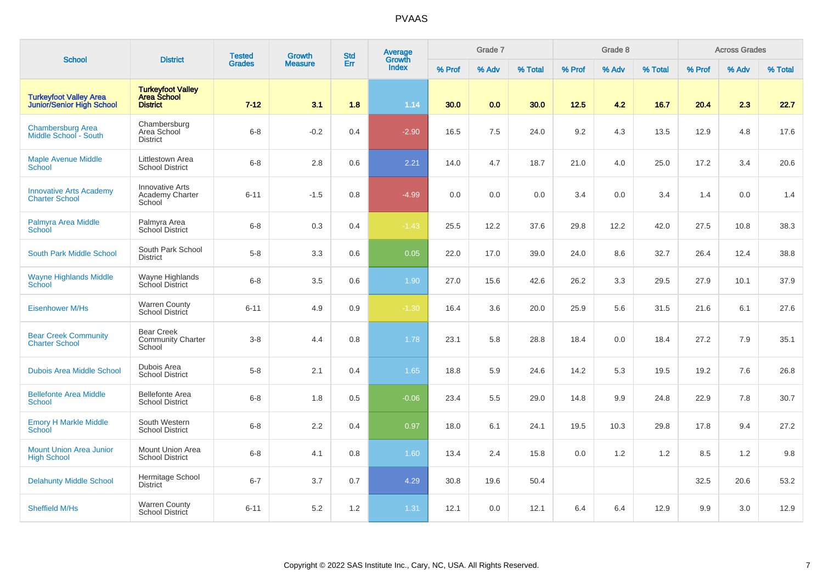| <b>School</b>                                              | <b>District</b>                                                   | <b>Tested</b> | Growth         | <b>Std</b> | Average<br>Growth |        | Grade 7 |         |        | Grade 8 |         |        | <b>Across Grades</b> |         |
|------------------------------------------------------------|-------------------------------------------------------------------|---------------|----------------|------------|-------------------|--------|---------|---------|--------|---------|---------|--------|----------------------|---------|
|                                                            |                                                                   | <b>Grades</b> | <b>Measure</b> | Err        | <b>Index</b>      | % Prof | % Adv   | % Total | % Prof | % Adv   | % Total | % Prof | % Adv                | % Total |
| <b>Turkeyfoot Valley Area</b><br>Junior/Senior High School | <b>Turkeyfoot Valley</b><br><b>Area School</b><br><b>District</b> | $7 - 12$      | 3.1            | 1.8        | 1.14              | 30.0   | 0.0     | 30.0    | 12.5   | 4.2     | 16.7    | 20.4   | 2.3                  | 22.7    |
| <b>Chambersburg Area</b><br>Middle School - South          | Chambersburg<br>Area School<br><b>District</b>                    | $6 - 8$       | $-0.2$         | 0.4        | $-2.90$           | 16.5   | 7.5     | 24.0    | 9.2    | 4.3     | 13.5    | 12.9   | 4.8                  | 17.6    |
| <b>Maple Avenue Middle</b><br>School                       | Littlestown Area<br><b>School District</b>                        | $6 - 8$       | 2.8            | 0.6        | 2.21              | 14.0   | 4.7     | 18.7    | 21.0   | 4.0     | 25.0    | 17.2   | 3.4                  | 20.6    |
| <b>Innovative Arts Academy</b><br><b>Charter School</b>    | <b>Innovative Arts</b><br>Academy Charter<br>School               | $6 - 11$      | $-1.5$         | 0.8        | $-4.99$           | 0.0    | 0.0     | 0.0     | 3.4    | 0.0     | 3.4     | 1.4    | 0.0                  | 1.4     |
| Palmyra Area Middle<br>School                              | Palmyra Area<br>School District                                   | $6 - 8$       | 0.3            | 0.4        | $-1.43$           | 25.5   | 12.2    | 37.6    | 29.8   | 12.2    | 42.0    | 27.5   | 10.8                 | 38.3    |
| <b>South Park Middle School</b>                            | South Park School<br><b>District</b>                              | $5-8$         | 3.3            | 0.6        | 0.05              | 22.0   | 17.0    | 39.0    | 24.0   | 8.6     | 32.7    | 26.4   | 12.4                 | 38.8    |
| <b>Wayne Highlands Middle</b><br>School                    | Wayne Highlands<br>School District                                | $6-8$         | 3.5            | 0.6        | 1.90              | 27.0   | 15.6    | 42.6    | 26.2   | 3.3     | 29.5    | 27.9   | 10.1                 | 37.9    |
| <b>Eisenhower M/Hs</b>                                     | <b>Warren County</b><br>School District                           | $6 - 11$      | 4.9            | 0.9        | $-1.30$           | 16.4   | 3.6     | 20.0    | 25.9   | 5.6     | 31.5    | 21.6   | 6.1                  | 27.6    |
| <b>Bear Creek Community</b><br><b>Charter School</b>       | <b>Bear Creek</b><br><b>Community Charter</b><br>School           | $3-8$         | 4.4            | 0.8        | 1.78              | 23.1   | 5.8     | 28.8    | 18.4   | 0.0     | 18.4    | 27.2   | 7.9                  | 35.1    |
| <b>Dubois Area Middle School</b>                           | Dubois Area<br><b>School District</b>                             | $5-8$         | 2.1            | 0.4        | 1.65              | 18.8   | 5.9     | 24.6    | 14.2   | 5.3     | 19.5    | 19.2   | 7.6                  | 26.8    |
| <b>Bellefonte Area Middle</b><br>School                    | <b>Bellefonte Area</b><br><b>School District</b>                  | $6-8$         | 1.8            | 0.5        | $-0.06$           | 23.4   | 5.5     | 29.0    | 14.8   | 9.9     | 24.8    | 22.9   | 7.8                  | 30.7    |
| <b>Emory H Markle Middle</b><br>School                     | South Western<br><b>School District</b>                           | $6-8$         | 2.2            | 0.4        | 0.97              | 18.0   | 6.1     | 24.1    | 19.5   | 10.3    | 29.8    | 17.8   | 9.4                  | 27.2    |
| <b>Mount Union Area Junior</b><br><b>High School</b>       | Mount Union Area<br><b>School District</b>                        | $6 - 8$       | 4.1            | 0.8        | 1.60              | 13.4   | 2.4     | 15.8    | 0.0    | 1.2     | 1.2     | 8.5    | 1.2                  | 9.8     |
| <b>Delahunty Middle School</b>                             | Hermitage School<br><b>District</b>                               | $6 - 7$       | 3.7            | 0.7        | 4.29              | 30.8   | 19.6    | 50.4    |        |         |         | 32.5   | 20.6                 | 53.2    |
| <b>Sheffield M/Hs</b>                                      | <b>Warren County</b><br>School District                           | $6 - 11$      | 5.2            | 1.2        | 1.31              | 12.1   | 0.0     | 12.1    | 6.4    | 6.4     | 12.9    | 9.9    | 3.0                  | 12.9    |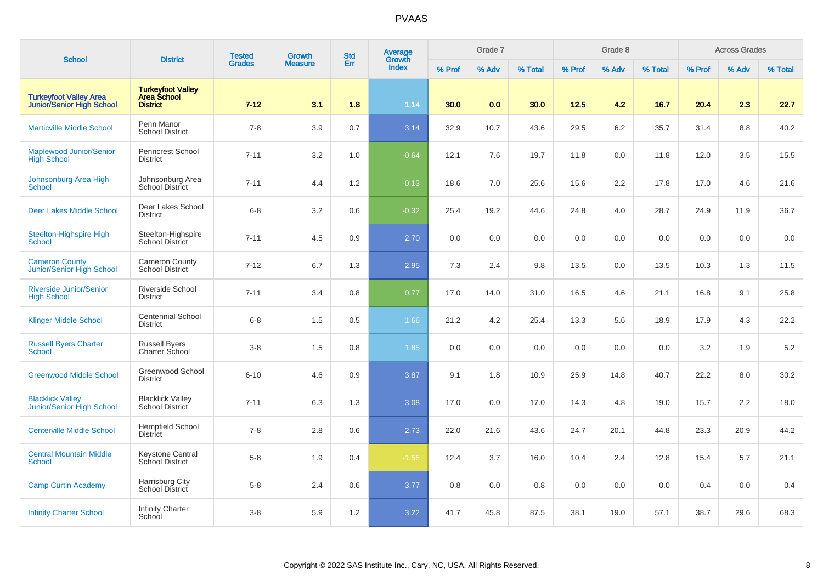| <b>School</b>                                                     | <b>District</b>                                                   | <b>Tested</b> | <b>Growth</b>  | <b>Std</b> | Average<br>Growth |        | Grade 7 |         |        | Grade 8 |         |        | <b>Across Grades</b> |         |
|-------------------------------------------------------------------|-------------------------------------------------------------------|---------------|----------------|------------|-------------------|--------|---------|---------|--------|---------|---------|--------|----------------------|---------|
|                                                                   |                                                                   | <b>Grades</b> | <b>Measure</b> | Err        | <b>Index</b>      | % Prof | % Adv   | % Total | % Prof | % Adv   | % Total | % Prof | % Adv                | % Total |
| <b>Turkeyfoot Valley Area</b><br><b>Junior/Senior High School</b> | <b>Turkeyfoot Valley</b><br><b>Area School</b><br><b>District</b> | $7 - 12$      | 3.1            | 1.8        | 1.14              | 30.0   | 0.0     | 30.0    | 12.5   | 4.2     | 16.7    | 20.4   | 2.3                  | 22.7    |
| <b>Marticville Middle School</b>                                  | Penn Manor<br><b>School District</b>                              | $7 - 8$       | 3.9            | 0.7        | 3.14              | 32.9   | 10.7    | 43.6    | 29.5   | 6.2     | 35.7    | 31.4   | 8.8                  | 40.2    |
| <b>Maplewood Junior/Senior</b><br><b>High School</b>              | <b>Penncrest School</b><br><b>District</b>                        | $7 - 11$      | 3.2            | 1.0        | $-0.64$           | 12.1   | 7.6     | 19.7    | 11.8   | 0.0     | 11.8    | 12.0   | 3.5                  | 15.5    |
| Johnsonburg Area High<br><b>School</b>                            | Johnsonburg Area<br>School District                               | $7 - 11$      | 4.4            | 1.2        | $-0.13$           | 18.6   | 7.0     | 25.6    | 15.6   | $2.2\,$ | 17.8    | 17.0   | 4.6                  | 21.6    |
| <b>Deer Lakes Middle School</b>                                   | Deer Lakes School<br><b>District</b>                              | $6 - 8$       | 3.2            | 0.6        | $-0.32$           | 25.4   | 19.2    | 44.6    | 24.8   | 4.0     | 28.7    | 24.9   | 11.9                 | 36.7    |
| Steelton-Highspire High<br>School                                 | Steelton-Highspire<br><b>School District</b>                      | $7 - 11$      | 4.5            | 0.9        | 2.70              | 0.0    | 0.0     | 0.0     | 0.0    | 0.0     | 0.0     | 0.0    | 0.0                  | 0.0     |
| <b>Cameron County</b><br><b>Junior/Senior High School</b>         | <b>Cameron County</b><br><b>School District</b>                   | $7 - 12$      | 6.7            | 1.3        | 2.95              | 7.3    | 2.4     | 9.8     | 13.5   | 0.0     | 13.5    | 10.3   | 1.3                  | 11.5    |
| <b>Riverside Junior/Senior</b><br><b>High School</b>              | Riverside School<br><b>District</b>                               | $7 - 11$      | 3.4            | 0.8        | 0.77              | 17.0   | 14.0    | 31.0    | 16.5   | 4.6     | 21.1    | 16.8   | 9.1                  | 25.8    |
| <b>Klinger Middle School</b>                                      | <b>Centennial School</b><br><b>District</b>                       | $6 - 8$       | 1.5            | 0.5        | 1.66              | 21.2   | 4.2     | 25.4    | 13.3   | 5.6     | 18.9    | 17.9   | 4.3                  | 22.2    |
| <b>Russell Byers Charter</b><br><b>School</b>                     | <b>Russell Byers</b><br>Charter School                            | $3 - 8$       | 1.5            | 0.8        | 1.85              | 0.0    | 0.0     | 0.0     | 0.0    | 0.0     | 0.0     | 3.2    | 1.9                  | 5.2     |
| <b>Greenwood Middle School</b>                                    | Greenwood School<br><b>District</b>                               | $6 - 10$      | 4.6            | 0.9        | 3.87              | 9.1    | 1.8     | 10.9    | 25.9   | 14.8    | 40.7    | 22.2   | 8.0                  | 30.2    |
| <b>Blacklick Valley</b><br>Junior/Senior High School              | <b>Blacklick Valley</b><br><b>School District</b>                 | $7 - 11$      | 6.3            | 1.3        | 3.08              | 17.0   | 0.0     | 17.0    | 14.3   | 4.8     | 19.0    | 15.7   | 2.2                  | 18.0    |
| <b>Centerville Middle School</b>                                  | <b>Hempfield School</b><br><b>District</b>                        | $7 - 8$       | 2.8            | 0.6        | 2.73              | 22.0   | 21.6    | 43.6    | 24.7   | 20.1    | 44.8    | 23.3   | 20.9                 | 44.2    |
| <b>Central Mountain Middle</b><br><b>School</b>                   | <b>Keystone Central</b><br>School District                        | $5 - 8$       | 1.9            | 0.4        | $-1.56$           | 12.4   | 3.7     | 16.0    | 10.4   | 2.4     | 12.8    | 15.4   | 5.7                  | 21.1    |
| <b>Camp Curtin Academy</b>                                        | Harrisburg City<br><b>School District</b>                         | $5 - 8$       | 2.4            | 0.6        | 3.77              | 0.8    | 0.0     | 0.8     | 0.0    | 0.0     | 0.0     | 0.4    | 0.0                  | 0.4     |
| <b>Infinity Charter School</b>                                    | <b>Infinity Charter</b><br>School                                 | $3 - 8$       | 5.9            | 1.2        | 3.22              | 41.7   | 45.8    | 87.5    | 38.1   | 19.0    | 57.1    | 38.7   | 29.6                 | 68.3    |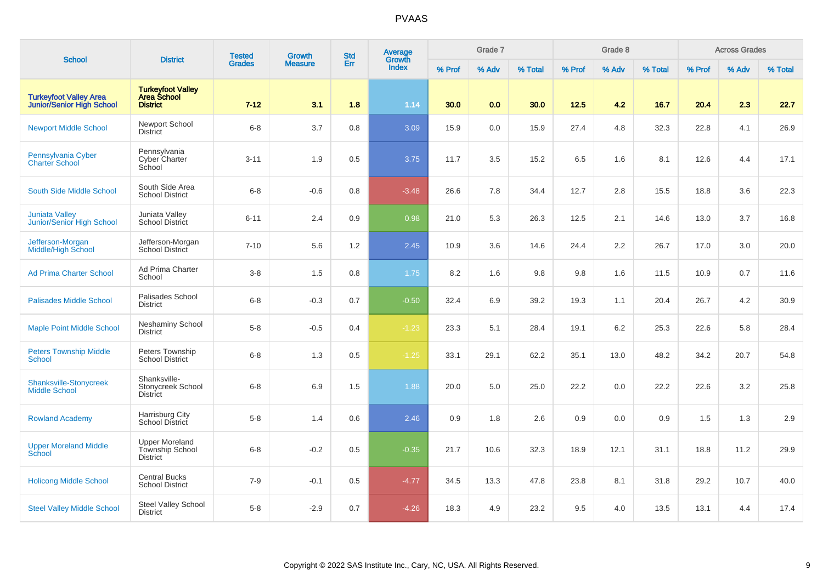| <b>School</b>                                                     | <b>District</b>                                                   | <b>Tested</b> | <b>Growth</b>  | <b>Std</b> | Average<br>Growth |        | Grade 7 |         |        | Grade 8 |         |        | <b>Across Grades</b> |         |
|-------------------------------------------------------------------|-------------------------------------------------------------------|---------------|----------------|------------|-------------------|--------|---------|---------|--------|---------|---------|--------|----------------------|---------|
|                                                                   |                                                                   | <b>Grades</b> | <b>Measure</b> | Err        | <b>Index</b>      | % Prof | % Adv   | % Total | % Prof | % Adv   | % Total | % Prof | % Adv                | % Total |
| <b>Turkeyfoot Valley Area</b><br><b>Junior/Senior High School</b> | <b>Turkeyfoot Valley</b><br><b>Area School</b><br><b>District</b> | $7 - 12$      | 3.1            | 1.8        | 1.14              | 30.0   | 0.0     | 30.0    | 12.5   | 4.2     | 16.7    | 20.4   | 2.3                  | 22.7    |
| <b>Newport Middle School</b>                                      | Newport School<br><b>District</b>                                 | $6 - 8$       | 3.7            | 0.8        | 3.09              | 15.9   | 0.0     | 15.9    | 27.4   | 4.8     | 32.3    | 22.8   | 4.1                  | 26.9    |
| Pennsylvania Cyber<br><b>Charter School</b>                       | Pennsylvania<br>Cyber Charter<br>School                           | $3 - 11$      | 1.9            | 0.5        | 3.75              | 11.7   | 3.5     | 15.2    | 6.5    | 1.6     | 8.1     | 12.6   | 4.4                  | 17.1    |
| South Side Middle School                                          | South Side Area<br><b>School District</b>                         | $6 - 8$       | $-0.6$         | 0.8        | $-3.48$           | 26.6   | 7.8     | 34.4    | 12.7   | 2.8     | 15.5    | 18.8   | 3.6                  | 22.3    |
| <b>Juniata Valley</b><br>Junior/Senior High School                | Juniata Valley<br><b>School District</b>                          | $6 - 11$      | 2.4            | 0.9        | 0.98              | 21.0   | 5.3     | 26.3    | 12.5   | 2.1     | 14.6    | 13.0   | 3.7                  | 16.8    |
| Jefferson-Morgan<br>Middle/High School                            | Jefferson-Morgan<br>School District                               | $7 - 10$      | 5.6            | 1.2        | 2.45              | 10.9   | 3.6     | 14.6    | 24.4   | 2.2     | 26.7    | 17.0   | 3.0                  | 20.0    |
| <b>Ad Prima Charter School</b>                                    | Ad Prima Charter<br>School                                        | $3-8$         | 1.5            | 0.8        | 1.75              | 8.2    | 1.6     | 9.8     | 9.8    | 1.6     | 11.5    | 10.9   | 0.7                  | 11.6    |
| <b>Palisades Middle School</b>                                    | Palisades School<br><b>District</b>                               | $6 - 8$       | $-0.3$         | 0.7        | $-0.50$           | 32.4   | 6.9     | 39.2    | 19.3   | 1.1     | 20.4    | 26.7   | 4.2                  | 30.9    |
| <b>Maple Point Middle School</b>                                  | Neshaminy School<br><b>District</b>                               | $5 - 8$       | $-0.5$         | 0.4        | $-1.23$           | 23.3   | 5.1     | 28.4    | 19.1   | 6.2     | 25.3    | 22.6   | 5.8                  | 28.4    |
| <b>Peters Township Middle</b><br>School                           | Peters Township<br><b>School District</b>                         | $6 - 8$       | 1.3            | 0.5        | $-1.25$           | 33.1   | 29.1    | 62.2    | 35.1   | 13.0    | 48.2    | 34.2   | 20.7                 | 54.8    |
| Shanksville-Stonycreek<br><b>Middle School</b>                    | Shanksville-<br>Stonycreek School<br><b>District</b>              | $6 - 8$       | 6.9            | 1.5        | 1.88              | 20.0   | 5.0     | 25.0    | 22.2   | 0.0     | 22.2    | 22.6   | 3.2                  | 25.8    |
| <b>Rowland Academy</b>                                            | <b>Harrisburg City</b><br>School District                         | $5 - 8$       | 1.4            | 0.6        | 2.46              | 0.9    | 1.8     | 2.6     | 0.9    | 0.0     | 0.9     | 1.5    | 1.3                  | 2.9     |
| <b>Upper Moreland Middle</b><br>School                            | <b>Upper Moreland</b><br>Township School<br><b>District</b>       | $6 - 8$       | $-0.2$         | $0.5\,$    | $-0.35$           | 21.7   | 10.6    | 32.3    | 18.9   | 12.1    | 31.1    | 18.8   | 11.2                 | 29.9    |
| <b>Holicong Middle School</b>                                     | <b>Central Bucks</b><br><b>School District</b>                    | $7 - 9$       | $-0.1$         | 0.5        | $-4.77$           | 34.5   | 13.3    | 47.8    | 23.8   | 8.1     | 31.8    | 29.2   | 10.7                 | 40.0    |
| <b>Steel Valley Middle School</b>                                 | Steel Valley School<br><b>District</b>                            | $5-8$         | $-2.9$         | 0.7        | $-4.26$           | 18.3   | 4.9     | 23.2    | 9.5    | 4.0     | 13.5    | 13.1   | 4.4                  | 17.4    |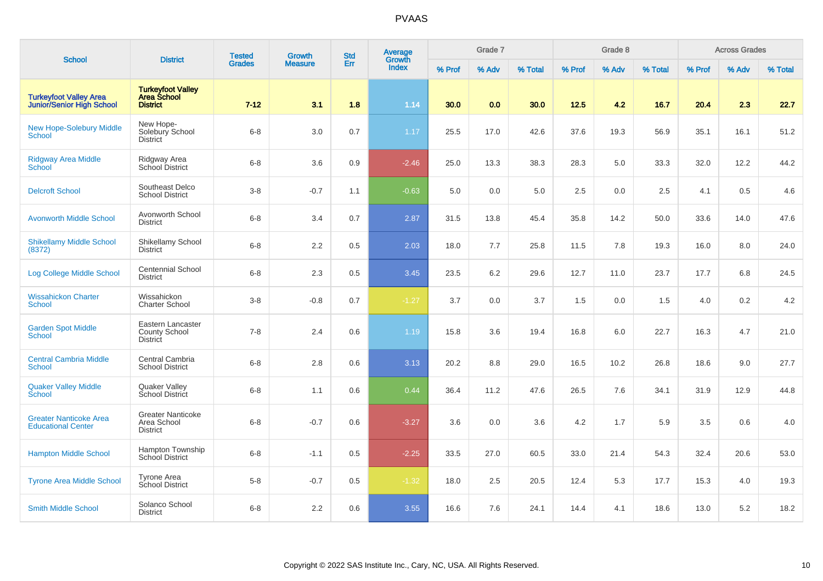| <b>School</b>                                              | <b>District</b>                                            | <b>Tested</b> | <b>Growth</b>  | <b>Std</b> | Average<br>Growth |        | Grade 7 |         |        | Grade 8 |         |        | <b>Across Grades</b> |         |
|------------------------------------------------------------|------------------------------------------------------------|---------------|----------------|------------|-------------------|--------|---------|---------|--------|---------|---------|--------|----------------------|---------|
|                                                            |                                                            | <b>Grades</b> | <b>Measure</b> | Err        | <b>Index</b>      | % Prof | % Adv   | % Total | % Prof | % Adv   | % Total | % Prof | % Adv                | % Total |
| <b>Turkeyfoot Valley Area</b><br>Junior/Senior High School | <b>Turkeyfoot Valley</b><br>Area School<br><b>District</b> | $7 - 12$      | 3.1            | 1.8        | 1.14              | 30.0   | 0.0     | 30.0    | 12.5   | 4.2     | 16.7    | 20.4   | 2.3                  | 22.7    |
| <b>New Hope-Solebury Middle</b><br>School                  | New Hope-<br>Solebury School<br><b>District</b>            | $6 - 8$       | $3.0\,$        | 0.7        | 1.17              | 25.5   | 17.0    | 42.6    | 37.6   | 19.3    | 56.9    | 35.1   | 16.1                 | 51.2    |
| Ridgway Area Middle<br>School                              | Ridgway Area<br>School District                            | $6 - 8$       | 3.6            | 0.9        | $-2.46$           | 25.0   | 13.3    | 38.3    | 28.3   | 5.0     | 33.3    | 32.0   | 12.2                 | 44.2    |
| <b>Delcroft School</b>                                     | Southeast Delco<br><b>School District</b>                  | $3-8$         | $-0.7$         | 1.1        | $-0.63$           | 5.0    | 0.0     | 5.0     | 2.5    | 0.0     | 2.5     | 4.1    | 0.5                  | 4.6     |
| <b>Avonworth Middle School</b>                             | Avonworth School<br><b>District</b>                        | $6 - 8$       | 3.4            | 0.7        | 2.87              | 31.5   | 13.8    | 45.4    | 35.8   | 14.2    | 50.0    | 33.6   | 14.0                 | 47.6    |
| <b>Shikellamy Middle School</b><br>(8372)                  | Shikellamy School<br><b>District</b>                       | $6 - 8$       | 2.2            | 0.5        | 2.03              | 18.0   | 7.7     | 25.8    | 11.5   | 7.8     | 19.3    | 16.0   | 8.0                  | 24.0    |
| Log College Middle School                                  | <b>Centennial School</b><br><b>District</b>                | $6-8$         | 2.3            | 0.5        | 3.45              | 23.5   | 6.2     | 29.6    | 12.7   | 11.0    | 23.7    | 17.7   | 6.8                  | 24.5    |
| <b>Wissahickon Charter</b><br><b>School</b>                | Wissahickon<br><b>Charter School</b>                       | $3-8$         | $-0.8$         | 0.7        | $-1.27$           | 3.7    | 0.0     | 3.7     | 1.5    | 0.0     | 1.5     | 4.0    | 0.2                  | 4.2     |
| <b>Garden Spot Middle</b><br><b>School</b>                 | Eastern Lancaster<br>County School<br><b>District</b>      | $7 - 8$       | 2.4            | 0.6        | 1.19              | 15.8   | 3.6     | 19.4    | 16.8   | 6.0     | 22.7    | 16.3   | 4.7                  | 21.0    |
| <b>Central Cambria Middle</b><br><b>School</b>             | Central Cambria<br><b>School District</b>                  | $6 - 8$       | 2.8            | 0.6        | 3.13              | 20.2   | 8.8     | 29.0    | 16.5   | 10.2    | 26.8    | 18.6   | 9.0                  | 27.7    |
| <b>Quaker Valley Middle</b><br><b>School</b>               | Quaker Valley<br>School District                           | $6 - 8$       | 1.1            | 0.6        | 0.44              | 36.4   | 11.2    | 47.6    | 26.5   | 7.6     | 34.1    | 31.9   | 12.9                 | 44.8    |
| <b>Greater Nanticoke Area</b><br><b>Educational Center</b> | <b>Greater Nanticoke</b><br>Area School<br><b>District</b> | $6 - 8$       | $-0.7$         | 0.6        | $-3.27$           | 3.6    | 0.0     | 3.6     | 4.2    | 1.7     | 5.9     | 3.5    | 0.6                  | $4.0\,$ |
| <b>Hampton Middle School</b>                               | Hampton Township<br>School District                        | $6 - 8$       | $-1.1$         | 0.5        | $-2.25$           | 33.5   | 27.0    | 60.5    | 33.0   | 21.4    | 54.3    | 32.4   | 20.6                 | 53.0    |
| <b>Tyrone Area Middle School</b>                           | Tyrone Area<br>School District                             | $5-8$         | $-0.7$         | 0.5        | $-1.32$           | 18.0   | 2.5     | 20.5    | 12.4   | 5.3     | 17.7    | 15.3   | 4.0                  | 19.3    |
| <b>Smith Middle School</b>                                 | Solanco School<br><b>District</b>                          | $6 - 8$       | 2.2            | 0.6        | 3.55              | 16.6   | 7.6     | 24.1    | 14.4   | 4.1     | 18.6    | 13.0   | 5.2                  | 18.2    |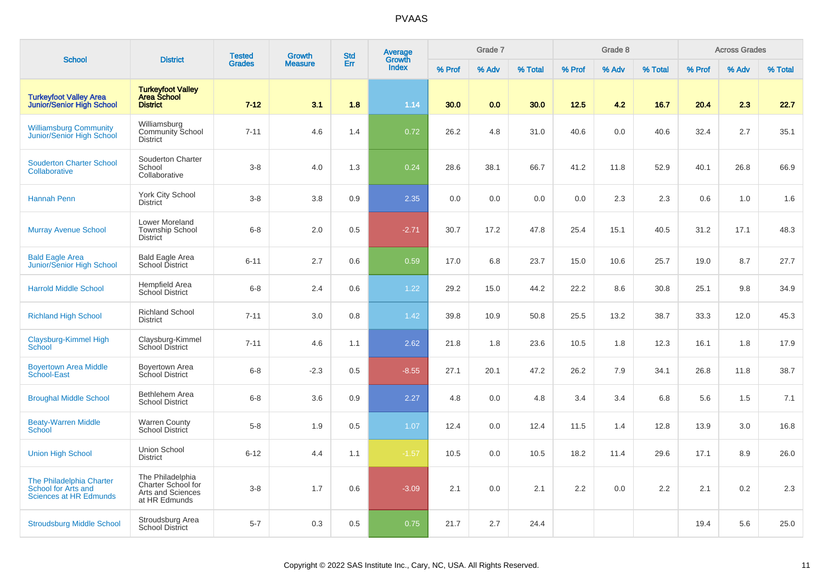| <b>School</b>                                                                    | <b>District</b>                                                              | <b>Tested</b> | <b>Growth</b>  | <b>Std</b> | Average<br>Growth |        | Grade 7 |         |        | Grade 8 |         |        | <b>Across Grades</b> |         |
|----------------------------------------------------------------------------------|------------------------------------------------------------------------------|---------------|----------------|------------|-------------------|--------|---------|---------|--------|---------|---------|--------|----------------------|---------|
|                                                                                  |                                                                              | <b>Grades</b> | <b>Measure</b> | Err        | <b>Index</b>      | % Prof | % Adv   | % Total | % Prof | % Adv   | % Total | % Prof | % Adv                | % Total |
| <b>Turkeyfoot Valley Area</b><br><b>Junior/Senior High School</b>                | <b>Turkeyfoot Valley</b><br><b>Area School</b><br><b>District</b>            | $7 - 12$      | 3.1            | 1.8        | 1.14              | 30.0   | 0.0     | 30.0    | 12.5   | 4.2     | 16.7    | 20.4   | 2.3                  | 22.7    |
| <b>Williamsburg Community</b><br><b>Junior/Senior High School</b>                | Williamsburg<br>Community School<br><b>District</b>                          | $7 - 11$      | 4.6            | 1.4        | 0.72              | 26.2   | 4.8     | 31.0    | 40.6   | 0.0     | 40.6    | 32.4   | 2.7                  | 35.1    |
| <b>Souderton Charter School</b><br>Collaborative                                 | Souderton Charter<br>School<br>Collaborative                                 | $3 - 8$       | 4.0            | 1.3        | 0.24              | 28.6   | 38.1    | 66.7    | 41.2   | 11.8    | 52.9    | 40.1   | 26.8                 | 66.9    |
| <b>Hannah Penn</b>                                                               | York City School<br><b>District</b>                                          | $3 - 8$       | 3.8            | 0.9        | 2.35              | 0.0    | 0.0     | 0.0     | 0.0    | 2.3     | 2.3     | 0.6    | 1.0                  | 1.6     |
| <b>Murray Avenue School</b>                                                      | Lower Moreland<br><b>Township School</b><br><b>District</b>                  | $6 - 8$       | 2.0            | 0.5        | $-2.71$           | 30.7   | 17.2    | 47.8    | 25.4   | 15.1    | 40.5    | 31.2   | 17.1                 | 48.3    |
| <b>Bald Eagle Area</b><br><b>Junior/Senior High School</b>                       | <b>Bald Eagle Area</b><br>School District                                    | $6 - 11$      | 2.7            | 0.6        | 0.59              | 17.0   | 6.8     | 23.7    | 15.0   | 10.6    | 25.7    | 19.0   | 8.7                  | 27.7    |
| <b>Harrold Middle School</b>                                                     | Hempfield Area<br>School District                                            | $6 - 8$       | 2.4            | 0.6        | 1.22              | 29.2   | 15.0    | 44.2    | 22.2   | 8.6     | 30.8    | 25.1   | 9.8                  | 34.9    |
| <b>Richland High School</b>                                                      | <b>Richland School</b><br><b>District</b>                                    | $7 - 11$      | 3.0            | 0.8        | 1.42              | 39.8   | 10.9    | 50.8    | 25.5   | 13.2    | 38.7    | 33.3   | 12.0                 | 45.3    |
| Claysburg-Kimmel High<br>School                                                  | Claysburg-Kimmel<br>School District                                          | $7 - 11$      | 4.6            | 1.1        | 2.62              | 21.8   | 1.8     | 23.6    | 10.5   | 1.8     | 12.3    | 16.1   | 1.8                  | 17.9    |
| <b>Boyertown Area Middle</b><br>School-East                                      | Boyertown Area<br>School District                                            | $6 - 8$       | $-2.3$         | 0.5        | $-8.55$           | 27.1   | 20.1    | 47.2    | 26.2   | 7.9     | 34.1    | 26.8   | 11.8                 | 38.7    |
| <b>Broughal Middle School</b>                                                    | Bethlehem Area<br><b>School District</b>                                     | $6 - 8$       | 3.6            | 0.9        | 2.27              | 4.8    | 0.0     | 4.8     | 3.4    | 3.4     | 6.8     | 5.6    | 1.5                  | 7.1     |
| <b>Beaty-Warren Middle</b><br><b>School</b>                                      | <b>Warren County</b><br>School District                                      | $5 - 8$       | 1.9            | 0.5        | 1.07              | 12.4   | 0.0     | 12.4    | 11.5   | 1.4     | 12.8    | 13.9   | 3.0                  | 16.8    |
| <b>Union High School</b>                                                         | <b>Union School</b><br><b>District</b>                                       | $6 - 12$      | 4.4            | 1.1        | $-1.57$           | 10.5   | 0.0     | 10.5    | 18.2   | 11.4    | 29.6    | 17.1   | 8.9                  | 26.0    |
| <b>The Philadelphia Charter</b><br>School for Arts and<br>Sciences at HR Edmunds | The Philadelphia<br>Charter School for<br>Arts and Sciences<br>at HR Edmunds | $3 - 8$       | 1.7            | 0.6        | $-3.09$           | 2.1    | 0.0     | 2.1     | 2.2    | 0.0     | 2.2     | 2.1    | 0.2                  | 2.3     |
| <b>Stroudsburg Middle School</b>                                                 | Stroudsburg Area<br><b>School District</b>                                   | $5 - 7$       | 0.3            | 0.5        | 0.75              | 21.7   | 2.7     | 24.4    |        |         |         | 19.4   | 5.6                  | 25.0    |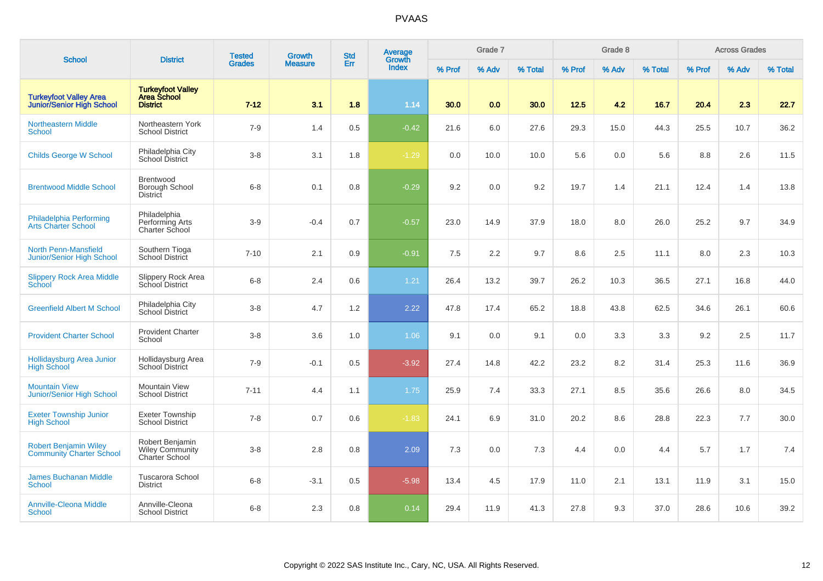| <b>School</b>                                                     | <b>District</b>                                                   | <b>Tested</b> | Growth         | <b>Std</b> | Average<br>Growth |        | Grade 7 |         |        | Grade 8 |         |        | <b>Across Grades</b> |         |
|-------------------------------------------------------------------|-------------------------------------------------------------------|---------------|----------------|------------|-------------------|--------|---------|---------|--------|---------|---------|--------|----------------------|---------|
|                                                                   |                                                                   | <b>Grades</b> | <b>Measure</b> | Err        | <b>Index</b>      | % Prof | % Adv   | % Total | % Prof | % Adv   | % Total | % Prof | % Adv                | % Total |
| <b>Turkeyfoot Valley Area</b><br><b>Junior/Senior High School</b> | <b>Turkeyfoot Valley</b><br><b>Area School</b><br><b>District</b> | $7 - 12$      | 3.1            | 1.8        | 1.14              | 30.0   | 0.0     | 30.0    | 12.5   | 4.2     | 16.7    | 20.4   | 2.3                  | 22.7    |
| <b>Northeastern Middle</b><br><b>School</b>                       | Northeastern York<br><b>School District</b>                       | $7-9$         | 1.4            | 0.5        | $-0.42$           | 21.6   | 6.0     | 27.6    | 29.3   | 15.0    | 44.3    | 25.5   | 10.7                 | 36.2    |
| <b>Childs George W School</b>                                     | Philadelphia City<br>School District                              | $3-8$         | 3.1            | 1.8        | $-1.29$           | 0.0    | 10.0    | 10.0    | 5.6    | 0.0     | 5.6     | 8.8    | 2.6                  | 11.5    |
| <b>Brentwood Middle School</b>                                    | Brentwood<br>Borough School<br><b>District</b>                    | $6 - 8$       | 0.1            | 0.8        | $-0.29$           | 9.2    | 0.0     | 9.2     | 19.7   | 1.4     | 21.1    | 12.4   | 1.4                  | 13.8    |
| Philadelphia Performing<br><b>Arts Charter School</b>             | Philadelphia<br>Performing Arts<br>Charter School                 | $3-9$         | $-0.4$         | 0.7        | $-0.57$           | 23.0   | 14.9    | 37.9    | 18.0   | 8.0     | 26.0    | 25.2   | 9.7                  | 34.9    |
| <b>North Penn-Mansfield</b><br>Junior/Senior High School          | Southern Tioga<br><b>School District</b>                          | $7 - 10$      | 2.1            | 0.9        | $-0.91$           | 7.5    | 2.2     | 9.7     | 8.6    | 2.5     | 11.1    | 8.0    | 2.3                  | 10.3    |
| <b>Slippery Rock Area Middle</b><br>School                        | Slippery Rock Area<br>School District                             | $6 - 8$       | 2.4            | 0.6        | 1.21              | 26.4   | 13.2    | 39.7    | 26.2   | 10.3    | 36.5    | 27.1   | 16.8                 | 44.0    |
| <b>Greenfield Albert M School</b>                                 | Philadelphia City<br>School District                              | $3-8$         | 4.7            | 1.2        | 2.22              | 47.8   | 17.4    | 65.2    | 18.8   | 43.8    | 62.5    | 34.6   | 26.1                 | 60.6    |
| <b>Provident Charter School</b>                                   | <b>Provident Charter</b><br>School                                | $3-8$         | 3.6            | 1.0        | 1.06              | 9.1    | 0.0     | 9.1     | 0.0    | 3.3     | 3.3     | 9.2    | 2.5                  | 11.7    |
| Hollidaysburg Area Junior<br><b>High School</b>                   | Hollidaysburg Area<br>School District                             | $7-9$         | $-0.1$         | 0.5        | $-3.92$           | 27.4   | 14.8    | 42.2    | 23.2   | 8.2     | 31.4    | 25.3   | 11.6                 | 36.9    |
| <b>Mountain View</b><br>Junior/Senior High School                 | <b>Mountain View</b><br><b>School District</b>                    | $7 - 11$      | 4.4            | 1.1        | 1.75              | 25.9   | 7.4     | 33.3    | 27.1   | 8.5     | 35.6    | 26.6   | 8.0                  | 34.5    |
| <b>Exeter Township Junior</b><br><b>High School</b>               | Exeter Township<br><b>School District</b>                         | $7 - 8$       | 0.7            | 0.6        | $-1.83$           | 24.1   | 6.9     | 31.0    | 20.2   | 8.6     | 28.8    | 22.3   | 7.7                  | 30.0    |
| <b>Robert Benjamin Wiley</b><br><b>Community Charter School</b>   | Robert Benjamin<br><b>Wiley Community</b><br>Charter School       | $3 - 8$       | 2.8            | 0.8        | 2.09              | 7.3    | 0.0     | 7.3     | 4.4    | 0.0     | 4.4     | 5.7    | 1.7                  | 7.4     |
| <b>James Buchanan Middle</b><br><b>School</b>                     | <b>Tuscarora School</b><br><b>District</b>                        | $6 - 8$       | $-3.1$         | 0.5        | $-5.98$           | 13.4   | 4.5     | 17.9    | 11.0   | 2.1     | 13.1    | 11.9   | 3.1                  | 15.0    |
| <b>Annville-Cleona Middle</b><br><b>School</b>                    | Annville-Cleona<br><b>School District</b>                         | $6 - 8$       | 2.3            | 0.8        | 0.14              | 29.4   | 11.9    | 41.3    | 27.8   | 9.3     | 37.0    | 28.6   | 10.6                 | 39.2    |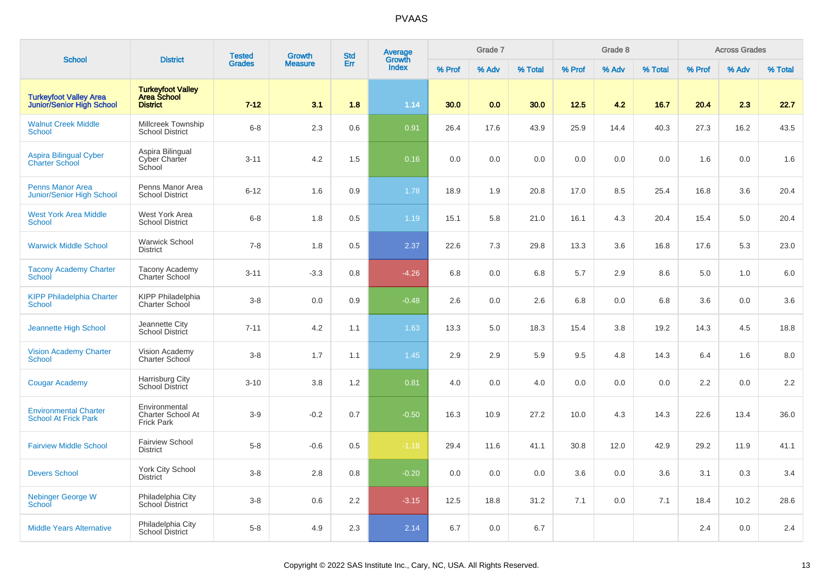| <b>School</b>                                                     | <b>District</b>                                                | <b>Tested</b> | <b>Growth</b>  | <b>Std</b> | Average<br>Growth |        | Grade 7 |         |        | Grade 8 |         |        | <b>Across Grades</b> |         |
|-------------------------------------------------------------------|----------------------------------------------------------------|---------------|----------------|------------|-------------------|--------|---------|---------|--------|---------|---------|--------|----------------------|---------|
|                                                                   |                                                                | <b>Grades</b> | <b>Measure</b> | Err        | <b>Index</b>      | % Prof | % Adv   | % Total | % Prof | % Adv   | % Total | % Prof | % Adv                | % Total |
| <b>Turkeyfoot Valley Area</b><br><b>Junior/Senior High School</b> | Turkeyfoot Valley<br>Area School<br><b>District</b>            | $7 - 12$      | 3.1            | 1.8        | 1.14              | 30.0   | 0.0     | 30.0    | 12.5   | 4.2     | 16.7    | 20.4   | 2.3                  | 22.7    |
| <b>Walnut Creek Middle</b><br>School                              | Millcreek Township<br><b>School District</b>                   | $6 - 8$       | 2.3            | 0.6        | 0.91              | 26.4   | 17.6    | 43.9    | 25.9   | 14.4    | 40.3    | 27.3   | 16.2                 | 43.5    |
| <b>Aspira Bilingual Cyber</b><br><b>Charter School</b>            | Aspira Bilingual<br>Cyber Charter<br>School                    | $3 - 11$      | 4.2            | 1.5        | 0.16              | 0.0    | 0.0     | 0.0     | 0.0    | 0.0     | 0.0     | 1.6    | 0.0                  | 1.6     |
| <b>Penns Manor Area</b><br><b>Junior/Senior High School</b>       | Penns Manor Area<br><b>School District</b>                     | $6 - 12$      | 1.6            | 0.9        | 1.78              | 18.9   | 1.9     | 20.8    | 17.0   | 8.5     | 25.4    | 16.8   | 3.6                  | 20.4    |
| <b>West York Area Middle</b><br><b>School</b>                     | West York Area<br><b>School District</b>                       | $6 - 8$       | 1.8            | 0.5        | 1.19              | 15.1   | 5.8     | 21.0    | 16.1   | 4.3     | 20.4    | 15.4   | 5.0                  | 20.4    |
| <b>Warwick Middle School</b>                                      | <b>Warwick School</b><br><b>District</b>                       | $7 - 8$       | 1.8            | 0.5        | 2.37              | 22.6   | 7.3     | 29.8    | 13.3   | 3.6     | 16.8    | 17.6   | 5.3                  | 23.0    |
| <b>Tacony Academy Charter</b><br>School                           | Tacony Academy<br>Charter School                               | $3 - 11$      | $-3.3$         | 0.8        | $-4.26$           | 6.8    | 0.0     | 6.8     | 5.7    | 2.9     | 8.6     | 5.0    | 1.0                  | 6.0     |
| <b>KIPP Philadelphia Charter</b><br><b>School</b>                 | KIPP Philadelphia<br>Charter School                            | $3 - 8$       | 0.0            | 0.9        | $-0.48$           | 2.6    | 0.0     | 2.6     | 6.8    | 0.0     | 6.8     | 3.6    | 0.0                  | 3.6     |
| Jeannette High School                                             | Jeannette City<br>School District                              | $7 - 11$      | 4.2            | 1.1        | 1.63              | 13.3   | 5.0     | 18.3    | 15.4   | 3.8     | 19.2    | 14.3   | 4.5                  | 18.8    |
| <b>Vision Academy Charter</b><br><b>School</b>                    | Vision Academy<br>Charter School                               | $3 - 8$       | 1.7            | 1.1        | 1.45              | 2.9    | 2.9     | 5.9     | 9.5    | 4.8     | 14.3    | 6.4    | 1.6                  | 8.0     |
| <b>Cougar Academy</b>                                             | Harrisburg City<br>School District                             | $3 - 10$      | 3.8            | 1.2        | 0.81              | 4.0    | 0.0     | 4.0     | 0.0    | 0.0     | 0.0     | 2.2    | 0.0                  | 2.2     |
| <b>Environmental Charter</b><br><b>School At Frick Park</b>       | Environmental<br><b>Charter School At</b><br><b>Frick Park</b> | $3-9$         | $-0.2$         | 0.7        | $-0.50$           | 16.3   | 10.9    | 27.2    | 10.0   | 4.3     | 14.3    | 22.6   | 13.4                 | 36.0    |
| <b>Fairview Middle School</b>                                     | <b>Fairview School</b><br><b>District</b>                      | $5 - 8$       | $-0.6$         | 0.5        | $-1.18$           | 29.4   | 11.6    | 41.1    | 30.8   | 12.0    | 42.9    | 29.2   | 11.9                 | 41.1    |
| <b>Devers School</b>                                              | York City School<br><b>District</b>                            | $3 - 8$       | 2.8            | 0.8        | $-0.20$           | 0.0    | 0.0     | 0.0     | 3.6    | 0.0     | 3.6     | 3.1    | 0.3                  | 3.4     |
| Nebinger George W<br><b>School</b>                                | Philadelphia City<br>School District                           | $3 - 8$       | 0.6            | 2.2        | $-3.15$           | 12.5   | 18.8    | 31.2    | 7.1    | 0.0     | 7.1     | 18.4   | 10.2                 | 28.6    |
| <b>Middle Years Alternative</b>                                   | Philadelphia City<br><b>School District</b>                    | $5 - 8$       | 4.9            | 2.3        | 2.14              | 6.7    | 0.0     | 6.7     |        |         |         | 2.4    | 0.0                  | 2.4     |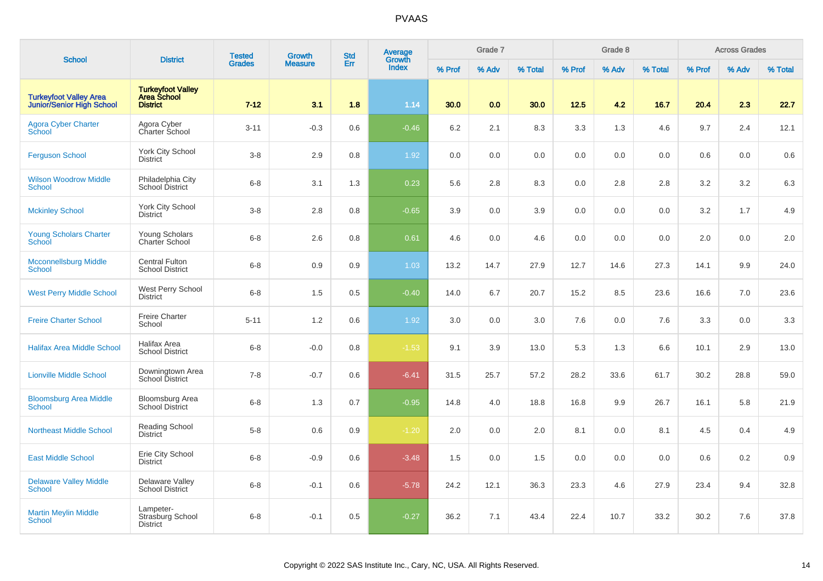| <b>School</b>                                                     | <b>District</b>                                             | <b>Tested</b> | <b>Growth</b>  | <b>Std</b> | Average<br>Growth |        | Grade 7 |         |        | Grade 8 |         |        | <b>Across Grades</b> |         |
|-------------------------------------------------------------------|-------------------------------------------------------------|---------------|----------------|------------|-------------------|--------|---------|---------|--------|---------|---------|--------|----------------------|---------|
|                                                                   |                                                             | <b>Grades</b> | <b>Measure</b> | Err        | <b>Index</b>      | % Prof | % Adv   | % Total | % Prof | % Adv   | % Total | % Prof | % Adv                | % Total |
| <b>Turkeyfoot Valley Area</b><br><b>Junior/Senior High School</b> | <b>Turkeyfoot Valley<br/>Area School</b><br><b>District</b> | $7 - 12$      | 3.1            | 1.8        | 1.14              | 30.0   | 0.0     | 30.0    | 12.5   | 4.2     | 16.7    | 20.4   | 2.3                  | 22.7    |
| <b>Agora Cyber Charter</b><br>School                              | Agora Cyber<br>Charter School                               | $3 - 11$      | $-0.3$         | 0.6        | $-0.46$           | 6.2    | 2.1     | 8.3     | 3.3    | 1.3     | 4.6     | 9.7    | 2.4                  | 12.1    |
| <b>Ferguson School</b>                                            | <b>York City School</b><br><b>District</b>                  | $3 - 8$       | 2.9            | 0.8        | 1.92              | 0.0    | 0.0     | 0.0     | 0.0    | 0.0     | 0.0     | 0.6    | 0.0                  | 0.6     |
| <b>Wilson Woodrow Middle</b><br>School                            | Philadelphia City<br>School District                        | $6 - 8$       | 3.1            | 1.3        | 0.23              | 5.6    | 2.8     | 8.3     | 0.0    | 2.8     | 2.8     | 3.2    | 3.2                  | 6.3     |
| <b>Mckinley School</b>                                            | York City School<br><b>District</b>                         | $3 - 8$       | 2.8            | 0.8        | $-0.65$           | 3.9    | 0.0     | 3.9     | 0.0    | 0.0     | 0.0     | 3.2    | 1.7                  | 4.9     |
| Young Scholars Charter<br><b>School</b>                           | Young Scholars<br>Charter School                            | $6 - 8$       | 2.6            | 0.8        | 0.61              | 4.6    | 0.0     | 4.6     | 0.0    | 0.0     | 0.0     | 2.0    | 0.0                  | 2.0     |
| <b>Mcconnellsburg Middle</b><br>School                            | <b>Central Fulton</b><br><b>School District</b>             | $6 - 8$       | 0.9            | 0.9        | 1.03              | 13.2   | 14.7    | 27.9    | 12.7   | 14.6    | 27.3    | 14.1   | 9.9                  | 24.0    |
| <b>West Perry Middle School</b>                                   | West Perry School<br><b>District</b>                        | $6 - 8$       | 1.5            | 0.5        | $-0.40$           | 14.0   | 6.7     | 20.7    | 15.2   | 8.5     | 23.6    | 16.6   | 7.0                  | 23.6    |
| <b>Freire Charter School</b>                                      | <b>Freire Charter</b><br>School                             | $5 - 11$      | $1.2$          | 0.6        | 1.92              | 3.0    | 0.0     | 3.0     | 7.6    | 0.0     | 7.6     | 3.3    | 0.0                  | 3.3     |
| <b>Halifax Area Middle School</b>                                 | Halifax Area<br><b>School District</b>                      | $6 - 8$       | $-0.0$         | 0.8        | $-1.53$           | 9.1    | 3.9     | 13.0    | 5.3    | 1.3     | 6.6     | 10.1   | 2.9                  | 13.0    |
| <b>Lionville Middle School</b>                                    | Downingtown Area<br><b>School District</b>                  | $7 - 8$       | $-0.7$         | 0.6        | $-6.41$           | 31.5   | 25.7    | 57.2    | 28.2   | 33.6    | 61.7    | 30.2   | 28.8                 | 59.0    |
| <b>Bloomsburg Area Middle</b><br><b>School</b>                    | <b>Bloomsburg Area</b><br><b>School District</b>            | $6 - 8$       | 1.3            | 0.7        | $-0.95$           | 14.8   | 4.0     | 18.8    | 16.8   | 9.9     | 26.7    | 16.1   | 5.8                  | 21.9    |
| <b>Northeast Middle School</b>                                    | Reading School<br><b>District</b>                           | $5 - 8$       | 0.6            | 0.9        | $-1.20$           | 2.0    | 0.0     | 2.0     | 8.1    | 0.0     | 8.1     | 4.5    | 0.4                  | 4.9     |
| <b>East Middle School</b>                                         | Erie City School<br><b>District</b>                         | $6 - 8$       | $-0.9$         | 0.6        | $-3.48$           | 1.5    | 0.0     | 1.5     | 0.0    | 0.0     | 0.0     | 0.6    | 0.2                  | 0.9     |
| <b>Delaware Valley Middle</b><br><b>School</b>                    | Delaware Valley<br><b>School District</b>                   | $6 - 8$       | $-0.1$         | 0.6        | $-5.78$           | 24.2   | 12.1    | 36.3    | 23.3   | 4.6     | 27.9    | 23.4   | 9.4                  | 32.8    |
| <b>Martin Meylin Middle</b><br><b>School</b>                      | Lampeter-<br>Strasburg School<br><b>District</b>            | $6 - 8$       | $-0.1$         | 0.5        | $-0.27$           | 36.2   | 7.1     | 43.4    | 22.4   | 10.7    | 33.2    | 30.2   | 7.6                  | 37.8    |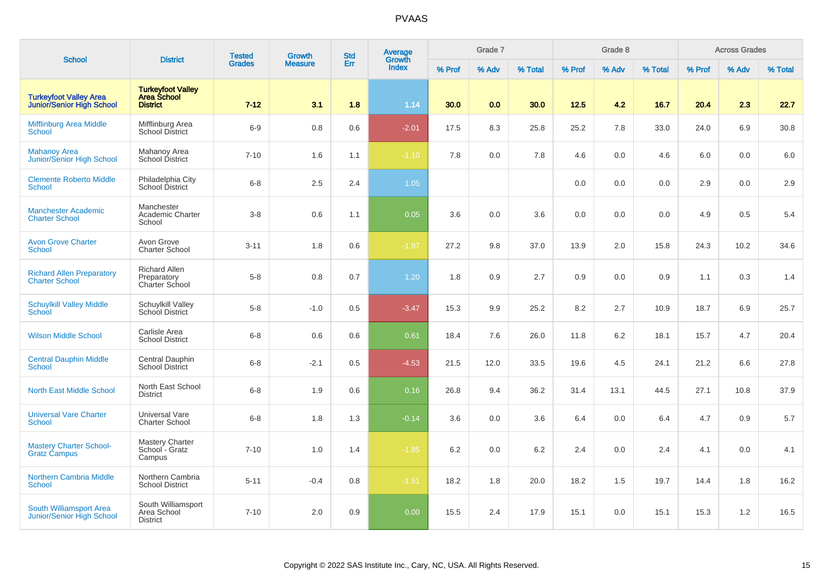| <b>School</b>                                                     | <b>District</b>                                                   | <b>Tested</b> | <b>Growth</b>  | <b>Std</b> | Average<br>Growth |        | Grade 7 |         |        | Grade 8 |         |        | <b>Across Grades</b> |         |
|-------------------------------------------------------------------|-------------------------------------------------------------------|---------------|----------------|------------|-------------------|--------|---------|---------|--------|---------|---------|--------|----------------------|---------|
|                                                                   |                                                                   | <b>Grades</b> | <b>Measure</b> | Err        | <b>Index</b>      | % Prof | % Adv   | % Total | % Prof | % Adv   | % Total | % Prof | % Adv                | % Total |
| <b>Turkeyfoot Valley Area</b><br><b>Junior/Senior High School</b> | <b>Turkeyfoot Valley</b><br><b>Area School</b><br><b>District</b> | $7 - 12$      | 3.1            | 1.8        | 1.14              | 30.0   | 0.0     | 30.0    | 12.5   | 4.2     | 16.7    | 20.4   | 2.3                  | 22.7    |
| <b>Mifflinburg Area Middle</b><br>School                          | Mifflinburg Area<br><b>School District</b>                        | $6-9$         | $0.8\,$        | 0.6        | $-2.01$           | 17.5   | 8.3     | 25.8    | 25.2   | 7.8     | 33.0    | 24.0   | 6.9                  | 30.8    |
| <b>Mahanoy Area</b><br>Junior/Senior High School                  | Mahanoy Area<br>School District                                   | $7 - 10$      | 1.6            | 1.1        | $-1.10$           | 7.8    | 0.0     | 7.8     | 4.6    | 0.0     | 4.6     | 6.0    | 0.0                  | 6.0     |
| <b>Clemente Roberto Middle</b><br><b>School</b>                   | Philadelphia City<br>School District                              | $6 - 8$       | 2.5            | 2.4        | 1.05              |        |         |         | 0.0    | 0.0     | 0.0     | 2.9    | 0.0                  | 2.9     |
| <b>Manchester Academic</b><br><b>Charter School</b>               | Manchester<br>Academic Charter<br>School                          | $3 - 8$       | 0.6            | 1.1        | 0.05              | 3.6    | 0.0     | 3.6     | 0.0    | 0.0     | 0.0     | 4.9    | 0.5                  | 5.4     |
| <b>Avon Grove Charter</b><br>School                               | Avon Grove<br><b>Charter School</b>                               | $3 - 11$      | 1.8            | 0.6        | $-1.97$           | 27.2   | 9.8     | 37.0    | 13.9   | 2.0     | 15.8    | 24.3   | 10.2                 | 34.6    |
| <b>Richard Allen Preparatory</b><br><b>Charter School</b>         | <b>Richard Allen</b><br>Preparatory<br>Charter School             | $5 - 8$       | $0.8\,$        | 0.7        | 1.20              | 1.8    | 0.9     | 2.7     | 0.9    | 0.0     | 0.9     | 1.1    | 0.3                  | 1.4     |
| <b>Schuylkill Valley Middle</b><br><b>School</b>                  | Schuylkill Valley<br>School District                              | $5 - 8$       | $-1.0$         | 0.5        | $-3.47$           | 15.3   | 9.9     | 25.2    | 8.2    | 2.7     | 10.9    | 18.7   | 6.9                  | 25.7    |
| <b>Wilson Middle School</b>                                       | Carlisle Area<br><b>School District</b>                           | $6 - 8$       | 0.6            | 0.6        | 0.61              | 18.4   | 7.6     | 26.0    | 11.8   | 6.2     | 18.1    | 15.7   | 4.7                  | 20.4    |
| <b>Central Dauphin Middle</b><br>School                           | Central Dauphin<br><b>School District</b>                         | $6 - 8$       | $-2.1$         | 0.5        | $-4.53$           | 21.5   | 12.0    | 33.5    | 19.6   | 4.5     | 24.1    | 21.2   | 6.6                  | 27.8    |
| <b>North East Middle School</b>                                   | North East School<br><b>District</b>                              | $6 - 8$       | 1.9            | 0.6        | 0.16              | 26.8   | 9.4     | 36.2    | 31.4   | 13.1    | 44.5    | 27.1   | 10.8                 | 37.9    |
| <b>Universal Vare Charter</b><br>School                           | Universal Vare<br><b>Charter School</b>                           | $6 - 8$       | 1.8            | 1.3        | $-0.14$           | 3.6    | 0.0     | 3.6     | 6.4    | 0.0     | 6.4     | 4.7    | 0.9                  | 5.7     |
| <b>Mastery Charter School-</b><br><b>Gratz Campus</b>             | <b>Mastery Charter</b><br>School - Gratz<br>Campus                | $7 - 10$      | 1.0            | 1.4        | $-1.85$           | 6.2    | 0.0     | 6.2     | 2.4    | 0.0     | 2.4     | 4.1    | 0.0                  | 4.1     |
| <b>Northern Cambria Middle</b><br>School                          | Northern Cambria<br><b>School District</b>                        | $5 - 11$      | $-0.4$         | 0.8        | $-1.51$           | 18.2   | 1.8     | 20.0    | 18.2   | 1.5     | 19.7    | 14.4   | 1.8                  | 16.2    |
| South Williamsport Area<br><b>Junior/Senior High School</b>       | South Williamsport<br>Area School<br><b>District</b>              | $7 - 10$      | 2.0            | 0.9        | 0.00              | 15.5   | 2.4     | 17.9    | 15.1   | 0.0     | 15.1    | 15.3   | 1.2                  | 16.5    |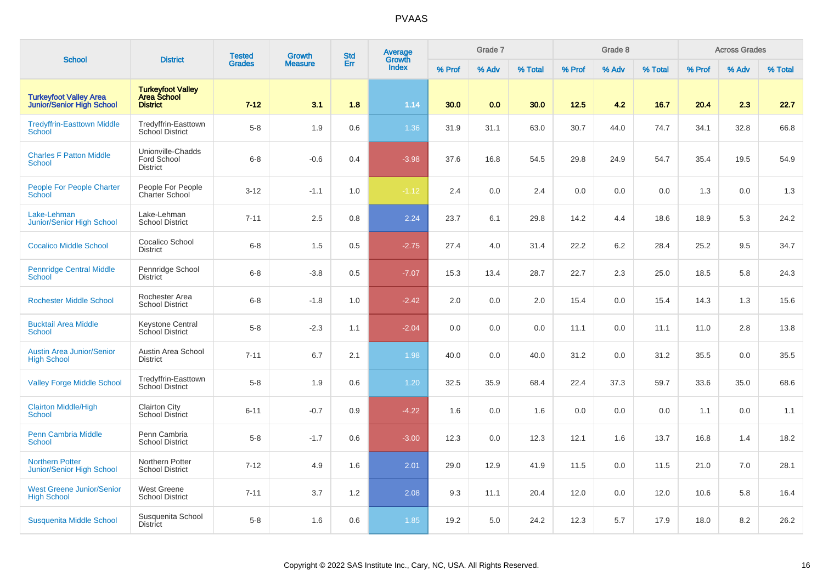| <b>School</b>                                                     | <b>District</b>                                                   | <b>Tested</b> | Growth         | <b>Std</b> | Average<br>Growth |        | Grade 7 |         |        | Grade 8 |         |        | <b>Across Grades</b> |         |
|-------------------------------------------------------------------|-------------------------------------------------------------------|---------------|----------------|------------|-------------------|--------|---------|---------|--------|---------|---------|--------|----------------------|---------|
|                                                                   |                                                                   | <b>Grades</b> | <b>Measure</b> | Err        | <b>Index</b>      | % Prof | % Adv   | % Total | % Prof | % Adv   | % Total | % Prof | % Adv                | % Total |
| <b>Turkeyfoot Valley Area</b><br><b>Junior/Senior High School</b> | <b>Turkeyfoot Valley</b><br><b>Area School</b><br><b>District</b> | $7 - 12$      | 3.1            | 1.8        | 1.14              | 30.0   | 0.0     | 30.0    | 12.5   | 4.2     | 16.7    | 20.4   | 2.3                  | 22.7    |
| <b>Tredyffrin-Easttown Middle</b><br>School                       | Tredyffrin-Easttown<br>School District                            | $5-8$         | 1.9            | 0.6        | 1.36              | 31.9   | 31.1    | 63.0    | 30.7   | 44.0    | 74.7    | 34.1   | 32.8                 | 66.8    |
| <b>Charles F Patton Middle</b><br><b>School</b>                   | Unionville-Chadds<br>Ford School<br><b>District</b>               | $6 - 8$       | $-0.6$         | 0.4        | $-3.98$           | 37.6   | 16.8    | 54.5    | 29.8   | 24.9    | 54.7    | 35.4   | 19.5                 | 54.9    |
| <b>People For People Charter</b><br>School                        | People For People<br>Charter School                               | $3 - 12$      | $-1.1$         | 1.0        | $-1.12$           | 2.4    | 0.0     | 2.4     | 0.0    | 0.0     | 0.0     | 1.3    | 0.0                  | 1.3     |
| Lake-Lehman<br><b>Junior/Senior High School</b>                   | Lake-Lehman<br><b>School District</b>                             | $7 - 11$      | 2.5            | 0.8        | 2.24              | 23.7   | 6.1     | 29.8    | 14.2   | 4.4     | 18.6    | 18.9   | 5.3                  | 24.2    |
| <b>Cocalico Middle School</b>                                     | Cocalico School<br><b>District</b>                                | $6 - 8$       | 1.5            | 0.5        | $-2.75$           | 27.4   | 4.0     | 31.4    | 22.2   | $6.2\,$ | 28.4    | 25.2   | 9.5                  | 34.7    |
| <b>Pennridge Central Middle</b><br>School                         | Pennridge School<br><b>District</b>                               | $6 - 8$       | $-3.8$         | 0.5        | $-7.07$           | 15.3   | 13.4    | 28.7    | 22.7   | 2.3     | 25.0    | 18.5   | 5.8                  | 24.3    |
| <b>Rochester Middle School</b>                                    | Rochester Area<br><b>School District</b>                          | $6 - 8$       | $-1.8$         | 1.0        | $-2.42$           | 2.0    | 0.0     | 2.0     | 15.4   | 0.0     | 15.4    | 14.3   | 1.3                  | 15.6    |
| <b>Bucktail Area Middle</b><br><b>School</b>                      | <b>Keystone Central</b><br>School District                        | $5 - 8$       | $-2.3$         | 1.1        | $-2.04$           | 0.0    | 0.0     | 0.0     | 11.1   | 0.0     | 11.1    | 11.0   | 2.8                  | 13.8    |
| <b>Austin Area Junior/Senior</b><br><b>High School</b>            | Austin Area School<br><b>District</b>                             | $7 - 11$      | 6.7            | 2.1        | 1.98              | 40.0   | 0.0     | 40.0    | 31.2   | 0.0     | 31.2    | 35.5   | 0.0                  | 35.5    |
| <b>Valley Forge Middle School</b>                                 | Tredyffrin-Easttown<br>School District                            | $5-8$         | 1.9            | 0.6        | 1.20              | 32.5   | 35.9    | 68.4    | 22.4   | 37.3    | 59.7    | 33.6   | 35.0                 | 68.6    |
| <b>Clairton Middle/High</b><br><b>School</b>                      | <b>Clairton City</b><br><b>School District</b>                    | $6 - 11$      | $-0.7$         | 0.9        | $-4.22$           | 1.6    | 0.0     | 1.6     | 0.0    | 0.0     | 0.0     | 1.1    | 0.0                  | 1.1     |
| <b>Penn Cambria Middle</b><br><b>School</b>                       | Penn Cambria<br><b>School District</b>                            | $5-8$         | $-1.7$         | 0.6        | $-3.00$           | 12.3   | 0.0     | 12.3    | 12.1   | 1.6     | 13.7    | 16.8   | 1.4                  | 18.2    |
| <b>Northern Potter</b><br><b>Junior/Senior High School</b>        | Northern Potter<br><b>School District</b>                         | $7 - 12$      | 4.9            | 1.6        | 2.01              | 29.0   | 12.9    | 41.9    | 11.5   | 0.0     | 11.5    | 21.0   | 7.0                  | 28.1    |
| <b>West Greene Junior/Senior</b><br><b>High School</b>            | <b>West Greene</b><br><b>School District</b>                      | $7 - 11$      | 3.7            | 1.2        | 2.08              | 9.3    | 11.1    | 20.4    | 12.0   | 0.0     | 12.0    | 10.6   | 5.8                  | 16.4    |
| Susquenita Middle School                                          | Susquenita School<br><b>District</b>                              | $5-8$         | 1.6            | 0.6        | 1.85              | 19.2   | 5.0     | 24.2    | 12.3   | 5.7     | 17.9    | 18.0   | 8.2                  | 26.2    |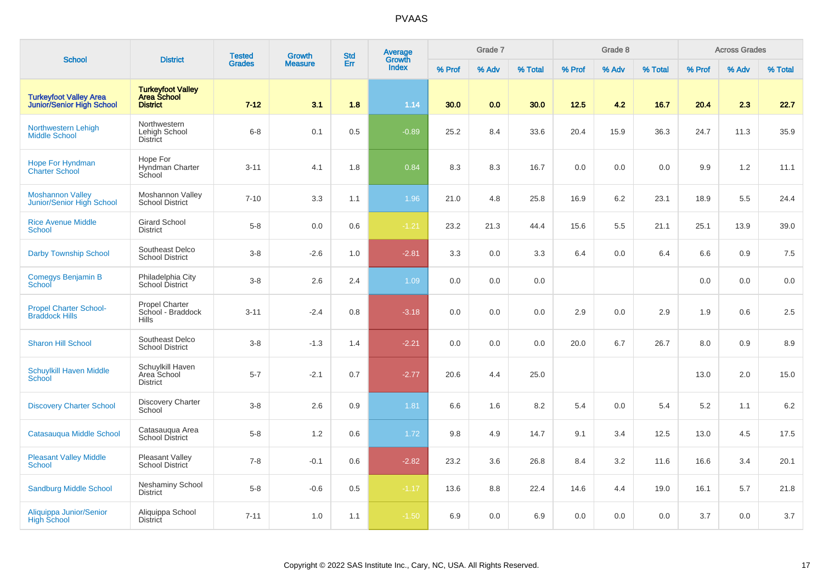| <b>School</b>                                                     | <b>District</b>                                            | <b>Tested</b> | Growth         | <b>Std</b> | Average<br>Growth |        | Grade 7 |         |        | Grade 8 |         |        | <b>Across Grades</b> |         |
|-------------------------------------------------------------------|------------------------------------------------------------|---------------|----------------|------------|-------------------|--------|---------|---------|--------|---------|---------|--------|----------------------|---------|
|                                                                   |                                                            | <b>Grades</b> | <b>Measure</b> | Err        | <b>Index</b>      | % Prof | % Adv   | % Total | % Prof | % Adv   | % Total | % Prof | % Adv                | % Total |
| <b>Turkeyfoot Valley Area</b><br><b>Junior/Senior High School</b> | <b>Turkeyfoot Valley</b><br>Area School<br><b>District</b> | $7 - 12$      | 3.1            | 1.8        | 1.14              | 30.0   | 0.0     | 30.0    | 12.5   | 4.2     | 16.7    | 20.4   | 2.3                  | 22.7    |
| Northwestern Lehigh<br><b>Middle School</b>                       | Northwestern<br>Lehigh School<br><b>District</b>           | $6 - 8$       | 0.1            | 0.5        | $-0.89$           | 25.2   | 8.4     | 33.6    | 20.4   | 15.9    | 36.3    | 24.7   | 11.3                 | 35.9    |
| <b>Hope For Hyndman</b><br><b>Charter School</b>                  | Hope For<br>Hyndman Charter<br>School                      | $3 - 11$      | 4.1            | 1.8        | 0.84              | 8.3    | 8.3     | 16.7    | 0.0    | 0.0     | 0.0     | 9.9    | 1.2                  | 11.1    |
| <b>Moshannon Valley</b><br>Junior/Senior High School              | Moshannon Valley<br><b>School District</b>                 | $7 - 10$      | 3.3            | 1.1        | 1.96              | 21.0   | 4.8     | 25.8    | 16.9   | $6.2\,$ | 23.1    | 18.9   | 5.5                  | 24.4    |
| <b>Rice Avenue Middle</b><br><b>School</b>                        | <b>Girard School</b><br><b>District</b>                    | $5-8$         | 0.0            | 0.6        | $-1.21$           | 23.2   | 21.3    | 44.4    | 15.6   | 5.5     | 21.1    | 25.1   | 13.9                 | 39.0    |
| <b>Darby Township School</b>                                      | Southeast Delco<br><b>School District</b>                  | $3-8$         | $-2.6$         | 1.0        | $-2.81$           | 3.3    | 0.0     | 3.3     | 6.4    | 0.0     | 6.4     | 6.6    | 0.9                  | 7.5     |
| Comegys Benjamin B<br>School                                      | Philadelphia City<br>School District                       | $3-8$         | 2.6            | 2.4        | 1.09              | 0.0    | 0.0     | 0.0     |        |         |         | 0.0    | 0.0                  | 0.0     |
| <b>Propel Charter School-</b><br><b>Braddock Hills</b>            | Propel Charter<br>School - Braddock<br><b>Hills</b>        | $3 - 11$      | $-2.4$         | 0.8        | $-3.18$           | 0.0    | 0.0     | 0.0     | 2.9    | 0.0     | 2.9     | 1.9    | 0.6                  | 2.5     |
| <b>Sharon Hill School</b>                                         | Southeast Delco<br><b>School District</b>                  | $3-8$         | $-1.3$         | 1.4        | $-2.21$           | 0.0    | 0.0     | 0.0     | 20.0   | 6.7     | 26.7    | 8.0    | 0.9                  | 8.9     |
| <b>Schuylkill Haven Middle</b><br><b>School</b>                   | Schuylkill Haven<br>Area School<br><b>District</b>         | $5 - 7$       | $-2.1$         | 0.7        | $-2.77$           | 20.6   | 4.4     | 25.0    |        |         |         | 13.0   | 2.0                  | 15.0    |
| <b>Discovery Charter School</b>                                   | <b>Discovery Charter</b><br>School                         | $3 - 8$       | 2.6            | 0.9        | 1.81              | 6.6    | 1.6     | 8.2     | 5.4    | 0.0     | 5.4     | 5.2    | 1.1                  | $6.2\,$ |
| Catasauqua Middle School                                          | Catasauqua Area<br>School District                         | $5-8$         | 1.2            | 0.6        | 1.72              | 9.8    | 4.9     | 14.7    | 9.1    | 3.4     | 12.5    | 13.0   | 4.5                  | 17.5    |
| <b>Pleasant Valley Middle</b><br><b>School</b>                    | Pleasant Valley<br>School District                         | $7 - 8$       | $-0.1$         | 0.6        | $-2.82$           | 23.2   | 3.6     | 26.8    | 8.4    | 3.2     | 11.6    | 16.6   | 3.4                  | 20.1    |
| <b>Sandburg Middle School</b>                                     | Neshaminy School<br><b>District</b>                        | $5-8$         | $-0.6$         | 0.5        | $-1.17$           | 13.6   | 8.8     | 22.4    | 14.6   | 4.4     | 19.0    | 16.1   | 5.7                  | 21.8    |
| Aliquippa Junior/Senior<br>High School                            | Aliquippa School<br><b>District</b>                        | $7 - 11$      | 1.0            | 1.1        | $-1.50$           | 6.9    | 0.0     | 6.9     | 0.0    | 0.0     | 0.0     | 3.7    | 0.0                  | 3.7     |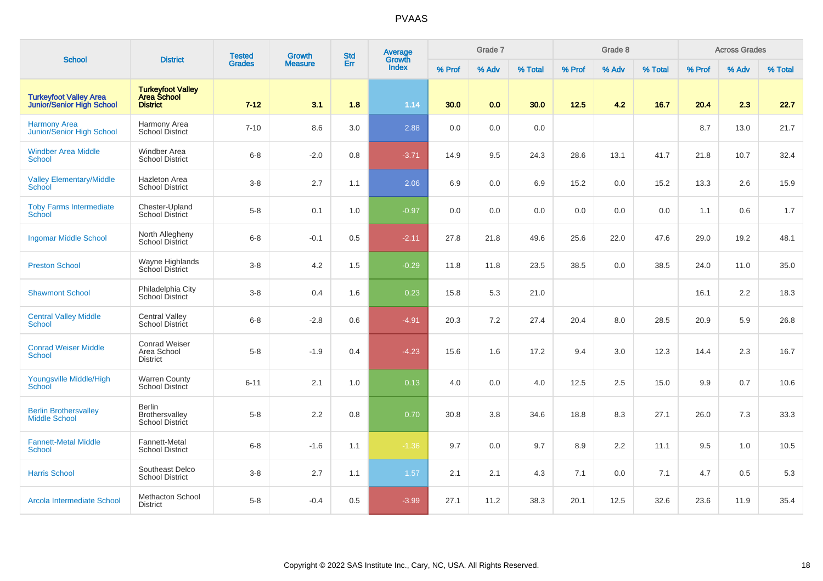| <b>School</b>                                                     | <b>District</b>                                                   | <b>Tested</b> | <b>Growth</b>  | <b>Std</b> | Average<br>Growth |        | Grade 7 |         |        | Grade 8 |         |        | <b>Across Grades</b> |         |
|-------------------------------------------------------------------|-------------------------------------------------------------------|---------------|----------------|------------|-------------------|--------|---------|---------|--------|---------|---------|--------|----------------------|---------|
|                                                                   |                                                                   | <b>Grades</b> | <b>Measure</b> | Err        | Index             | % Prof | % Adv   | % Total | % Prof | % Adv   | % Total | % Prof | % Adv                | % Total |
| <b>Turkeyfoot Valley Area</b><br><b>Junior/Senior High School</b> | <b>Turkeyfoot Valley</b><br><b>Area School</b><br><b>District</b> | $7 - 12$      | 3.1            | 1.8        | 1.14              | 30.0   | 0.0     | 30.0    | 12.5   | 4.2     | 16.7    | 20.4   | 2.3                  | 22.7    |
| <b>Harmony Area</b><br>Junior/Senior High School                  | Harmony Area<br>School District                                   | $7 - 10$      | 8.6            | 3.0        | 2.88              | 0.0    | 0.0     | 0.0     |        |         |         | 8.7    | 13.0                 | 21.7    |
| <b>Windber Area Middle</b><br><b>School</b>                       | <b>Windber Area</b><br><b>School District</b>                     | $6 - 8$       | $-2.0$         | 0.8        | $-3.71$           | 14.9   | 9.5     | 24.3    | 28.6   | 13.1    | 41.7    | 21.8   | 10.7                 | 32.4    |
| <b>Valley Elementary/Middle</b><br>School                         | <b>Hazleton Area</b><br><b>School District</b>                    | $3-8$         | 2.7            | 1.1        | 2.06              | 6.9    | 0.0     | 6.9     | 15.2   | 0.0     | 15.2    | 13.3   | 2.6                  | 15.9    |
| <b>Toby Farms Intermediate</b><br><b>School</b>                   | Chester-Upland<br><b>School District</b>                          | $5-8$         | 0.1            | 1.0        | $-0.97$           | 0.0    | 0.0     | 0.0     | 0.0    | 0.0     | 0.0     | 1.1    | 0.6                  | 1.7     |
| <b>Ingomar Middle School</b>                                      | North Allegheny<br><b>School District</b>                         | $6 - 8$       | $-0.1$         | 0.5        | $-2.11$           | 27.8   | 21.8    | 49.6    | 25.6   | 22.0    | 47.6    | 29.0   | 19.2                 | 48.1    |
| <b>Preston School</b>                                             | Wayne Highlands<br>School District                                | $3-8$         | 4.2            | 1.5        | $-0.29$           | 11.8   | 11.8    | 23.5    | 38.5   | 0.0     | 38.5    | 24.0   | 11.0                 | 35.0    |
| <b>Shawmont School</b>                                            | Philadelphia City<br>School District                              | $3-8$         | 0.4            | 1.6        | 0.23              | 15.8   | 5.3     | 21.0    |        |         |         | 16.1   | 2.2                  | 18.3    |
| <b>Central Valley Middle</b><br>School                            | <b>Central Valley</b><br><b>School District</b>                   | $6 - 8$       | $-2.8$         | 0.6        | $-4.91$           | 20.3   | 7.2     | 27.4    | 20.4   | 8.0     | 28.5    | 20.9   | 5.9                  | 26.8    |
| <b>Conrad Weiser Middle</b><br><b>School</b>                      | <b>Conrad Weiser</b><br>Area School<br><b>District</b>            | $5-8$         | $-1.9$         | 0.4        | $-4.23$           | 15.6   | 1.6     | 17.2    | 9.4    | 3.0     | 12.3    | 14.4   | 2.3                  | 16.7    |
| Youngsville Middle/High<br>School                                 | <b>Warren County</b><br>School District                           | $6 - 11$      | 2.1            | 1.0        | 0.13              | 4.0    | 0.0     | 4.0     | 12.5   | 2.5     | 15.0    | 9.9    | 0.7                  | 10.6    |
| <b>Berlin Brothersvalley</b><br><b>Middle School</b>              | <b>Berlin</b><br>Brothersvalley<br>School District                | $5-8$         | 2.2            | 0.8        | 0.70              | 30.8   | 3.8     | 34.6    | 18.8   | 8.3     | 27.1    | 26.0   | 7.3                  | 33.3    |
| <b>Fannett-Metal Middle</b><br>School                             | Fannett-Metal<br><b>School District</b>                           | $6 - 8$       | $-1.6$         | 1.1        | $-1.36$           | 9.7    | 0.0     | 9.7     | 8.9    | 2.2     | 11.1    | 9.5    | 1.0                  | 10.5    |
| <b>Harris School</b>                                              | Southeast Delco<br><b>School District</b>                         | $3-8$         | 2.7            | 1.1        | 1.57              | 2.1    | 2.1     | 4.3     | 7.1    | 0.0     | 7.1     | 4.7    | 0.5                  | 5.3     |
| Arcola Intermediate School                                        | Methacton School<br><b>District</b>                               | $5-8$         | $-0.4$         | 0.5        | $-3.99$           | 27.1   | 11.2    | 38.3    | 20.1   | 12.5    | 32.6    | 23.6   | 11.9                 | 35.4    |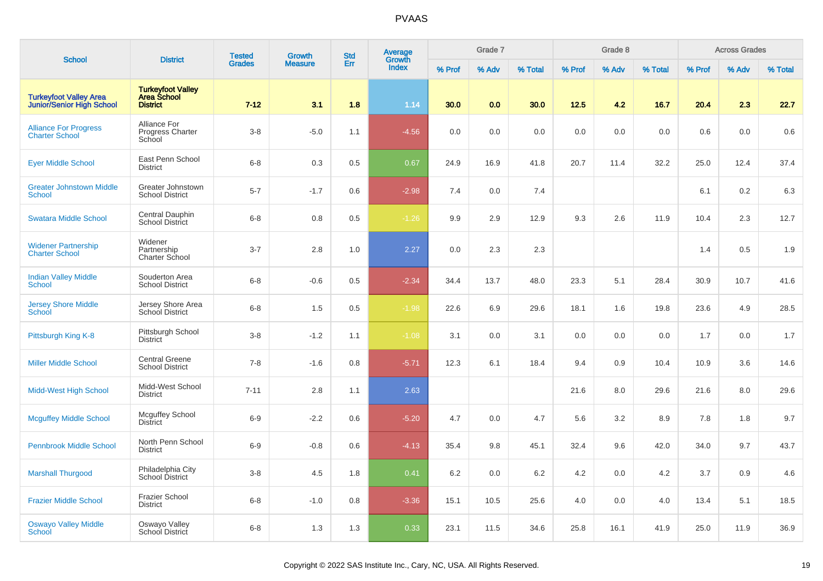| <b>School</b>                                                     | <b>District</b>                                                   | <b>Tested</b> | <b>Growth</b>  | <b>Std</b> | <b>Average</b>         |        | Grade 7 |         |        | Grade 8 |         |        | <b>Across Grades</b> |         |
|-------------------------------------------------------------------|-------------------------------------------------------------------|---------------|----------------|------------|------------------------|--------|---------|---------|--------|---------|---------|--------|----------------------|---------|
|                                                                   |                                                                   | <b>Grades</b> | <b>Measure</b> | Err        | Growth<br><b>Index</b> | % Prof | % Adv   | % Total | % Prof | % Adv   | % Total | % Prof | % Adv                | % Total |
| <b>Turkeyfoot Valley Area</b><br><b>Junior/Senior High School</b> | <b>Turkeyfoot Valley</b><br><b>Area School</b><br><b>District</b> | $7 - 12$      | 3.1            | 1.8        | 1.14                   | 30.0   | 0.0     | 30.0    | 12.5   | 4.2     | 16.7    | 20.4   | 2.3                  | 22.7    |
| <b>Alliance For Progress</b><br><b>Charter School</b>             | <b>Alliance For</b><br>Progress Charter<br>School                 | $3 - 8$       | $-5.0$         | 1.1        | $-4.56$                | 0.0    | 0.0     | 0.0     | 0.0    | 0.0     | 0.0     | 0.6    | 0.0                  | 0.6     |
| <b>Eyer Middle School</b>                                         | East Penn School<br><b>District</b>                               | $6 - 8$       | 0.3            | 0.5        | 0.67                   | 24.9   | 16.9    | 41.8    | 20.7   | 11.4    | 32.2    | 25.0   | 12.4                 | 37.4    |
| <b>Greater Johnstown Middle</b><br><b>School</b>                  | Greater Johnstown<br><b>School District</b>                       | $5 - 7$       | $-1.7$         | 0.6        | $-2.98$                | 7.4    | 0.0     | 7.4     |        |         |         | 6.1    | 0.2                  | 6.3     |
| <b>Swatara Middle School</b>                                      | Central Dauphin<br>School District                                | $6 - 8$       | $0.8\,$        | 0.5        | $-1.26$                | 9.9    | 2.9     | 12.9    | 9.3    | 2.6     | 11.9    | 10.4   | 2.3                  | 12.7    |
| <b>Widener Partnership</b><br><b>Charter School</b>               | Widener<br>Partnership<br>Charter School                          | $3 - 7$       | 2.8            | 1.0        | 2.27                   | 0.0    | 2.3     | 2.3     |        |         |         | 1.4    | 0.5                  | 1.9     |
| <b>Indian Valley Middle</b><br><b>School</b>                      | Souderton Area<br><b>School District</b>                          | $6 - 8$       | $-0.6$         | 0.5        | $-2.34$                | 34.4   | 13.7    | 48.0    | 23.3   | 5.1     | 28.4    | 30.9   | 10.7                 | 41.6    |
| <b>Jersey Shore Middle</b><br>School                              | Jersey Shore Area<br>School District                              | $6 - 8$       | 1.5            | 0.5        | $-1.98$                | 22.6   | 6.9     | 29.6    | 18.1   | 1.6     | 19.8    | 23.6   | 4.9                  | 28.5    |
| Pittsburgh King K-8                                               | Pittsburgh School<br><b>District</b>                              | $3 - 8$       | $-1.2$         | 1.1        | $-1.08$                | 3.1    | 0.0     | 3.1     | 0.0    | 0.0     | 0.0     | 1.7    | 0.0                  | 1.7     |
| <b>Miller Middle School</b>                                       | <b>Central Greene</b><br><b>School District</b>                   | $7 - 8$       | $-1.6$         | 0.8        | $-5.71$                | 12.3   | 6.1     | 18.4    | 9.4    | 0.9     | 10.4    | 10.9   | 3.6                  | 14.6    |
| Midd-West High School                                             | Midd-West School<br><b>District</b>                               | $7 - 11$      | 2.8            | 1.1        | 2.63                   |        |         |         | 21.6   | 8.0     | 29.6    | 21.6   | 8.0                  | 29.6    |
| <b>Mcguffey Middle School</b>                                     | <b>Mcguffey School</b><br><b>District</b>                         | $6-9$         | $-2.2$         | 0.6        | $-5.20$                | 4.7    | 0.0     | 4.7     | 5.6    | 3.2     | 8.9     | 7.8    | 1.8                  | 9.7     |
| <b>Pennbrook Middle School</b>                                    | North Penn School<br><b>District</b>                              | $6-9$         | $-0.8$         | 0.6        | $-4.13$                | 35.4   | 9.8     | 45.1    | 32.4   | 9.6     | 42.0    | 34.0   | 9.7                  | 43.7    |
| <b>Marshall Thurgood</b>                                          | Philadelphia City<br>School District                              | $3 - 8$       | 4.5            | 1.8        | 0.41                   | 6.2    | 0.0     | 6.2     | 4.2    | 0.0     | 4.2     | 3.7    | 0.9                  | 4.6     |
| <b>Frazier Middle School</b>                                      | <b>Frazier School</b><br><b>District</b>                          | $6 - 8$       | $-1.0$         | 0.8        | $-3.36$                | 15.1   | 10.5    | 25.6    | 4.0    | 0.0     | 4.0     | 13.4   | 5.1                  | 18.5    |
| <b>Oswayo Valley Middle</b><br><b>School</b>                      | Oswayo Valley<br><b>School District</b>                           | $6 - 8$       | 1.3            | 1.3        | 0.33                   | 23.1   | 11.5    | 34.6    | 25.8   | 16.1    | 41.9    | 25.0   | 11.9                 | 36.9    |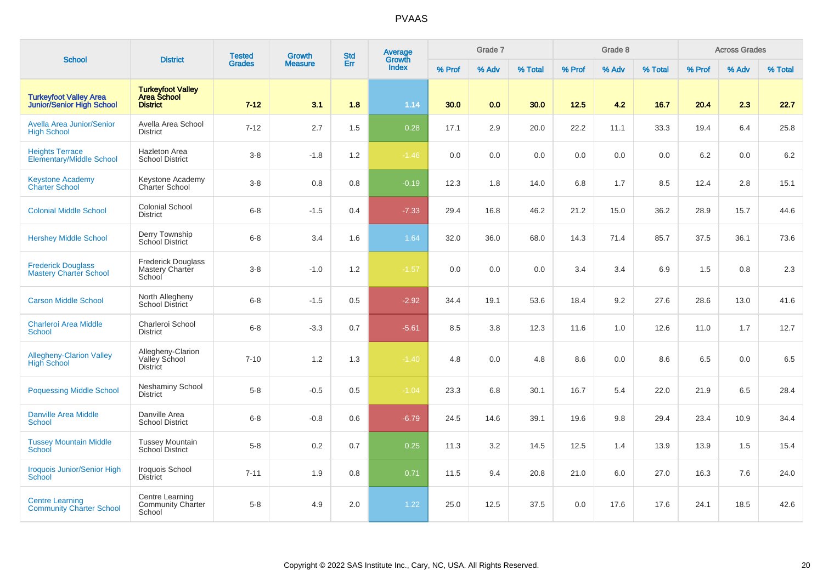| <b>School</b>                                                     | <b>District</b>                                                   | <b>Tested</b> | Growth         | <b>Std</b> | Average<br>Growth |        | Grade 7 |         |        | Grade 8 |         |        | <b>Across Grades</b> |         |
|-------------------------------------------------------------------|-------------------------------------------------------------------|---------------|----------------|------------|-------------------|--------|---------|---------|--------|---------|---------|--------|----------------------|---------|
|                                                                   |                                                                   | <b>Grades</b> | <b>Measure</b> | Err        | <b>Index</b>      | % Prof | % Adv   | % Total | % Prof | % Adv   | % Total | % Prof | % Adv                | % Total |
| <b>Turkeyfoot Valley Area</b><br><b>Junior/Senior High School</b> | <b>Turkeyfoot Valley</b><br><b>Area School</b><br><b>District</b> | $7 - 12$      | 3.1            | 1.8        | 1.14              | 30.0   | 0.0     | 30.0    | 12.5   | 4.2     | 16.7    | 20.4   | 2.3                  | 22.7    |
| <b>Avella Area Junior/Senior</b><br><b>High School</b>            | Avella Area School<br><b>District</b>                             | $7 - 12$      | 2.7            | 1.5        | 0.28              | 17.1   | 2.9     | 20.0    | 22.2   | 11.1    | 33.3    | 19.4   | 6.4                  | 25.8    |
| <b>Heights Terrace</b><br><b>Elementary/Middle School</b>         | <b>Hazleton Area</b><br><b>School District</b>                    | $3-8$         | $-1.8$         | 1.2        | $-1.46$           | 0.0    | 0.0     | 0.0     | 0.0    | 0.0     | 0.0     | 6.2    | 0.0                  | 6.2     |
| <b>Keystone Academy</b><br><b>Charter School</b>                  | Keystone Academy<br>Charter School                                | $3 - 8$       | 0.8            | 0.8        | $-0.19$           | 12.3   | 1.8     | 14.0    | 6.8    | 1.7     | 8.5     | 12.4   | 2.8                  | 15.1    |
| <b>Colonial Middle School</b>                                     | <b>Colonial School</b><br><b>District</b>                         | $6 - 8$       | $-1.5$         | 0.4        | $-7.33$           | 29.4   | 16.8    | 46.2    | 21.2   | 15.0    | 36.2    | 28.9   | 15.7                 | 44.6    |
| <b>Hershey Middle School</b>                                      | Derry Township<br>School District                                 | $6 - 8$       | 3.4            | 1.6        | 1.64              | 32.0   | 36.0    | 68.0    | 14.3   | 71.4    | 85.7    | 37.5   | 36.1                 | 73.6    |
| <b>Frederick Douglass</b><br><b>Mastery Charter School</b>        | <b>Frederick Douglass</b><br>Mastery Charter<br>School            | $3 - 8$       | $-1.0$         | 1.2        | $-1.57$           | 0.0    | 0.0     | 0.0     | 3.4    | 3.4     | 6.9     | 1.5    | 0.8                  | 2.3     |
| <b>Carson Middle School</b>                                       | North Allegheny<br><b>School District</b>                         | $6 - 8$       | $-1.5$         | 0.5        | $-2.92$           | 34.4   | 19.1    | 53.6    | 18.4   | 9.2     | 27.6    | 28.6   | 13.0                 | 41.6    |
| <b>Charleroi Area Middle</b><br><b>School</b>                     | Charleroi School<br><b>District</b>                               | $6 - 8$       | $-3.3$         | 0.7        | $-5.61$           | 8.5    | 3.8     | 12.3    | 11.6   | 1.0     | 12.6    | 11.0   | 1.7                  | 12.7    |
| <b>Allegheny-Clarion Valley</b><br><b>High School</b>             | Allegheny-Clarion<br>Valley School<br><b>District</b>             | $7 - 10$      | 1.2            | 1.3        | $-1.40$           | 4.8    | 0.0     | 4.8     | 8.6    | 0.0     | 8.6     | 6.5    | 0.0                  | 6.5     |
| <b>Poquessing Middle School</b>                                   | <b>Neshaminy School</b><br><b>District</b>                        | $5 - 8$       | $-0.5$         | 0.5        | $-1.04$           | 23.3   | 6.8     | 30.1    | 16.7   | 5.4     | 22.0    | 21.9   | 6.5                  | 28.4    |
| <b>Danville Area Middle</b><br><b>School</b>                      | Danville Area<br><b>School District</b>                           | $6 - 8$       | $-0.8$         | 0.6        | $-6.79$           | 24.5   | 14.6    | 39.1    | 19.6   | 9.8     | 29.4    | 23.4   | 10.9                 | 34.4    |
| <b>Tussey Mountain Middle</b><br>School                           | <b>Tussey Mountain</b><br>School District                         | $5-8$         | $0.2\,$        | 0.7        | 0.25              | 11.3   | 3.2     | 14.5    | 12.5   | 1.4     | 13.9    | 13.9   | 1.5                  | 15.4    |
| <b>Iroquois Junior/Senior High</b><br><b>School</b>               | Iroquois School<br><b>District</b>                                | $7 - 11$      | 1.9            | 0.8        | 0.71              | 11.5   | 9.4     | 20.8    | 21.0   | 6.0     | 27.0    | 16.3   | 7.6                  | 24.0    |
| <b>Centre Learning</b><br><b>Community Charter School</b>         | Centre Learning<br><b>Community Charter</b><br>School             | $5 - 8$       | 4.9            | 2.0        | 1.22              | 25.0   | 12.5    | 37.5    | 0.0    | 17.6    | 17.6    | 24.1   | 18.5                 | 42.6    |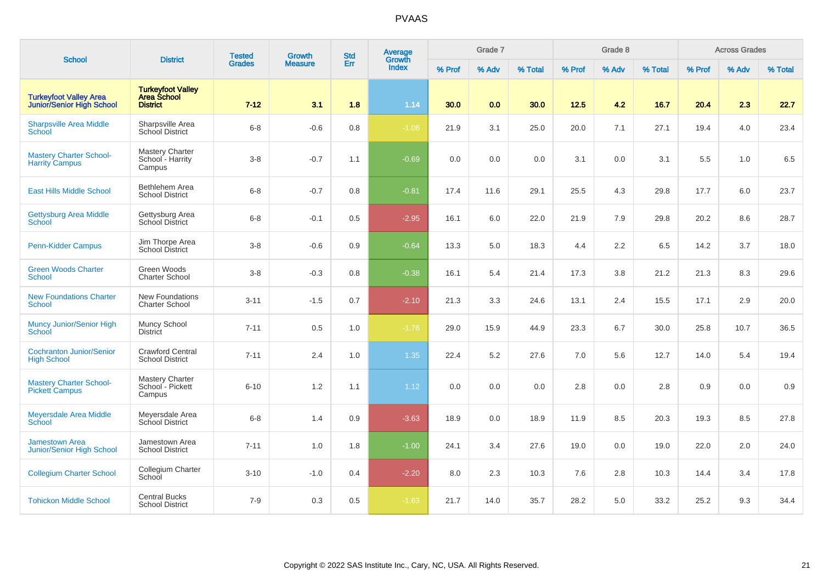| <b>School</b>                                                     |                                                                   | <b>Tested</b> | Growth         | <b>Std</b> | Average                |        | Grade 7 |         |        | Grade 8 |         |        | <b>Across Grades</b> |         |
|-------------------------------------------------------------------|-------------------------------------------------------------------|---------------|----------------|------------|------------------------|--------|---------|---------|--------|---------|---------|--------|----------------------|---------|
|                                                                   | <b>District</b>                                                   | <b>Grades</b> | <b>Measure</b> | Err        | Growth<br><b>Index</b> | % Prof | % Adv   | % Total | % Prof | % Adv   | % Total | % Prof | % Adv                | % Total |
| <b>Turkeyfoot Valley Area</b><br><b>Junior/Senior High School</b> | <b>Turkeyfoot Valley</b><br><b>Area School</b><br><b>District</b> | $7 - 12$      | 3.1            | 1.8        | 1.14                   | 30.0   | 0.0     | 30.0    | 12.5   | 4.2     | 16.7    | 20.4   | 2.3                  | 22.7    |
| <b>Sharpsville Area Middle</b><br>School                          | Sharpsville Area<br>School District                               | $6-8$         | $-0.6$         | 0.8        | $-1.06$                | 21.9   | 3.1     | 25.0    | 20.0   | 7.1     | 27.1    | 19.4   | 4.0                  | 23.4    |
| <b>Mastery Charter School-</b><br><b>Harrity Campus</b>           | <b>Mastery Charter</b><br>School - Harrity<br>Campus              | $3-8$         | $-0.7$         | 1.1        | $-0.69$                | 0.0    | 0.0     | 0.0     | 3.1    | 0.0     | 3.1     | 5.5    | 1.0                  | 6.5     |
| <b>East Hills Middle School</b>                                   | Bethlehem Area<br><b>School District</b>                          | $6 - 8$       | $-0.7$         | 0.8        | $-0.81$                | 17.4   | 11.6    | 29.1    | 25.5   | 4.3     | 29.8    | 17.7   | 6.0                  | 23.7    |
| <b>Gettysburg Area Middle</b><br>School                           | Gettysburg Area<br>School District                                | $6 - 8$       | $-0.1$         | 0.5        | $-2.95$                | 16.1   | 6.0     | 22.0    | 21.9   | 7.9     | 29.8    | 20.2   | 8.6                  | 28.7    |
| <b>Penn-Kidder Campus</b>                                         | Jim Thorpe Area<br><b>School District</b>                         | $3-8$         | $-0.6$         | 0.9        | $-0.64$                | 13.3   | 5.0     | 18.3    | 4.4    | 2.2     | 6.5     | 14.2   | 3.7                  | 18.0    |
| <b>Green Woods Charter</b><br><b>School</b>                       | Green Woods<br><b>Charter School</b>                              | $3 - 8$       | $-0.3$         | 0.8        | $-0.38$                | 16.1   | 5.4     | 21.4    | 17.3   | 3.8     | 21.2    | 21.3   | 8.3                  | 29.6    |
| <b>New Foundations Charter</b><br><b>School</b>                   | New Foundations<br><b>Charter School</b>                          | $3 - 11$      | $-1.5$         | 0.7        | $-2.10$                | 21.3   | 3.3     | 24.6    | 13.1   | 2.4     | 15.5    | 17.1   | 2.9                  | 20.0    |
| <b>Muncy Junior/Senior High</b><br><b>School</b>                  | Muncy School<br><b>District</b>                                   | $7 - 11$      | 0.5            | 1.0        | $-1.76$                | 29.0   | 15.9    | 44.9    | 23.3   | 6.7     | 30.0    | 25.8   | 10.7                 | 36.5    |
| <b>Cochranton Junior/Senior</b><br><b>High School</b>             | <b>Crawford Central</b><br><b>School District</b>                 | $7 - 11$      | 2.4            | 1.0        | 1.35                   | 22.4   | 5.2     | 27.6    | 7.0    | 5.6     | 12.7    | 14.0   | 5.4                  | 19.4    |
| <b>Mastery Charter School-</b><br><b>Pickett Campus</b>           | <b>Mastery Charter</b><br>School - Pickett<br>Campus              | $6 - 10$      | 1.2            | 1.1        | 1.12                   | 0.0    | 0.0     | 0.0     | 2.8    | 0.0     | 2.8     | 0.9    | 0.0                  | 0.9     |
| <b>Meyersdale Area Middle</b><br>School                           | Meyersdale Area<br>School District                                | $6 - 8$       | 1.4            | 0.9        | $-3.63$                | 18.9   | 0.0     | 18.9    | 11.9   | 8.5     | 20.3    | 19.3   | 8.5                  | 27.8    |
| <b>Jamestown Area</b><br><b>Junior/Senior High School</b>         | Jamestown Area<br><b>School District</b>                          | $7 - 11$      | 1.0            | 1.8        | $-1.00$                | 24.1   | 3.4     | 27.6    | 19.0   | 0.0     | 19.0    | 22.0   | 2.0                  | 24.0    |
| <b>Collegium Charter School</b>                                   | Collegium Charter<br>School                                       | $3 - 10$      | $-1.0$         | 0.4        | $-2.20$                | 8.0    | 2.3     | 10.3    | 7.6    | 2.8     | 10.3    | 14.4   | 3.4                  | 17.8    |
| <b>Tohickon Middle School</b>                                     | <b>Central Bucks</b><br><b>School District</b>                    | $7 - 9$       | 0.3            | 0.5        | $-1.63$                | 21.7   | 14.0    | 35.7    | 28.2   | 5.0     | 33.2    | 25.2   | 9.3                  | 34.4    |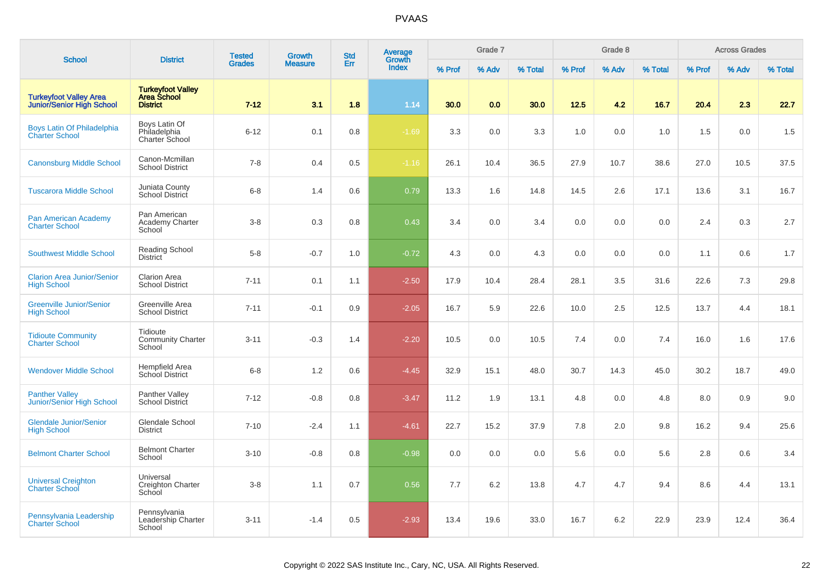| <b>School</b>                                                     | <b>District</b>                                            | <b>Tested</b> | Growth         | <b>Std</b> | Average<br>Growth |        | Grade 7 |         |        | Grade 8 |         |        | <b>Across Grades</b> |         |
|-------------------------------------------------------------------|------------------------------------------------------------|---------------|----------------|------------|-------------------|--------|---------|---------|--------|---------|---------|--------|----------------------|---------|
|                                                                   |                                                            | <b>Grades</b> | <b>Measure</b> | Err        | <b>Index</b>      | % Prof | % Adv   | % Total | % Prof | % Adv   | % Total | % Prof | % Adv                | % Total |
| <b>Turkeyfoot Valley Area</b><br><b>Junior/Senior High School</b> | <b>Turkeyfoot Valley</b><br>Area School<br><b>District</b> | $7 - 12$      | 3.1            | 1.8        | 1.14              | 30.0   | 0.0     | 30.0    | 12.5   | 4.2     | 16.7    | 20.4   | 2.3                  | 22.7    |
| Boys Latin Of Philadelphia<br><b>Charter School</b>               | Boys Latin Of<br>Philadelphia<br><b>Charter School</b>     | $6 - 12$      | 0.1            | 0.8        | $-1.69$           | 3.3    | 0.0     | 3.3     | 1.0    | 0.0     | 1.0     | 1.5    | 0.0                  | 1.5     |
| <b>Canonsburg Middle School</b>                                   | Canon-Mcmillan<br><b>School District</b>                   | $7 - 8$       | 0.4            | 0.5        | $-1.16$           | 26.1   | 10.4    | 36.5    | 27.9   | 10.7    | 38.6    | 27.0   | 10.5                 | 37.5    |
| <b>Tuscarora Middle School</b>                                    | Juniata County<br>School District                          | $6 - 8$       | 1.4            | 0.6        | 0.79              | 13.3   | 1.6     | 14.8    | 14.5   | 2.6     | 17.1    | 13.6   | 3.1                  | 16.7    |
| <b>Pan American Academy</b><br><b>Charter School</b>              | Pan American<br>Academy Charter<br>School                  | $3 - 8$       | 0.3            | 0.8        | 0.43              | 3.4    | 0.0     | 3.4     | 0.0    | 0.0     | 0.0     | 2.4    | 0.3                  | 2.7     |
| <b>Southwest Middle School</b>                                    | <b>Reading School</b><br><b>District</b>                   | $5 - 8$       | $-0.7$         | 1.0        | $-0.72$           | 4.3    | 0.0     | 4.3     | 0.0    | 0.0     | 0.0     | 1.1    | 0.6                  | 1.7     |
| <b>Clarion Area Junior/Senior</b><br><b>High School</b>           | <b>Clarion Area</b><br><b>School District</b>              | $7 - 11$      | 0.1            | 1.1        | $-2.50$           | 17.9   | 10.4    | 28.4    | 28.1   | 3.5     | 31.6    | 22.6   | 7.3                  | 29.8    |
| <b>Greenville Junior/Senior</b><br><b>High School</b>             | Greenville Area<br><b>School District</b>                  | $7 - 11$      | $-0.1$         | 0.9        | $-2.05$           | 16.7   | 5.9     | 22.6    | 10.0   | 2.5     | 12.5    | 13.7   | 4.4                  | 18.1    |
| <b>Tidioute Community</b><br><b>Charter School</b>                | Tidioute<br><b>Community Charter</b><br>School             | $3 - 11$      | $-0.3$         | 1.4        | $-2.20$           | 10.5   | 0.0     | 10.5    | 7.4    | 0.0     | 7.4     | 16.0   | 1.6                  | 17.6    |
| <b>Wendover Middle School</b>                                     | Hempfield Area<br>School District                          | $6 - 8$       | 1.2            | 0.6        | $-4.45$           | 32.9   | 15.1    | 48.0    | 30.7   | 14.3    | 45.0    | 30.2   | 18.7                 | 49.0    |
| <b>Panther Valley</b><br><b>Junior/Senior High School</b>         | Panther Valley<br><b>School District</b>                   | $7 - 12$      | $-0.8$         | 0.8        | $-3.47$           | 11.2   | 1.9     | 13.1    | 4.8    | 0.0     | 4.8     | 8.0    | 0.9                  | 9.0     |
| <b>Glendale Junior/Senior</b><br><b>High School</b>               | <b>Glendale School</b><br><b>District</b>                  | $7 - 10$      | $-2.4$         | 1.1        | $-4.61$           | 22.7   | 15.2    | 37.9    | 7.8    | 2.0     | 9.8     | 16.2   | 9.4                  | 25.6    |
| <b>Belmont Charter School</b>                                     | <b>Belmont Charter</b><br>School                           | $3 - 10$      | $-0.8$         | 0.8        | $-0.98$           | 0.0    | 0.0     | 0.0     | 5.6    | 0.0     | 5.6     | 2.8    | 0.6                  | 3.4     |
| <b>Universal Creighton</b><br><b>Charter School</b>               | Universal<br>Creighton Charter<br>School                   | $3 - 8$       | 1.1            | 0.7        | 0.56              | 7.7    | 6.2     | 13.8    | 4.7    | 4.7     | 9.4     | 8.6    | 4.4                  | 13.1    |
| Pennsylvania Leadership<br><b>Charter School</b>                  | Pennsylvania<br>Leadership Charter<br>School               | $3 - 11$      | $-1.4$         | 0.5        | $-2.93$           | 13.4   | 19.6    | 33.0    | 16.7   | 6.2     | 22.9    | 23.9   | 12.4                 | 36.4    |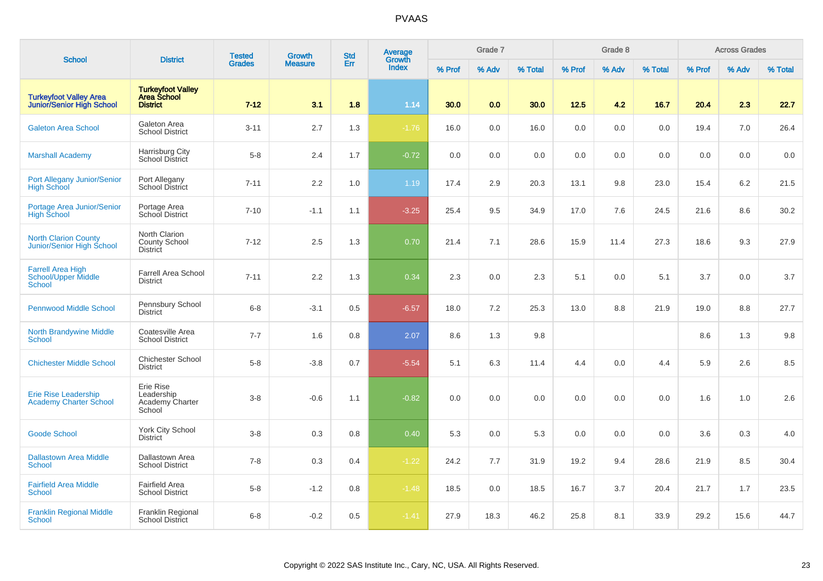| <b>School</b>                                                           | <b>District</b>                                                   | <b>Tested</b> | Growth         | <b>Std</b> | <b>Average</b><br>Growth |        | Grade 7 |         |        | Grade 8 |         |        | <b>Across Grades</b> |         |
|-------------------------------------------------------------------------|-------------------------------------------------------------------|---------------|----------------|------------|--------------------------|--------|---------|---------|--------|---------|---------|--------|----------------------|---------|
|                                                                         |                                                                   | <b>Grades</b> | <b>Measure</b> | Err        | Index                    | % Prof | % Adv   | % Total | % Prof | % Adv   | % Total | % Prof | % Adv                | % Total |
| <b>Turkeyfoot Valley Area</b><br>Junior/Senior High School              | <b>Turkeyfoot Valley</b><br><b>Area School</b><br><b>District</b> | $7 - 12$      | 3.1            | 1.8        | 1.14                     | 30.0   | 0.0     | 30.0    | 12.5   | 4.2     | 16.7    | 20.4   | 2.3                  | 22.7    |
| <b>Galeton Area School</b>                                              | Galeton Area<br><b>School District</b>                            | $3 - 11$      | 2.7            | 1.3        | $-1.76$                  | 16.0   | 0.0     | 16.0    | 0.0    | 0.0     | 0.0     | 19.4   | 7.0                  | 26.4    |
| <b>Marshall Academy</b>                                                 | Harrisburg City<br>School District                                | $5 - 8$       | 2.4            | 1.7        | $-0.72$                  | 0.0    | 0.0     | 0.0     | 0.0    | 0.0     | 0.0     | 0.0    | 0.0                  | 0.0     |
| Port Allegany Junior/Senior<br><b>High School</b>                       | Port Allegany<br>School District                                  | $7 - 11$      | 2.2            | 1.0        | 1.19                     | 17.4   | 2.9     | 20.3    | 13.1   | 9.8     | 23.0    | 15.4   | 6.2                  | 21.5    |
| Portage Area Junior/Senior<br><b>High School</b>                        | Portage Area<br>School District                                   | $7 - 10$      | $-1.1$         | 1.1        | $-3.25$                  | 25.4   | 9.5     | 34.9    | 17.0   | 7.6     | 24.5    | 21.6   | 8.6                  | 30.2    |
| <b>North Clarion County</b><br>Junior/Senior High School                | North Clarion<br><b>County School</b><br><b>District</b>          | $7 - 12$      | 2.5            | 1.3        | 0.70                     | 21.4   | 7.1     | 28.6    | 15.9   | 11.4    | 27.3    | 18.6   | 9.3                  | 27.9    |
| <b>Farrell Area High</b><br><b>School/Upper Middle</b><br><b>School</b> | <b>Farrell Area School</b><br><b>District</b>                     | $7 - 11$      | 2.2            | 1.3        | 0.34                     | 2.3    | 0.0     | 2.3     | 5.1    | 0.0     | 5.1     | 3.7    | 0.0                  | 3.7     |
| <b>Pennwood Middle School</b>                                           | Pennsbury School<br><b>District</b>                               | $6 - 8$       | $-3.1$         | 0.5        | $-6.57$                  | 18.0   | 7.2     | 25.3    | 13.0   | 8.8     | 21.9    | 19.0   | 8.8                  | 27.7    |
| <b>North Brandywine Middle</b><br><b>School</b>                         | Coatesville Area<br><b>School District</b>                        | $7 - 7$       | 1.6            | 0.8        | 2.07                     | 8.6    | 1.3     | 9.8     |        |         |         | 8.6    | 1.3                  | 9.8     |
| <b>Chichester Middle School</b>                                         | <b>Chichester School</b><br><b>District</b>                       | $5 - 8$       | $-3.8$         | 0.7        | $-5.54$                  | 5.1    | 6.3     | 11.4    | 4.4    | 0.0     | 4.4     | 5.9    | 2.6                  | 8.5     |
| <b>Erie Rise Leadership</b><br><b>Academy Charter School</b>            | Erie Rise<br>Leadership<br>Academy Charter<br>School              | $3 - 8$       | $-0.6$         | 1.1        | $-0.82$                  | 0.0    | 0.0     | 0.0     | 0.0    | 0.0     | 0.0     | 1.6    | 1.0                  | 2.6     |
| <b>Goode School</b>                                                     | <b>York City School</b><br><b>District</b>                        | $3 - 8$       | 0.3            | 0.8        | 0.40                     | 5.3    | 0.0     | 5.3     | 0.0    | 0.0     | 0.0     | 3.6    | 0.3                  | 4.0     |
| <b>Dallastown Area Middle</b><br><b>School</b>                          | Dallastown Area<br><b>School District</b>                         | $7 - 8$       | 0.3            | 0.4        | $-1.22$                  | 24.2   | 7.7     | 31.9    | 19.2   | 9.4     | 28.6    | 21.9   | 8.5                  | 30.4    |
| <b>Fairfield Area Middle</b><br><b>School</b>                           | <b>Fairfield Area</b><br><b>School District</b>                   | $5 - 8$       | $-1.2$         | 0.8        | $-1.48$                  | 18.5   | 0.0     | 18.5    | 16.7   | 3.7     | 20.4    | 21.7   | 1.7                  | 23.5    |
| <b>Franklin Regional Middle</b><br><b>School</b>                        | Franklin Regional<br><b>School District</b>                       | $6 - 8$       | $-0.2$         | 0.5        | $-1.41$                  | 27.9   | 18.3    | 46.2    | 25.8   | 8.1     | 33.9    | 29.2   | 15.6                 | 44.7    |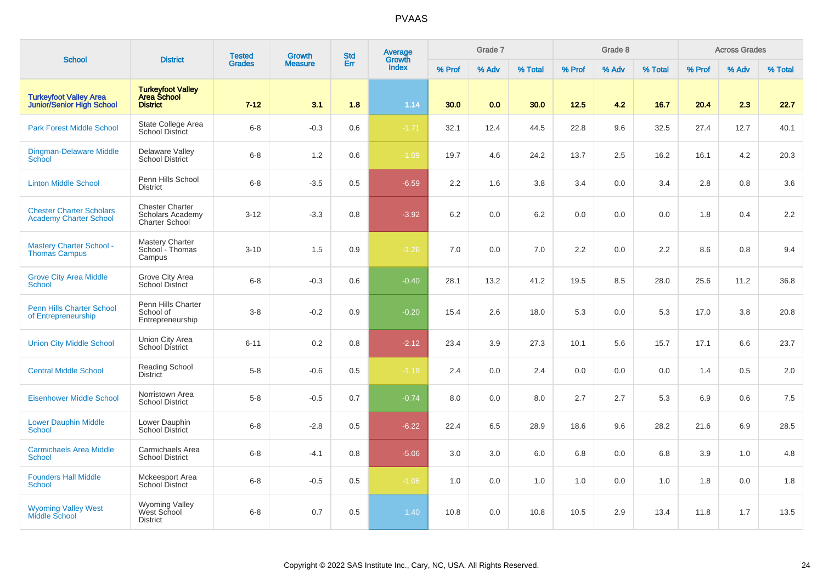| <b>School</b>                                                     | <b>District</b>                                                            | <b>Tested</b> | <b>Growth</b>  | <b>Std</b> | Average<br>Growth |        | Grade 7 |         |        | Grade 8 |         |        | <b>Across Grades</b> |         |
|-------------------------------------------------------------------|----------------------------------------------------------------------------|---------------|----------------|------------|-------------------|--------|---------|---------|--------|---------|---------|--------|----------------------|---------|
|                                                                   |                                                                            | <b>Grades</b> | <b>Measure</b> | Err        | <b>Index</b>      | % Prof | % Adv   | % Total | % Prof | % Adv   | % Total | % Prof | % Adv                | % Total |
| <b>Turkeyfoot Valley Area</b><br><b>Junior/Senior High School</b> | <b>Turkeyfoot Valley</b><br><b>Area School</b><br><b>District</b>          | $7 - 12$      | 3.1            | 1.8        | 1.14              | 30.0   | 0.0     | 30.0    | 12.5   | 4.2     | 16.7    | 20.4   | 2.3                  | 22.7    |
| <b>Park Forest Middle School</b>                                  | State College Area<br><b>School District</b>                               | $6 - 8$       | $-0.3$         | 0.6        | $-1.71$           | 32.1   | 12.4    | 44.5    | 22.8   | 9.6     | 32.5    | 27.4   | 12.7                 | 40.1    |
| <b>Dingman-Delaware Middle</b><br><b>School</b>                   | Delaware Valley<br><b>School District</b>                                  | $6 - 8$       | 1.2            | 0.6        | $-1.09$           | 19.7   | 4.6     | 24.2    | 13.7   | 2.5     | 16.2    | 16.1   | 4.2                  | 20.3    |
| <b>Linton Middle School</b>                                       | Penn Hills School<br><b>District</b>                                       | $6 - 8$       | $-3.5$         | 0.5        | $-6.59$           | 2.2    | 1.6     | 3.8     | 3.4    | 0.0     | 3.4     | 2.8    | 0.8                  | 3.6     |
| <b>Chester Charter Scholars</b><br><b>Academy Charter School</b>  | <b>Chester Charter</b><br><b>Scholars Academy</b><br><b>Charter School</b> | $3 - 12$      | $-3.3$         | $0.8\,$    | $-3.92$           | 6.2    | 0.0     | 6.2     | 0.0    | 0.0     | 0.0     | 1.8    | 0.4                  | 2.2     |
| <b>Mastery Charter School -</b><br><b>Thomas Campus</b>           | <b>Mastery Charter</b><br>School - Thomas<br>Campus                        | $3 - 10$      | 1.5            | 0.9        | $-1.26$           | 7.0    | 0.0     | 7.0     | 2.2    | 0.0     | 2.2     | 8.6    | 0.8                  | 9.4     |
| <b>Grove City Area Middle</b><br><b>School</b>                    | Grove City Area<br><b>School District</b>                                  | $6 - 8$       | $-0.3$         | 0.6        | $-0.40$           | 28.1   | 13.2    | 41.2    | 19.5   | 8.5     | 28.0    | 25.6   | 11.2                 | 36.8    |
| <b>Penn Hills Charter School</b><br>of Entrepreneurship           | Penn Hills Charter<br>School of<br>Entrepreneurship                        | $3 - 8$       | $-0.2$         | 0.9        | $-0.20$           | 15.4   | 2.6     | 18.0    | 5.3    | 0.0     | 5.3     | 17.0   | 3.8                  | 20.8    |
| <b>Union City Middle School</b>                                   | <b>Union City Area</b><br>School District                                  | $6 - 11$      | 0.2            | 0.8        | $-2.12$           | 23.4   | 3.9     | 27.3    | 10.1   | 5.6     | 15.7    | 17.1   | 6.6                  | 23.7    |
| <b>Central Middle School</b>                                      | <b>Reading School</b><br><b>District</b>                                   | $5 - 8$       | $-0.6$         | 0.5        | $-1.19$           | 2.4    | 0.0     | 2.4     | 0.0    | 0.0     | 0.0     | 1.4    | 0.5                  | 2.0     |
| <b>Eisenhower Middle School</b>                                   | Norristown Area<br><b>School District</b>                                  | $5 - 8$       | $-0.5$         | 0.7        | $-0.74$           | 8.0    | 0.0     | 8.0     | 2.7    | 2.7     | 5.3     | 6.9    | 0.6                  | 7.5     |
| <b>Lower Dauphin Middle</b><br><b>School</b>                      | Lower Dauphin<br>School District                                           | $6 - 8$       | $-2.8$         | 0.5        | $-6.22$           | 22.4   | 6.5     | 28.9    | 18.6   | 9.6     | 28.2    | 21.6   | 6.9                  | 28.5    |
| <b>Carmichaels Area Middle</b><br><b>School</b>                   | Carmichaels Area<br><b>School District</b>                                 | $6 - 8$       | $-4.1$         | 0.8        | $-5.06$           | 3.0    | 3.0     | 6.0     | 6.8    | 0.0     | 6.8     | 3.9    | 1.0                  | 4.8     |
| <b>Founders Hall Middle</b><br>School                             | Mckeesport Area<br><b>School District</b>                                  | $6 - 8$       | $-0.5$         | 0.5        | $-1.06$           | 1.0    | 0.0     | 1.0     | 1.0    | 0.0     | 1.0     | 1.8    | 0.0                  | 1.8     |
| <b>Wyoming Valley West</b><br><b>Middle School</b>                | Wyoming Valley<br>West School<br><b>District</b>                           | $6 - 8$       | 0.7            | 0.5        | 1.40              | 10.8   | 0.0     | 10.8    | 10.5   | 2.9     | 13.4    | 11.8   | 1.7                  | 13.5    |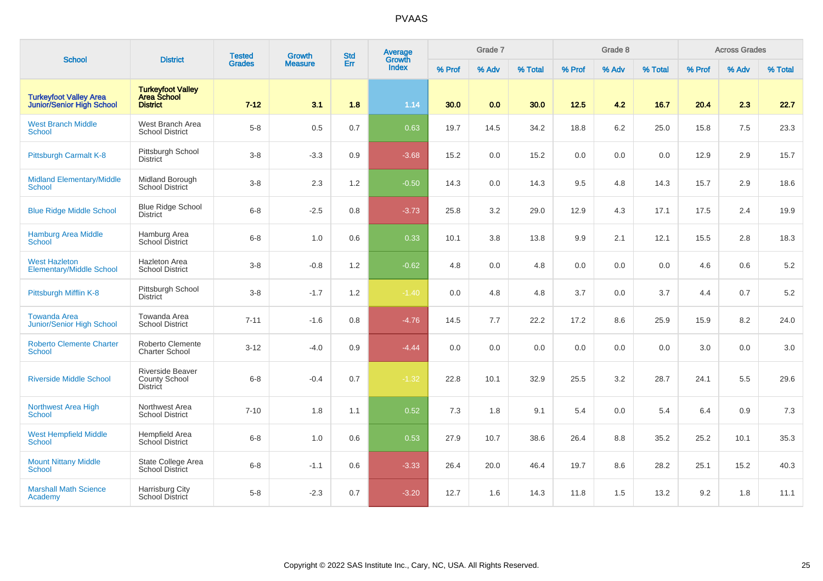| <b>School</b>                                                     | <b>District</b>                                                    | <b>Tested</b> | <b>Growth</b>  | <b>Std</b> | Average<br>Growth |        | Grade 7 |         |        | Grade 8 |         |        | <b>Across Grades</b> |         |
|-------------------------------------------------------------------|--------------------------------------------------------------------|---------------|----------------|------------|-------------------|--------|---------|---------|--------|---------|---------|--------|----------------------|---------|
|                                                                   |                                                                    | <b>Grades</b> | <b>Measure</b> | Err        | <b>Index</b>      | % Prof | % Adv   | % Total | % Prof | % Adv   | % Total | % Prof | % Adv                | % Total |
| <b>Turkeyfoot Valley Area</b><br><b>Junior/Senior High School</b> | <b>Turkeyfoot Valley</b><br><b>Area School</b><br><b>District</b>  | $7 - 12$      | 3.1            | 1.8        | 1.14              | 30.0   | 0.0     | 30.0    | 12.5   | 4.2     | 16.7    | 20.4   | 2.3                  | 22.7    |
| <b>West Branch Middle</b><br><b>School</b>                        | West Branch Area<br><b>School District</b>                         | $5-8$         | 0.5            | 0.7        | 0.63              | 19.7   | 14.5    | 34.2    | 18.8   | 6.2     | 25.0    | 15.8   | $7.5\,$              | 23.3    |
| Pittsburgh Carmalt K-8                                            | Pittsburgh School<br><b>District</b>                               | $3-8$         | $-3.3$         | 0.9        | $-3.68$           | 15.2   | 0.0     | 15.2    | 0.0    | 0.0     | 0.0     | 12.9   | 2.9                  | 15.7    |
| <b>Midland Elementary/Middle</b><br><b>School</b>                 | Midland Borough<br>School District                                 | $3-8$         | 2.3            | 1.2        | $-0.50$           | 14.3   | 0.0     | 14.3    | 9.5    | 4.8     | 14.3    | 15.7   | 2.9                  | 18.6    |
| <b>Blue Ridge Middle School</b>                                   | <b>Blue Ridge School</b><br><b>District</b>                        | $6 - 8$       | $-2.5$         | 0.8        | $-3.73$           | 25.8   | 3.2     | 29.0    | 12.9   | 4.3     | 17.1    | 17.5   | 2.4                  | 19.9    |
| <b>Hamburg Area Middle</b><br><b>School</b>                       | Hamburg Area<br>School District                                    | $6 - 8$       | 1.0            | 0.6        | 0.33              | 10.1   | 3.8     | 13.8    | 9.9    | 2.1     | 12.1    | 15.5   | 2.8                  | 18.3    |
| <b>West Hazleton</b><br><b>Elementary/Middle School</b>           | <b>Hazleton Area</b><br><b>School District</b>                     | $3-8$         | $-0.8$         | 1.2        | $-0.62$           | 4.8    | 0.0     | 4.8     | 0.0    | 0.0     | 0.0     | 4.6    | 0.6                  | $5.2\,$ |
| Pittsburgh Mifflin K-8                                            | Pittsburgh School<br><b>District</b>                               | $3-8$         | $-1.7$         | 1.2        | $-1.40$           | 0.0    | 4.8     | 4.8     | 3.7    | 0.0     | 3.7     | 4.4    | 0.7                  | 5.2     |
| <b>Towanda Area</b><br><b>Junior/Senior High School</b>           | Towanda Area<br><b>School District</b>                             | $7 - 11$      | $-1.6$         | 0.8        | $-4.76$           | 14.5   | 7.7     | 22.2    | 17.2   | 8.6     | 25.9    | 15.9   | 8.2                  | 24.0    |
| <b>Roberto Clemente Charter</b><br><b>School</b>                  | Roberto Clemente<br><b>Charter School</b>                          | $3 - 12$      | $-4.0$         | 0.9        | $-4.44$           | 0.0    | 0.0     | 0.0     | 0.0    | 0.0     | 0.0     | 3.0    | 0.0                  | 3.0     |
| <b>Riverside Middle School</b>                                    | <b>Riverside Beaver</b><br><b>County School</b><br><b>District</b> | $6 - 8$       | $-0.4$         | 0.7        | $-1.32$           | 22.8   | 10.1    | 32.9    | 25.5   | 3.2     | 28.7    | 24.1   | 5.5                  | 29.6    |
| <b>Northwest Area High</b><br><b>School</b>                       | Northwest Area<br><b>School District</b>                           | $7 - 10$      | 1.8            | 1.1        | 0.52              | 7.3    | 1.8     | 9.1     | 5.4    | 0.0     | 5.4     | 6.4    | 0.9                  | 7.3     |
| <b>West Hempfield Middle</b><br><b>School</b>                     | Hempfield Area<br>School District                                  | $6 - 8$       | 1.0            | 0.6        | 0.53              | 27.9   | 10.7    | 38.6    | 26.4   | 8.8     | 35.2    | 25.2   | 10.1                 | 35.3    |
| <b>Mount Nittany Middle</b><br>School                             | State College Area<br><b>School District</b>                       | $6-8$         | $-1.1$         | 0.6        | $-3.33$           | 26.4   | 20.0    | 46.4    | 19.7   | 8.6     | 28.2    | 25.1   | 15.2                 | 40.3    |
| <b>Marshall Math Science</b><br>Academy                           | Harrisburg City<br>School District                                 | $5-8$         | $-2.3$         | 0.7        | $-3.20$           | 12.7   | 1.6     | 14.3    | 11.8   | 1.5     | 13.2    | 9.2    | 1.8                  | 11.1    |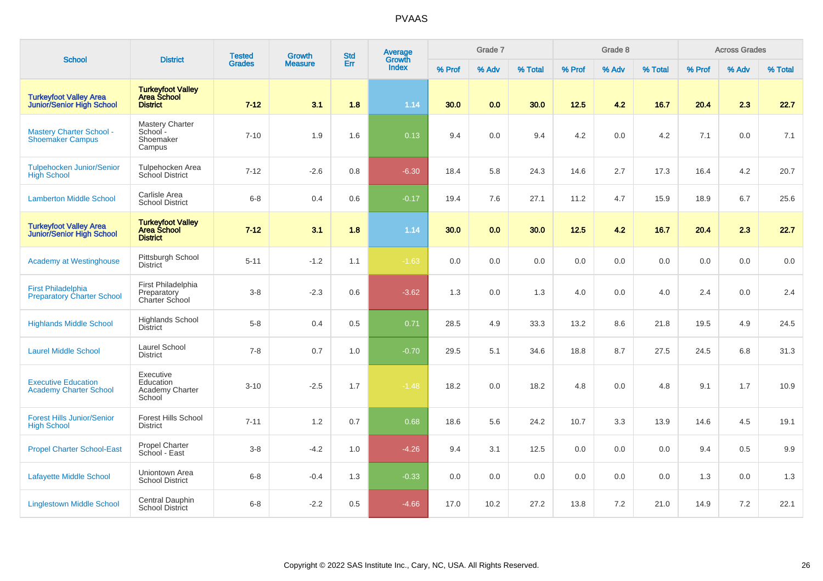| <b>School</b>                                                     | <b>District</b>                                                   | <b>Tested</b> | <b>Growth</b>  | <b>Std</b> | <b>Average</b><br>Growth |        | Grade 7 |         |        | Grade 8 |         |        | <b>Across Grades</b> |         |
|-------------------------------------------------------------------|-------------------------------------------------------------------|---------------|----------------|------------|--------------------------|--------|---------|---------|--------|---------|---------|--------|----------------------|---------|
|                                                                   |                                                                   | <b>Grades</b> | <b>Measure</b> | Err        | <b>Index</b>             | % Prof | % Adv   | % Total | % Prof | % Adv   | % Total | % Prof | % Adv                | % Total |
| <b>Turkeyfoot Valley Area</b><br><b>Junior/Senior High School</b> | <b>Turkeyfoot Valley</b><br><b>Area School</b><br><b>District</b> | $7 - 12$      | 3.1            | 1.8        | 1.14                     | 30.0   | 0.0     | 30.0    | 12.5   | 4.2     | 16.7    | 20.4   | 2.3                  | 22.7    |
| <b>Mastery Charter School -</b><br><b>Shoemaker Campus</b>        | <b>Mastery Charter</b><br>School -<br>Shoemaker<br>Campus         | $7 - 10$      | 1.9            | 1.6        | 0.13                     | 9.4    | 0.0     | 9.4     | 4.2    | 0.0     | 4.2     | 7.1    | 0.0                  | 7.1     |
| <b>Tulpehocken Junior/Senior</b><br><b>High School</b>            | Tulpehocken Area<br>School District                               | $7 - 12$      | $-2.6$         | 0.8        | $-6.30$                  | 18.4   | 5.8     | 24.3    | 14.6   | 2.7     | 17.3    | 16.4   | 4.2                  | 20.7    |
| <b>Lamberton Middle School</b>                                    | Carlisle Area<br><b>School District</b>                           | $6 - 8$       | 0.4            | 0.6        | $-0.17$                  | 19.4   | 7.6     | 27.1    | 11.2   | 4.7     | 15.9    | 18.9   | 6.7                  | 25.6    |
| <b>Turkeyfoot Valley Area</b><br><b>Junior/Senior High School</b> | <b>Turkeyfoot Valley</b><br><b>Area School</b><br><b>District</b> | $7 - 12$      | 3.1            | 1.8        | 1.14                     | 30.0   | 0.0     | 30.0    | 12.5   | 4.2     | 16.7    | 20.4   | 2.3                  | 22.7    |
| <b>Academy at Westinghouse</b>                                    | Pittsburgh School<br><b>District</b>                              | $5 - 11$      | $-1.2$         | 1.1        | $-1.63$                  | 0.0    | 0.0     | 0.0     | 0.0    | 0.0     | 0.0     | 0.0    | 0.0                  | 0.0     |
| <b>First Philadelphia</b><br><b>Preparatory Charter School</b>    | First Philadelphia<br>Preparatory<br>Charter School               | $3 - 8$       | $-2.3$         | 0.6        | $-3.62$                  | 1.3    | 0.0     | 1.3     | 4.0    | 0.0     | 4.0     | 2.4    | 0.0                  | 2.4     |
| <b>Highlands Middle School</b>                                    | <b>Highlands School</b><br><b>District</b>                        | $5-8$         | 0.4            | 0.5        | 0.71                     | 28.5   | 4.9     | 33.3    | 13.2   | 8.6     | 21.8    | 19.5   | 4.9                  | 24.5    |
| <b>Laurel Middle School</b>                                       | Laurel School<br><b>District</b>                                  | $7 - 8$       | 0.7            | 1.0        | $-0.70$                  | 29.5   | 5.1     | 34.6    | 18.8   | 8.7     | 27.5    | 24.5   | 6.8                  | 31.3    |
| <b>Executive Education</b><br><b>Academy Charter School</b>       | Executive<br>Education<br><b>Academy Charter</b><br>School        | $3 - 10$      | $-2.5$         | 1.7        | $-1.48$                  | 18.2   | 0.0     | 18.2    | 4.8    | 0.0     | 4.8     | 9.1    | 1.7                  | 10.9    |
| <b>Forest Hills Junior/Senior</b><br><b>High School</b>           | <b>Forest Hills School</b><br><b>District</b>                     | $7 - 11$      | 1.2            | 0.7        | 0.68                     | 18.6   | 5.6     | 24.2    | 10.7   | 3.3     | 13.9    | 14.6   | 4.5                  | 19.1    |
| <b>Propel Charter School-East</b>                                 | Propel Charter<br>School - East                                   | $3-8$         | $-4.2$         | 1.0        | $-4.26$                  | 9.4    | 3.1     | 12.5    | 0.0    | 0.0     | 0.0     | 9.4    | 0.5                  | 9.9     |
| <b>Lafayette Middle School</b>                                    | Uniontown Area<br><b>School District</b>                          | $6-8$         | $-0.4$         | 1.3        | $-0.33$                  | 0.0    | 0.0     | 0.0     | 0.0    | 0.0     | 0.0     | 1.3    | 0.0                  | 1.3     |
| <b>Linglestown Middle School</b>                                  | Central Dauphin<br><b>School District</b>                         | $6-8$         | $-2.2$         | 0.5        | $-4.66$                  | 17.0   | 10.2    | 27.2    | 13.8   | 7.2     | 21.0    | 14.9   | 7.2                  | 22.1    |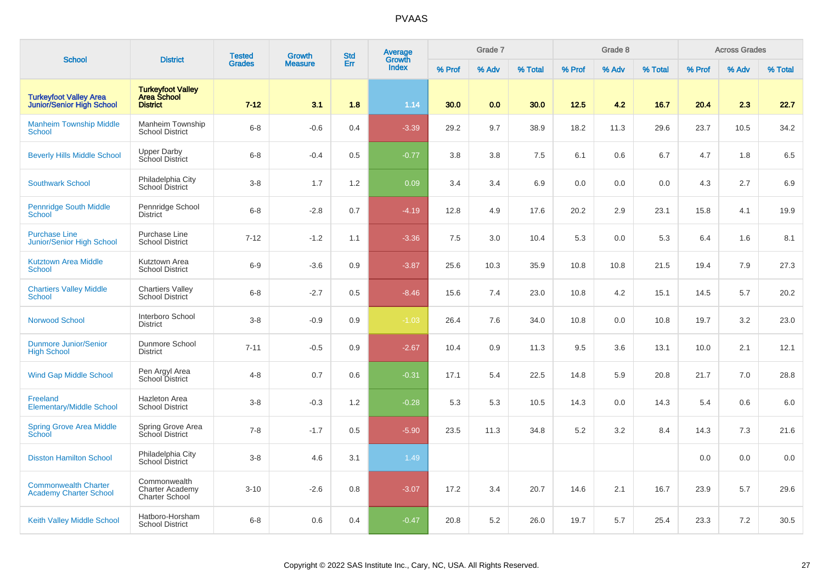| <b>School</b>                                                     | <b>District</b>                                                 | <b>Tested</b> | <b>Growth</b>  | <b>Std</b> | Average<br>Growth |        | Grade 7 |         |        | Grade 8 |         |        | <b>Across Grades</b> |         |
|-------------------------------------------------------------------|-----------------------------------------------------------------|---------------|----------------|------------|-------------------|--------|---------|---------|--------|---------|---------|--------|----------------------|---------|
|                                                                   |                                                                 | <b>Grades</b> | <b>Measure</b> | Err        | <b>Index</b>      | % Prof | % Adv   | % Total | % Prof | % Adv   | % Total | % Prof | % Adv                | % Total |
| <b>Turkeyfoot Valley Area</b><br><b>Junior/Senior High School</b> | <b>Turkeyfoot Valley<br/>Area School</b><br><b>District</b>     | $7 - 12$      | 3.1            | 1.8        | 1.14              | 30.0   | 0.0     | 30.0    | 12.5   | 4.2     | 16.7    | 20.4   | 2.3                  | 22.7    |
| <b>Manheim Township Middle</b><br><b>School</b>                   | Manheim Township<br><b>School District</b>                      | $6 - 8$       | $-0.6$         | 0.4        | $-3.39$           | 29.2   | 9.7     | 38.9    | 18.2   | 11.3    | 29.6    | 23.7   | 10.5                 | 34.2    |
| <b>Beverly Hills Middle School</b>                                | <b>Upper Darby</b><br>School District                           | $6 - 8$       | $-0.4$         | 0.5        | $-0.77$           | 3.8    | 3.8     | 7.5     | 6.1    | 0.6     | 6.7     | 4.7    | 1.8                  | 6.5     |
| <b>Southwark School</b>                                           | Philadelphia City<br>School District                            | $3 - 8$       | 1.7            | 1.2        | 0.09              | 3.4    | 3.4     | 6.9     | 0.0    | 0.0     | 0.0     | 4.3    | 2.7                  | 6.9     |
| <b>Pennridge South Middle</b><br><b>School</b>                    | Pennridge School<br><b>District</b>                             | $6 - 8$       | $-2.8$         | 0.7        | $-4.19$           | 12.8   | 4.9     | 17.6    | 20.2   | 2.9     | 23.1    | 15.8   | 4.1                  | 19.9    |
| <b>Purchase Line</b><br><b>Junior/Senior High School</b>          | Purchase Line<br><b>School District</b>                         | $7 - 12$      | $-1.2$         | 1.1        | $-3.36$           | 7.5    | 3.0     | 10.4    | 5.3    | 0.0     | 5.3     | 6.4    | 1.6                  | 8.1     |
| <b>Kutztown Area Middle</b><br>School                             | Kutztown Area<br><b>School District</b>                         | $6-9$         | $-3.6$         | 0.9        | $-3.87$           | 25.6   | 10.3    | 35.9    | 10.8   | 10.8    | 21.5    | 19.4   | 7.9                  | 27.3    |
| <b>Chartiers Valley Middle</b><br><b>School</b>                   | <b>Chartiers Valley</b><br><b>School District</b>               | $6 - 8$       | $-2.7$         | 0.5        | $-8.46$           | 15.6   | 7.4     | 23.0    | 10.8   | 4.2     | 15.1    | 14.5   | 5.7                  | 20.2    |
| <b>Norwood School</b>                                             | Interboro School<br><b>District</b>                             | $3-8$         | $-0.9$         | 0.9        | $-1.03$           | 26.4   | 7.6     | 34.0    | 10.8   | 0.0     | 10.8    | 19.7   | $3.2\,$              | 23.0    |
| <b>Dunmore Junior/Senior</b><br><b>High School</b>                | Dunmore School<br><b>District</b>                               | $7 - 11$      | $-0.5$         | 0.9        | $-2.67$           | 10.4   | 0.9     | 11.3    | 9.5    | 3.6     | 13.1    | 10.0   | 2.1                  | 12.1    |
| <b>Wind Gap Middle School</b>                                     | Pen Argyl Area<br>School District                               | $4 - 8$       | 0.7            | 0.6        | $-0.31$           | 17.1   | 5.4     | 22.5    | 14.8   | 5.9     | 20.8    | 21.7   | 7.0                  | 28.8    |
| Freeland<br><b>Elementary/Middle School</b>                       | <b>Hazleton Area</b><br><b>School District</b>                  | $3 - 8$       | $-0.3$         | 1.2        | $-0.28$           | 5.3    | 5.3     | 10.5    | 14.3   | 0.0     | 14.3    | 5.4    | 0.6                  | $6.0\,$ |
| <b>Spring Grove Area Middle</b><br>School                         | Spring Grove Area<br>School District                            | $7 - 8$       | $-1.7$         | 0.5        | $-5.90$           | 23.5   | 11.3    | 34.8    | 5.2    | 3.2     | 8.4     | 14.3   | 7.3                  | 21.6    |
| <b>Disston Hamilton School</b>                                    | Philadelphia City<br>School District                            | $3 - 8$       | 4.6            | 3.1        | 1.49              |        |         |         |        |         |         | 0.0    | 0.0                  | 0.0     |
| <b>Commonwealth Charter</b><br><b>Academy Charter School</b>      | Commonwealth<br><b>Charter Academy</b><br><b>Charter School</b> | $3 - 10$      | $-2.6$         | 0.8        | $-3.07$           | 17.2   | 3.4     | 20.7    | 14.6   | 2.1     | 16.7    | 23.9   | 5.7                  | 29.6    |
| <b>Keith Valley Middle School</b>                                 | Hatboro-Horsham<br><b>School District</b>                       | $6 - 8$       | 0.6            | 0.4        | $-0.47$           | 20.8   | 5.2     | 26.0    | 19.7   | 5.7     | 25.4    | 23.3   | 7.2                  | 30.5    |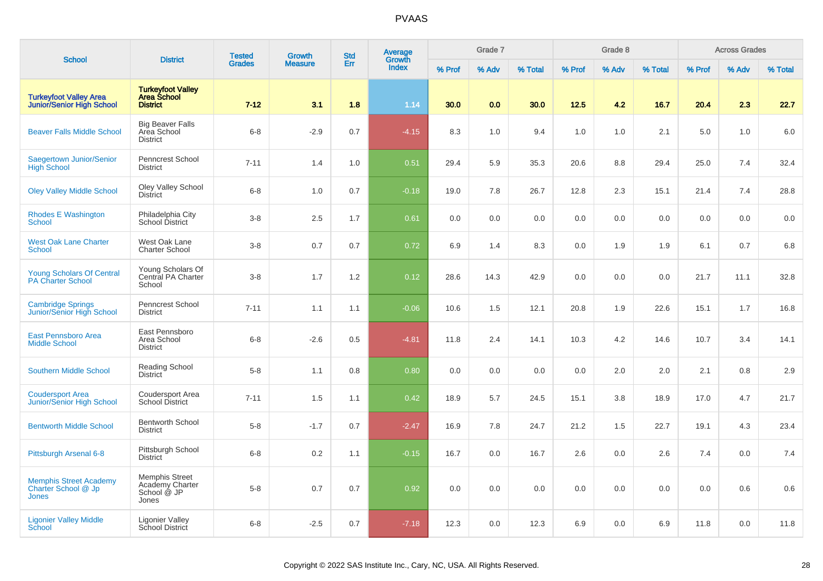| <b>School</b>                                                        | <b>District</b>                                                   | <b>Tested</b> | <b>Growth</b>  | <b>Std</b> | Average<br>Growth |        | Grade 7 |         |        | Grade 8 |         |        | <b>Across Grades</b> |         |
|----------------------------------------------------------------------|-------------------------------------------------------------------|---------------|----------------|------------|-------------------|--------|---------|---------|--------|---------|---------|--------|----------------------|---------|
|                                                                      |                                                                   | <b>Grades</b> | <b>Measure</b> | Err        | <b>Index</b>      | % Prof | % Adv   | % Total | % Prof | % Adv   | % Total | % Prof | % Adv                | % Total |
| <b>Turkeyfoot Valley Area</b><br><b>Junior/Senior High School</b>    | <b>Turkeyfoot Valley</b><br><b>Area School</b><br><b>District</b> | $7 - 12$      | 3.1            | 1.8        | 1.14              | 30.0   | 0.0     | 30.0    | 12.5   | 4.2     | 16.7    | 20.4   | 2.3                  | 22.7    |
| <b>Beaver Falls Middle School</b>                                    | <b>Big Beaver Falls</b><br>Area School<br><b>District</b>         | $6 - 8$       | $-2.9$         | 0.7        | $-4.15$           | 8.3    | 1.0     | 9.4     | 1.0    | 1.0     | 2.1     | 5.0    | 1.0                  | 6.0     |
| Saegertown Junior/Senior<br><b>High School</b>                       | <b>Penncrest School</b><br><b>District</b>                        | $7 - 11$      | 1.4            | 1.0        | 0.51              | 29.4   | 5.9     | 35.3    | 20.6   | 8.8     | 29.4    | 25.0   | 7.4                  | 32.4    |
| <b>Oley Valley Middle School</b>                                     | Oley Valley School<br><b>District</b>                             | $6 - 8$       | 1.0            | 0.7        | $-0.18$           | 19.0   | 7.8     | 26.7    | 12.8   | 2.3     | 15.1    | 21.4   | 7.4                  | 28.8    |
| <b>Rhodes E Washington</b><br><b>School</b>                          | Philadelphia City<br>School District                              | $3 - 8$       | 2.5            | 1.7        | 0.61              | 0.0    | 0.0     | 0.0     | 0.0    | 0.0     | 0.0     | 0.0    | 0.0                  | 0.0     |
| <b>West Oak Lane Charter</b><br>School                               | West Oak Lane<br><b>Charter School</b>                            | $3 - 8$       | 0.7            | 0.7        | 0.72              | 6.9    | 1.4     | 8.3     | 0.0    | 1.9     | 1.9     | 6.1    | 0.7                  | 6.8     |
| <b>Young Scholars Of Central</b><br><b>PA Charter School</b>         | Young Scholars Of<br>Central PA Charter<br>School                 | $3 - 8$       | 1.7            | 1.2        | 0.12              | 28.6   | 14.3    | 42.9    | 0.0    | 0.0     | 0.0     | 21.7   | 11.1                 | 32.8    |
| <b>Cambridge Springs</b><br>Junior/Senior High School                | Penncrest School<br><b>District</b>                               | $7 - 11$      | 1.1            | 1.1        | $-0.06$           | 10.6   | 1.5     | 12.1    | 20.8   | 1.9     | 22.6    | 15.1   | 1.7                  | 16.8    |
| <b>East Pennsboro Area</b><br><b>Middle School</b>                   | East Pennsboro<br>Area School<br><b>District</b>                  | $6 - 8$       | $-2.6$         | 0.5        | $-4.81$           | 11.8   | 2.4     | 14.1    | 10.3   | 4.2     | 14.6    | 10.7   | 3.4                  | 14.1    |
| <b>Southern Middle School</b>                                        | Reading School<br>District                                        | $5 - 8$       | 1.1            | 0.8        | 0.80              | 0.0    | 0.0     | 0.0     | 0.0    | 2.0     | 2.0     | 2.1    | 0.8                  | 2.9     |
| <b>Coudersport Area</b><br>Junior/Senior High School                 | <b>Coudersport Area</b><br><b>School District</b>                 | $7 - 11$      | 1.5            | 1.1        | 0.42              | 18.9   | 5.7     | 24.5    | 15.1   | 3.8     | 18.9    | 17.0   | 4.7                  | 21.7    |
| <b>Bentworth Middle School</b>                                       | <b>Bentworth School</b><br><b>District</b>                        | $5 - 8$       | $-1.7$         | 0.7        | $-2.47$           | 16.9   | 7.8     | 24.7    | 21.2   | 1.5     | 22.7    | 19.1   | 4.3                  | 23.4    |
| Pittsburgh Arsenal 6-8                                               | Pittsburgh School<br><b>District</b>                              | $6 - 8$       | 0.2            | 1.1        | $-0.15$           | 16.7   | 0.0     | 16.7    | 2.6    | 0.0     | 2.6     | 7.4    | 0.0                  | 7.4     |
| <b>Memphis Street Academy</b><br>Charter School @ Jp<br><b>Jones</b> | <b>Memphis Street</b><br>Academy Charter<br>School @ JP<br>Jones  | $5 - 8$       | 0.7            | 0.7        | 0.92              | 0.0    | 0.0     | 0.0     | 0.0    | 0.0     | 0.0     | 0.0    | 0.6                  | 0.6     |
| <b>Ligonier Valley Middle</b><br><b>School</b>                       | <b>Ligonier Valley</b><br>School District                         | $6 - 8$       | $-2.5$         | 0.7        | $-7.18$           | 12.3   | 0.0     | 12.3    | 6.9    | 0.0     | 6.9     | 11.8   | 0.0                  | 11.8    |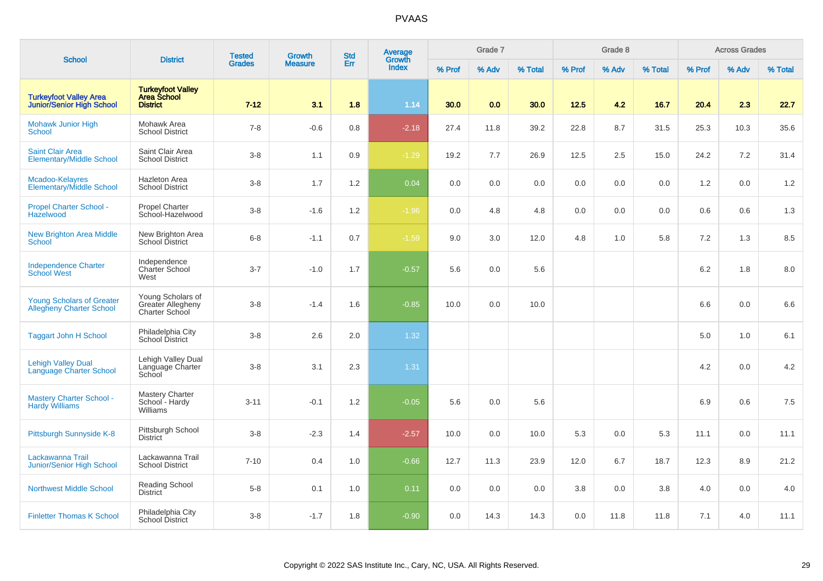| <b>School</b>                                                       | <b>District</b>                                                   | <b>Tested</b> | <b>Growth</b>  | <b>Std</b> | <b>Average</b><br>Growth |        | Grade 7 |         |        | Grade 8 |         |         | <b>Across Grades</b> |         |
|---------------------------------------------------------------------|-------------------------------------------------------------------|---------------|----------------|------------|--------------------------|--------|---------|---------|--------|---------|---------|---------|----------------------|---------|
|                                                                     |                                                                   | <b>Grades</b> | <b>Measure</b> | Err        | <b>Index</b>             | % Prof | % Adv   | % Total | % Prof | % Adv   | % Total | % Prof  | % Adv                | % Total |
| <b>Turkeyfoot Valley Area</b><br><b>Junior/Senior High School</b>   | <b>Turkeyfoot Valley</b><br><b>Area School</b><br><b>District</b> | $7 - 12$      | 3.1            | 1.8        | 1.14                     | 30.0   | 0.0     | 30.0    | $12.5$ | 4.2     | 16.7    | 20.4    | 2.3                  | 22.7    |
| <b>Mohawk Junior High</b><br><b>School</b>                          | Mohawk Area<br><b>School District</b>                             | $7 - 8$       | $-0.6$         | 0.8        | $-2.18$                  | 27.4   | 11.8    | 39.2    | 22.8   | 8.7     | 31.5    | 25.3    | 10.3                 | 35.6    |
| <b>Saint Clair Area</b><br><b>Elementary/Middle School</b>          | Saint Clair Area<br><b>School District</b>                        | $3 - 8$       | 1.1            | 0.9        | $-1.29$                  | 19.2   | 7.7     | 26.9    | 12.5   | 2.5     | 15.0    | 24.2    | 7.2                  | 31.4    |
| Mcadoo-Kelayres<br><b>Elementary/Middle School</b>                  | <b>Hazleton Area</b><br><b>School District</b>                    | $3-8$         | 1.7            | 1.2        | 0.04                     | 0.0    | 0.0     | 0.0     | 0.0    | 0.0     | 0.0     | 1.2     | 0.0                  | 1.2     |
| <b>Propel Charter School -</b><br>Hazelwood                         | <b>Propel Charter</b><br>School-Hazelwood                         | $3-8$         | $-1.6$         | 1.2        | $-1.96$                  | 0.0    | 4.8     | 4.8     | 0.0    | 0.0     | 0.0     | 0.6     | 0.6                  | 1.3     |
| <b>New Brighton Area Middle</b><br><b>School</b>                    | New Brighton Area<br>School District                              | $6 - 8$       | $-1.1$         | 0.7        | $-1.59$                  | 9.0    | $3.0\,$ | 12.0    | 4.8    | 1.0     | 5.8     | 7.2     | 1.3                  | 8.5     |
| <b>Independence Charter</b><br><b>School West</b>                   | Independence<br>Charter School<br>West                            | $3 - 7$       | $-1.0$         | 1.7        | $-0.57$                  | 5.6    | 0.0     | 5.6     |        |         |         | $6.2\,$ | 1.8                  | 8.0     |
| <b>Young Scholars of Greater</b><br><b>Allegheny Charter School</b> | Young Scholars of<br>Greater Allegheny<br>Charter School          | $3 - 8$       | $-1.4$         | 1.6        | $-0.85$                  | 10.0   | 0.0     | 10.0    |        |         |         | 6.6     | 0.0                  | 6.6     |
| <b>Taggart John H School</b>                                        | Philadelphia City<br>School District                              | $3 - 8$       | $2.6\,$        | 2.0        | 1.32                     |        |         |         |        |         |         | 5.0     | 1.0                  | 6.1     |
| <b>Lehigh Valley Dual</b><br>Language Charter School                | Lehigh Valley Dual<br>Language Charter<br>School                  | $3-8$         | 3.1            | 2.3        | 1.31                     |        |         |         |        |         |         | 4.2     | 0.0                  | 4.2     |
| <b>Mastery Charter School -</b><br><b>Hardy Williams</b>            | Mastery Charter<br>School - Hardy<br>Williams                     | $3 - 11$      | $-0.1$         | 1.2        | $-0.05$                  | 5.6    | 0.0     | 5.6     |        |         |         | 6.9     | 0.6                  | 7.5     |
| Pittsburgh Sunnyside K-8                                            | Pittsburgh School<br><b>District</b>                              | $3 - 8$       | $-2.3$         | 1.4        | $-2.57$                  | 10.0   | 0.0     | 10.0    | 5.3    | 0.0     | 5.3     | 11.1    | 0.0                  | 11.1    |
| Lackawanna Trail<br><b>Junior/Senior High School</b>                | Lackawanna Trail<br><b>School District</b>                        | $7 - 10$      | 0.4            | 1.0        | $-0.66$                  | 12.7   | 11.3    | 23.9    | 12.0   | 6.7     | 18.7    | 12.3    | 8.9                  | 21.2    |
| <b>Northwest Middle School</b>                                      | <b>Reading School</b><br><b>District</b>                          | $5 - 8$       | 0.1            | 1.0        | 0.11                     | 0.0    | 0.0     | 0.0     | 3.8    | 0.0     | 3.8     | 4.0     | 0.0                  | 4.0     |
| <b>Finletter Thomas K School</b>                                    | Philadelphia City<br>School District                              | $3 - 8$       | $-1.7$         | 1.8        | $-0.90$                  | 0.0    | 14.3    | 14.3    | 0.0    | 11.8    | 11.8    | 7.1     | 4.0                  | 11.1    |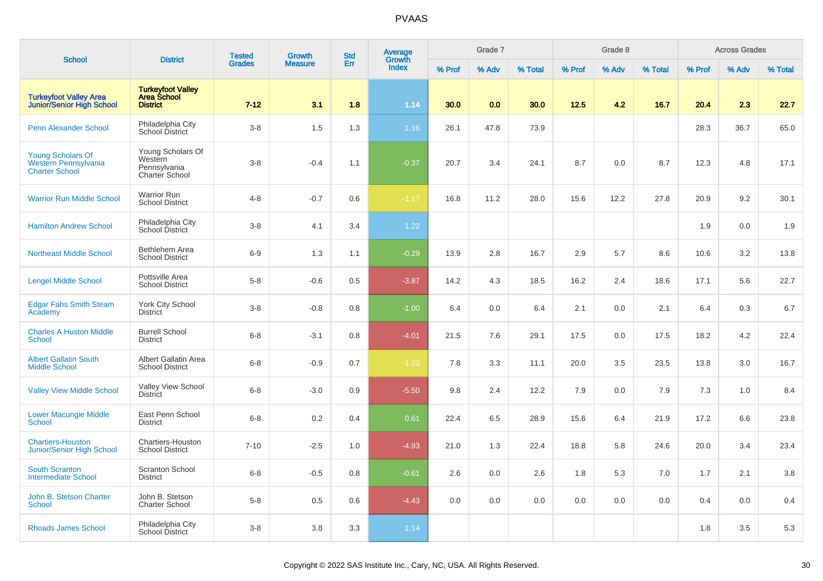| <b>School</b>                                                             | <b>District</b>                                                | <b>Tested</b> | <b>Growth</b>  | <b>Std</b> | Average<br>Growth |        | Grade 7 |         |        | Grade 8 |         |        | <b>Across Grades</b> |         |
|---------------------------------------------------------------------------|----------------------------------------------------------------|---------------|----------------|------------|-------------------|--------|---------|---------|--------|---------|---------|--------|----------------------|---------|
|                                                                           |                                                                | <b>Grades</b> | <b>Measure</b> | Err        | Index             | % Prof | % Adv   | % Total | % Prof | % Adv   | % Total | % Prof | % Adv                | % Total |
| <b>Turkeyfoot Valley Area</b><br><b>Junior/Senior High School</b>         | <b>Turkeyfoot Valley</b><br>Area School<br><b>District</b>     | $7 - 12$      | 3.1            | 1.8        | 1.14              | 30.0   | 0.0     | 30.0    | 12.5   | 4.2     | 16.7    | 20.4   | 2.3                  | 22.7    |
| <b>Penn Alexander School</b>                                              | Philadelphia City<br>School District                           | $3 - 8$       | 1.5            | 1.3        | 1.16              | 26.1   | 47.8    | 73.9    |        |         |         | 28.3   | 36.7                 | 65.0    |
| <b>Young Scholars Of</b><br>Western Pennsylvania<br><b>Charter School</b> | Young Scholars Of<br>Western<br>Pennsylvania<br>Charter School | $3 - 8$       | $-0.4$         | 1.1        | $-0.37$           | 20.7   | 3.4     | 24.1    | 8.7    | 0.0     | 8.7     | 12.3   | 4.8                  | 17.1    |
| <b>Warrior Run Middle School</b>                                          | <b>Warrior Run</b><br><b>School District</b>                   | $4 - 8$       | $-0.7$         | 0.6        | $-1.17$           | 16.8   | 11.2    | 28.0    | 15.6   | 12.2    | 27.8    | 20.9   | 9.2                  | 30.1    |
| <b>Hamilton Andrew School</b>                                             | Philadelphia City<br>School District                           | $3-8$         | 4.1            | 3.4        | 1.22              |        |         |         |        |         |         | 1.9    | 0.0                  | 1.9     |
| <b>Northeast Middle School</b>                                            | Bethlehem Area<br><b>School District</b>                       | $6-9$         | 1.3            | 1.1        | $-0.29$           | 13.9   | 2.8     | 16.7    | 2.9    | 5.7     | 8.6     | 10.6   | 3.2                  | 13.8    |
| <b>Lengel Middle School</b>                                               | Pottsville Area<br><b>School District</b>                      | $5 - 8$       | $-0.6$         | 0.5        | $-3.87$           | 14.2   | 4.3     | 18.5    | 16.2   | 2.4     | 18.6    | 17.1   | 5.6                  | 22.7    |
| <b>Edgar Fahs Smith Steam</b><br>Academy                                  | <b>York City School</b><br><b>District</b>                     | $3 - 8$       | $-0.8$         | 0.8        | $-1.00$           | 6.4    | 0.0     | 6.4     | 2.1    | 0.0     | 2.1     | 6.4    | 0.3                  | 6.7     |
| <b>Charles A Huston Middle</b><br><b>School</b>                           | <b>Burrell School</b><br><b>District</b>                       | $6 - 8$       | $-3.1$         | 0.8        | $-4.01$           | 21.5   | 7.6     | 29.1    | 17.5   | 0.0     | 17.5    | 18.2   | 4.2                  | 22.4    |
| <b>Albert Gallatin South</b><br><b>Middle School</b>                      | Albert Gallatin Area<br><b>School District</b>                 | $6 - 8$       | $-0.9$         | 0.7        | $-1.23$           | 7.8    | 3.3     | 11.1    | 20.0   | 3.5     | 23.5    | 13.8   | 3.0                  | 16.7    |
| <b>Valley View Middle School</b>                                          | Valley View School<br><b>District</b>                          | $6 - 8$       | $-3.0$         | 0.9        | $-5.50$           | 9.8    | 2.4     | 12.2    | 7.9    | 0.0     | 7.9     | 7.3    | 1.0                  | 8.4     |
| <b>Lower Macungie Middle</b><br><b>School</b>                             | East Penn School<br><b>District</b>                            | $6 - 8$       | 0.2            | 0.4        | 0.61              | 22.4   | 6.5     | 28.9    | 15.6   | 6.4     | 21.9    | 17.2   | 6.6                  | 23.8    |
| <b>Chartiers-Houston</b><br><b>Junior/Senior High School</b>              | Chartiers-Houston<br><b>School District</b>                    | $7 - 10$      | $-2.5$         | 1.0        | $-4.93$           | 21.0   | 1.3     | 22.4    | 18.8   | 5.8     | 24.6    | 20.0   | 3.4                  | 23.4    |
| <b>South Scranton</b><br><b>Intermediate School</b>                       | <b>Scranton School</b><br><b>District</b>                      | $6 - 8$       | $-0.5$         | 0.8        | $-0.61$           | 2.6    | 0.0     | 2.6     | 1.8    | 5.3     | 7.0     | 1.7    | 2.1                  | 3.8     |
| John B. Stetson Charter<br><b>School</b>                                  | John B. Stetson<br><b>Charter School</b>                       | $5 - 8$       | 0.5            | 0.6        | $-4.43$           | 0.0    | 0.0     | 0.0     | 0.0    | 0.0     | 0.0     | 0.4    | 0.0                  | 0.4     |
| <b>Rhoads James School</b>                                                | Philadelphia City<br>School District                           | $3 - 8$       | 3.8            | 3.3        | 1.14              |        |         |         |        |         |         | 1.8    | 3.5                  | 5.3     |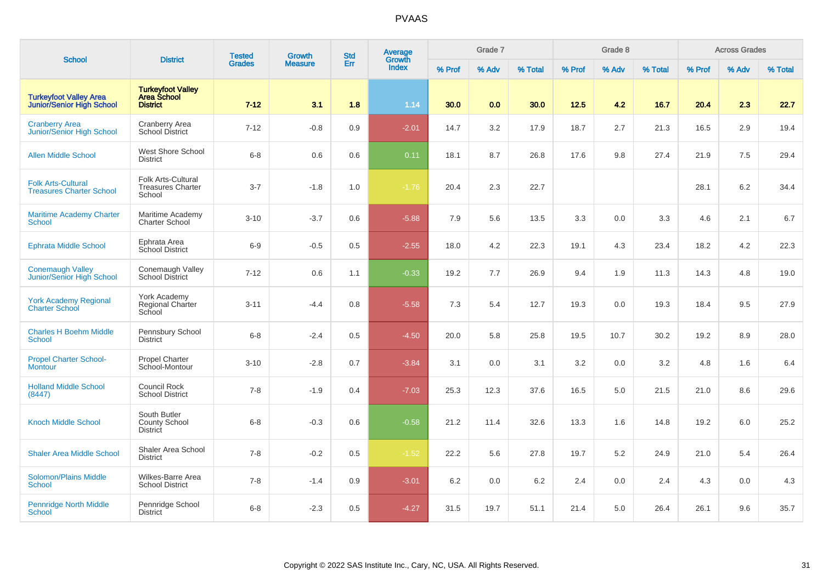| <b>School</b>                                                     | <b>District</b>                                                   | <b>Tested</b> | <b>Growth</b>  | <b>Std</b> | Average<br>Growth |        | Grade 7 |         |        | Grade 8 |         |        | <b>Across Grades</b> |         |
|-------------------------------------------------------------------|-------------------------------------------------------------------|---------------|----------------|------------|-------------------|--------|---------|---------|--------|---------|---------|--------|----------------------|---------|
|                                                                   |                                                                   | <b>Grades</b> | <b>Measure</b> | Err        | <b>Index</b>      | % Prof | % Adv   | % Total | % Prof | % Adv   | % Total | % Prof | % Adv                | % Total |
| <b>Turkeyfoot Valley Area</b><br><b>Junior/Senior High School</b> | <b>Turkeyfoot Valley</b><br><b>Area School</b><br><b>District</b> | $7 - 12$      | 3.1            | 1.8        | 1.14              | 30.0   | 0.0     | 30.0    | 12.5   | 4.2     | 16.7    | 20.4   | 2.3                  | 22.7    |
| <b>Cranberry Area</b><br>Junior/Senior High School                | <b>Cranberry Area</b><br><b>School District</b>                   | $7 - 12$      | $-0.8$         | 0.9        | $-2.01$           | 14.7   | 3.2     | 17.9    | 18.7   | 2.7     | 21.3    | 16.5   | 2.9                  | 19.4    |
| <b>Allen Middle School</b>                                        | West Shore School<br><b>District</b>                              | $6 - 8$       | 0.6            | 0.6        | 0.11              | 18.1   | 8.7     | 26.8    | 17.6   | 9.8     | 27.4    | 21.9   | 7.5                  | 29.4    |
| <b>Folk Arts-Cultural</b><br><b>Treasures Charter School</b>      | Folk Arts-Cultural<br><b>Treasures Charter</b><br>School          | $3 - 7$       | $-1.8$         | 1.0        | $-1.76$           | 20.4   | 2.3     | 22.7    |        |         |         | 28.1   | 6.2                  | 34.4    |
| <b>Maritime Academy Charter</b><br>School                         | Maritime Academy<br><b>Charter School</b>                         | $3 - 10$      | $-3.7$         | 0.6        | $-5.88$           | 7.9    | 5.6     | 13.5    | 3.3    | 0.0     | 3.3     | 4.6    | 2.1                  | 6.7     |
| <b>Ephrata Middle School</b>                                      | Ephrata Area<br><b>School District</b>                            | $6-9$         | $-0.5$         | 0.5        | $-2.55$           | 18.0   | 4.2     | 22.3    | 19.1   | 4.3     | 23.4    | 18.2   | 4.2                  | 22.3    |
| <b>Conemaugh Valley</b><br>Junior/Senior High School              | Conemaugh Valley<br><b>School District</b>                        | $7 - 12$      | 0.6            | 1.1        | $-0.33$           | 19.2   | 7.7     | 26.9    | 9.4    | 1.9     | 11.3    | 14.3   | 4.8                  | 19.0    |
| <b>York Academy Regional</b><br><b>Charter School</b>             | York Academy<br>Regional Charter<br>School                        | $3 - 11$      | $-4.4$         | 0.8        | $-5.58$           | 7.3    | 5.4     | 12.7    | 19.3   | 0.0     | 19.3    | 18.4   | 9.5                  | 27.9    |
| <b>Charles H Boehm Middle</b><br><b>School</b>                    | Pennsbury School<br><b>District</b>                               | $6 - 8$       | $-2.4$         | 0.5        | $-4.50$           | 20.0   | 5.8     | 25.8    | 19.5   | 10.7    | 30.2    | 19.2   | 8.9                  | 28.0    |
| <b>Propel Charter School-</b><br><b>Montour</b>                   | <b>Propel Charter</b><br>School-Montour                           | $3 - 10$      | $-2.8$         | 0.7        | $-3.84$           | 3.1    | 0.0     | 3.1     | 3.2    | 0.0     | 3.2     | 4.8    | 1.6                  | 6.4     |
| <b>Holland Middle School</b><br>(8447)                            | <b>Council Rock</b><br><b>School District</b>                     | $7 - 8$       | $-1.9$         | 0.4        | $-7.03$           | 25.3   | 12.3    | 37.6    | 16.5   | 5.0     | 21.5    | 21.0   | 8.6                  | 29.6    |
| <b>Knoch Middle School</b>                                        | South Butler<br>County School<br><b>District</b>                  | $6 - 8$       | $-0.3$         | 0.6        | $-0.58$           | 21.2   | 11.4    | 32.6    | 13.3   | 1.6     | 14.8    | 19.2   | 6.0                  | 25.2    |
| <b>Shaler Area Middle School</b>                                  | Shaler Area School<br><b>District</b>                             | $7 - 8$       | $-0.2$         | 0.5        | $-1.52$           | 22.2   | 5.6     | 27.8    | 19.7   | 5.2     | 24.9    | 21.0   | 5.4                  | 26.4    |
| <b>Solomon/Plains Middle</b><br><b>School</b>                     | Wilkes-Barre Area<br><b>School District</b>                       | $7 - 8$       | $-1.4$         | 0.9        | $-3.01$           | 6.2    | 0.0     | 6.2     | 2.4    | 0.0     | 2.4     | 4.3    | 0.0                  | 4.3     |
| <b>Pennridge North Middle</b><br>School                           | Pennridge School<br><b>District</b>                               | $6 - 8$       | $-2.3$         | 0.5        | $-4.27$           | 31.5   | 19.7    | 51.1    | 21.4   | 5.0     | 26.4    | 26.1   | 9.6                  | 35.7    |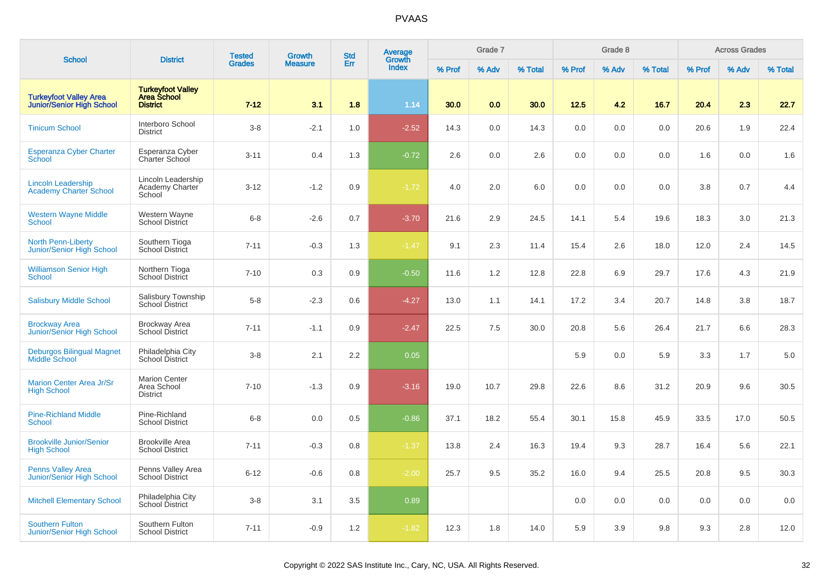|                                                                   |                                                                   | <b>Tested</b> | <b>Growth</b>  | <b>Std</b> | Average                       |        | Grade 7 |         |        | Grade 8 |         |        | <b>Across Grades</b> |         |
|-------------------------------------------------------------------|-------------------------------------------------------------------|---------------|----------------|------------|-------------------------------|--------|---------|---------|--------|---------|---------|--------|----------------------|---------|
| <b>School</b>                                                     | <b>District</b>                                                   | <b>Grades</b> | <b>Measure</b> | Err        | <b>Growth</b><br><b>Index</b> | % Prof | % Adv   | % Total | % Prof | % Adv   | % Total | % Prof | % Adv                | % Total |
| <b>Turkeyfoot Valley Area</b><br><b>Junior/Senior High School</b> | <b>Turkeyfoot Valley</b><br><b>Area School</b><br><b>District</b> | $7 - 12$      | 3.1            | 1.8        | 1.14                          | 30.0   | 0.0     | 30.0    | 12.5   | 4.2     | 16.7    | 20.4   | 2.3                  | 22.7    |
| <b>Tinicum School</b>                                             | Interboro School<br><b>District</b>                               | $3-8$         | $-2.1$         | $1.0$      | $-2.52$                       | 14.3   | 0.0     | 14.3    | 0.0    | 0.0     | 0.0     | 20.6   | 1.9                  | 22.4    |
| <b>Esperanza Cyber Charter</b><br><b>School</b>                   | Esperanza Cyber<br>Charter School                                 | $3 - 11$      | 0.4            | 1.3        | $-0.72$                       | 2.6    | 0.0     | 2.6     | 0.0    | 0.0     | 0.0     | 1.6    | 0.0                  | 1.6     |
| <b>Lincoln Leadership</b><br><b>Academy Charter School</b>        | Lincoln Leadership<br>Academy Charter<br>School                   | $3 - 12$      | $-1.2$         | 0.9        | $-1.72$                       | 4.0    | 2.0     | 6.0     | 0.0    | 0.0     | 0.0     | 3.8    | 0.7                  | 4.4     |
| <b>Western Wayne Middle</b><br><b>School</b>                      | Western Wayne<br><b>School District</b>                           | $6 - 8$       | $-2.6$         | 0.7        | $-3.70$                       | 21.6   | 2.9     | 24.5    | 14.1   | 5.4     | 19.6    | 18.3   | 3.0                  | 21.3    |
| North Penn-Liberty<br>Junior/Senior High School                   | Southern Tioga<br>School District                                 | $7 - 11$      | $-0.3$         | 1.3        | $-1.47$                       | 9.1    | 2.3     | 11.4    | 15.4   | 2.6     | 18.0    | 12.0   | 2.4                  | 14.5    |
| <b>Williamson Senior High</b><br><b>School</b>                    | Northern Tioga<br><b>School District</b>                          | $7 - 10$      | 0.3            | 0.9        | $-0.50$                       | 11.6   | 1.2     | 12.8    | 22.8   | 6.9     | 29.7    | 17.6   | 4.3                  | 21.9    |
| <b>Salisbury Middle School</b>                                    | Salisbury Township<br>School District                             | $5-8$         | $-2.3$         | 0.6        | $-4.27$                       | 13.0   | 1.1     | 14.1    | 17.2   | 3.4     | 20.7    | 14.8   | 3.8                  | 18.7    |
| <b>Brockway Area</b><br>Junior/Senior High School                 | <b>Brockway Area</b><br><b>School District</b>                    | $7 - 11$      | $-1.1$         | 0.9        | $-2.47$                       | 22.5   | 7.5     | 30.0    | 20.8   | 5.6     | 26.4    | 21.7   | 6.6                  | 28.3    |
| <b>Deburgos Bilingual Magnet</b><br><b>Middle School</b>          | Philadelphia City<br>School District                              | $3-8$         | 2.1            | 2.2        | 0.05                          |        |         |         | 5.9    | 0.0     | 5.9     | 3.3    | 1.7                  | 5.0     |
| <b>Marion Center Area Jr/Sr</b><br><b>High School</b>             | <b>Marion Center</b><br>Area School<br><b>District</b>            | $7 - 10$      | $-1.3$         | 0.9        | $-3.16$                       | 19.0   | 10.7    | 29.8    | 22.6   | 8.6     | 31.2    | 20.9   | 9.6                  | 30.5    |
| <b>Pine-Richland Middle</b><br><b>School</b>                      | Pine-Richland<br><b>School District</b>                           | $6 - 8$       | 0.0            | 0.5        | $-0.86$                       | 37.1   | 18.2    | 55.4    | 30.1   | 15.8    | 45.9    | 33.5   | 17.0                 | 50.5    |
| <b>Brookville Junior/Senior</b><br><b>High School</b>             | <b>Brookville Area</b><br><b>School District</b>                  | $7 - 11$      | $-0.3$         | 0.8        | $-1.37$                       | 13.8   | 2.4     | 16.3    | 19.4   | 9.3     | 28.7    | 16.4   | 5.6                  | 22.1    |
| <b>Penns Valley Area</b><br>Junior/Senior High School             | Penns Valley Area<br><b>School District</b>                       | $6 - 12$      | $-0.6$         | 0.8        | $-2.00$                       | 25.7   | 9.5     | 35.2    | 16.0   | 9.4     | 25.5    | 20.8   | 9.5                  | 30.3    |
| <b>Mitchell Elementary School</b>                                 | Philadelphia City<br><b>School District</b>                       | $3-8$         | 3.1            | 3.5        | 0.89                          |        |         |         | 0.0    | 0.0     | 0.0     | 0.0    | 0.0                  | 0.0     |
| <b>Southern Fulton</b><br><b>Junior/Senior High School</b>        | Southern Fulton<br><b>School District</b>                         | $7 - 11$      | $-0.9$         | 1.2        | $-1.82$                       | 12.3   | 1.8     | 14.0    | 5.9    | 3.9     | 9.8     | 9.3    | 2.8                  | 12.0    |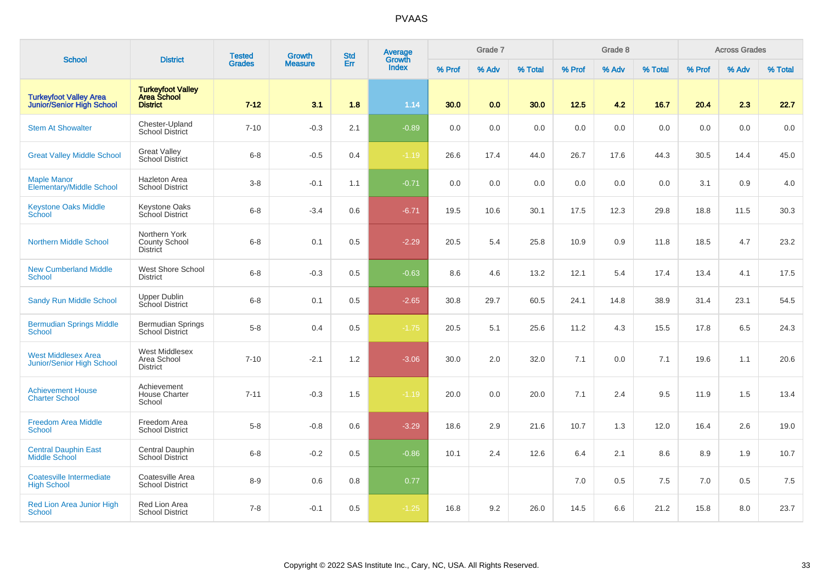| <b>School</b>                                                     | <b>District</b>                                                   | <b>Tested</b> | Growth         | <b>Std</b> | Average<br>Growth |        | Grade 7 |         |        | Grade 8 |         |        | <b>Across Grades</b> |         |
|-------------------------------------------------------------------|-------------------------------------------------------------------|---------------|----------------|------------|-------------------|--------|---------|---------|--------|---------|---------|--------|----------------------|---------|
|                                                                   |                                                                   | <b>Grades</b> | <b>Measure</b> | Err        | <b>Index</b>      | % Prof | % Adv   | % Total | % Prof | % Adv   | % Total | % Prof | % Adv                | % Total |
| <b>Turkeyfoot Valley Area</b><br><b>Junior/Senior High School</b> | <b>Turkeyfoot Valley</b><br><b>Area School</b><br><b>District</b> | $7 - 12$      | 3.1            | 1.8        | 1.14              | 30.0   | 0.0     | 30.0    | 12.5   | 4.2     | 16.7    | 20.4   | 2.3                  | 22.7    |
| <b>Stem At Showalter</b>                                          | Chester-Upland<br><b>School District</b>                          | $7 - 10$      | $-0.3$         | 2.1        | $-0.89$           | 0.0    | 0.0     | 0.0     | 0.0    | 0.0     | 0.0     | 0.0    | 0.0                  | 0.0     |
| <b>Great Valley Middle School</b>                                 | <b>Great Valley</b><br><b>School District</b>                     | $6 - 8$       | $-0.5$         | 0.4        | $-1.19$           | 26.6   | 17.4    | 44.0    | 26.7   | 17.6    | 44.3    | 30.5   | 14.4                 | 45.0    |
| <b>Maple Manor</b><br><b>Elementary/Middle School</b>             | <b>Hazleton Area</b><br><b>School District</b>                    | $3 - 8$       | $-0.1$         | 1.1        | $-0.71$           | 0.0    | 0.0     | 0.0     | 0.0    | 0.0     | 0.0     | 3.1    | 0.9                  | 4.0     |
| <b>Keystone Oaks Middle</b><br>School                             | Keystone Oaks<br>School District                                  | $6 - 8$       | $-3.4$         | 0.6        | $-6.71$           | 19.5   | 10.6    | 30.1    | 17.5   | 12.3    | 29.8    | 18.8   | 11.5                 | 30.3    |
| <b>Northern Middle School</b>                                     | Northern York<br>County School<br><b>District</b>                 | $6 - 8$       | 0.1            | 0.5        | $-2.29$           | 20.5   | 5.4     | 25.8    | 10.9   | 0.9     | 11.8    | 18.5   | 4.7                  | 23.2    |
| <b>New Cumberland Middle</b><br><b>School</b>                     | West Shore School<br><b>District</b>                              | $6 - 8$       | $-0.3$         | 0.5        | $-0.63$           | 8.6    | 4.6     | 13.2    | 12.1   | 5.4     | 17.4    | 13.4   | 4.1                  | 17.5    |
| <b>Sandy Run Middle School</b>                                    | Upper Dublin<br>School District                                   | $6 - 8$       | 0.1            | 0.5        | $-2.65$           | 30.8   | 29.7    | 60.5    | 24.1   | 14.8    | 38.9    | 31.4   | 23.1                 | 54.5    |
| <b>Bermudian Springs Middle</b><br><b>School</b>                  | Bermudian Springs<br><b>School District</b>                       | $5 - 8$       | 0.4            | 0.5        | $-1.75$           | 20.5   | 5.1     | 25.6    | 11.2   | 4.3     | 15.5    | 17.8   | 6.5                  | 24.3    |
| <b>West Middlesex Area</b><br>Junior/Senior High School           | West Middlesex<br>Area School<br><b>District</b>                  | $7 - 10$      | $-2.1$         | 1.2        | $-3.06$           | 30.0   | 2.0     | 32.0    | 7.1    | 0.0     | 7.1     | 19.6   | 1.1                  | 20.6    |
| <b>Achievement House</b><br><b>Charter School</b>                 | Achievement<br><b>House Charter</b><br>School                     | $7 - 11$      | $-0.3$         | 1.5        | $-1.19$           | 20.0   | 0.0     | 20.0    | 7.1    | 2.4     | 9.5     | 11.9   | 1.5                  | 13.4    |
| <b>Freedom Area Middle</b><br><b>School</b>                       | Freedom Area<br><b>School District</b>                            | $5-8$         | $-0.8$         | 0.6        | $-3.29$           | 18.6   | 2.9     | 21.6    | 10.7   | 1.3     | 12.0    | 16.4   | 2.6                  | 19.0    |
| <b>Central Dauphin East</b><br><b>Middle School</b>               | Central Dauphin<br><b>School District</b>                         | $6 - 8$       | $-0.2$         | 0.5        | $-0.86$           | 10.1   | 2.4     | 12.6    | 6.4    | 2.1     | 8.6     | 8.9    | 1.9                  | 10.7    |
| Coatesville Intermediate<br><b>High School</b>                    | Coatesville Area<br><b>School District</b>                        | $8 - 9$       | $0.6\,$        | 0.8        | 0.77              |        |         |         | 7.0    | 0.5     | 7.5     | 7.0    | 0.5                  | 7.5     |
| Red Lion Area Junior High<br>School                               | Red Lion Area<br><b>School District</b>                           | $7 - 8$       | $-0.1$         | 0.5        | $-1.25$           | 16.8   | 9.2     | 26.0    | 14.5   | 6.6     | 21.2    | 15.8   | 8.0                  | 23.7    |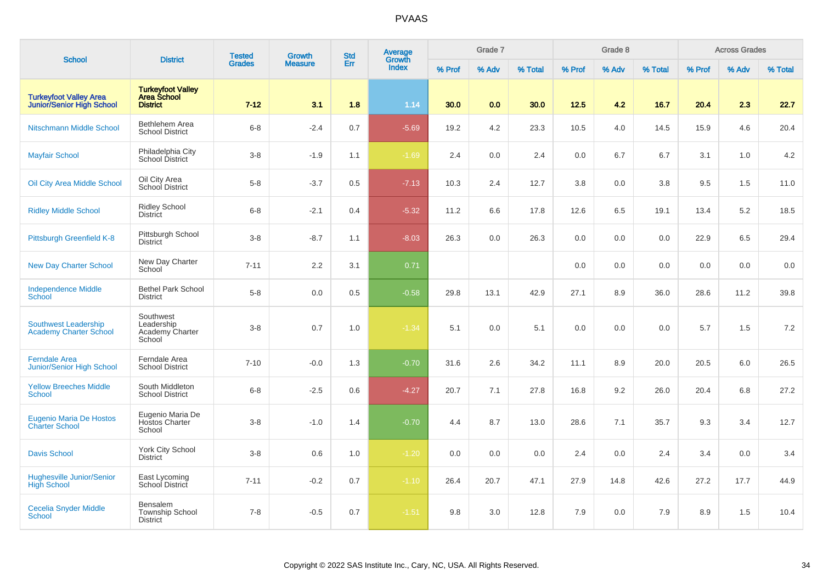| <b>School</b>                                                     | <b>District</b>                                                   | <b>Tested</b> | <b>Growth</b>  | <b>Std</b> | Average<br>Growth |        | Grade 7 |         |        | Grade 8 |         |        | <b>Across Grades</b> |         |
|-------------------------------------------------------------------|-------------------------------------------------------------------|---------------|----------------|------------|-------------------|--------|---------|---------|--------|---------|---------|--------|----------------------|---------|
|                                                                   |                                                                   | <b>Grades</b> | <b>Measure</b> | Err        | <b>Index</b>      | % Prof | % Adv   | % Total | % Prof | % Adv   | % Total | % Prof | % Adv                | % Total |
| <b>Turkeyfoot Valley Area</b><br><b>Junior/Senior High School</b> | <b>Turkeyfoot Valley</b><br><b>Area School</b><br><b>District</b> | $7 - 12$      | 3.1            | 1.8        | 1.14              | 30.0   | 0.0     | 30.0    | 12.5   | 4.2     | 16.7    | 20.4   | 2.3                  | 22.7    |
| Nitschmann Middle School                                          | Bethlehem Area<br><b>School District</b>                          | $6 - 8$       | $-2.4$         | 0.7        | $-5.69$           | 19.2   | 4.2     | 23.3    | 10.5   | 4.0     | 14.5    | 15.9   | 4.6                  | 20.4    |
| <b>Mayfair School</b>                                             | Philadelphia City<br>School District                              | $3 - 8$       | $-1.9$         | 1.1        | $-1.69$           | 2.4    | 0.0     | 2.4     | 0.0    | 6.7     | 6.7     | 3.1    | 1.0                  | 4.2     |
| <b>Oil City Area Middle School</b>                                | Oil City Area<br>School District                                  | $5 - 8$       | $-3.7$         | 0.5        | $-7.13$           | 10.3   | 2.4     | 12.7    | 3.8    | 0.0     | 3.8     | 9.5    | 1.5                  | 11.0    |
| <b>Ridley Middle School</b>                                       | Ridley School<br><b>District</b>                                  | $6 - 8$       | $-2.1$         | 0.4        | $-5.32$           | 11.2   | 6.6     | 17.8    | 12.6   | 6.5     | 19.1    | 13.4   | 5.2                  | 18.5    |
| Pittsburgh Greenfield K-8                                         | Pittsburgh School<br><b>District</b>                              | $3 - 8$       | $-8.7$         | 1.1        | $-8.03$           | 26.3   | 0.0     | 26.3    | 0.0    | 0.0     | 0.0     | 22.9   | 6.5                  | 29.4    |
| <b>New Day Charter School</b>                                     | New Day Charter<br>School                                         | $7 - 11$      | 2.2            | 3.1        | 0.71              |        |         |         | 0.0    | 0.0     | 0.0     | 0.0    | 0.0                  | $0.0\,$ |
| <b>Independence Middle</b><br><b>School</b>                       | <b>Bethel Park School</b><br><b>District</b>                      | $5 - 8$       | $0.0\,$        | 0.5        | $-0.58$           | 29.8   | 13.1    | 42.9    | 27.1   | 8.9     | 36.0    | 28.6   | 11.2                 | 39.8    |
| <b>Southwest Leadership</b><br><b>Academy Charter School</b>      | Southwest<br>Leadership<br>Academy Charter<br>School              | $3 - 8$       | 0.7            | 1.0        | $-1.34$           | 5.1    | 0.0     | 5.1     | 0.0    | 0.0     | 0.0     | 5.7    | 1.5                  | $7.2\,$ |
| <b>Ferndale Area</b><br>Junior/Senior High School                 | Ferndale Area<br><b>School District</b>                           | $7 - 10$      | $-0.0$         | 1.3        | $-0.70$           | 31.6   | 2.6     | 34.2    | 11.1   | 8.9     | 20.0    | 20.5   | 6.0                  | 26.5    |
| <b>Yellow Breeches Middle</b><br>School                           | South Middleton<br><b>School District</b>                         | $6 - 8$       | $-2.5$         | 0.6        | $-4.27$           | 20.7   | 7.1     | 27.8    | 16.8   | 9.2     | 26.0    | 20.4   | 6.8                  | 27.2    |
| <b>Eugenio Maria De Hostos</b><br><b>Charter School</b>           | Eugenio Maria De<br>Hostos Charter<br>School                      | $3 - 8$       | $-1.0$         | 1.4        | $-0.70$           | 4.4    | 8.7     | 13.0    | 28.6   | 7.1     | 35.7    | 9.3    | 3.4                  | 12.7    |
| <b>Davis School</b>                                               | York City School<br><b>District</b>                               | $3 - 8$       | 0.6            | 1.0        | $-1.20$           | 0.0    | 0.0     | 0.0     | 2.4    | 0.0     | 2.4     | 3.4    | 0.0                  | 3.4     |
| <b>Hughesville Junior/Senior</b><br><b>High School</b>            | East Lycoming<br>School District                                  | $7 - 11$      | $-0.2$         | 0.7        | $-1.10$           | 26.4   | 20.7    | 47.1    | 27.9   | 14.8    | 42.6    | 27.2   | 17.7                 | 44.9    |
| <b>Cecelia Snyder Middle</b><br><b>School</b>                     | <b>Bensalem</b><br>Township School<br><b>District</b>             | $7 - 8$       | $-0.5$         | 0.7        | $-1.51$           | 9.8    | 3.0     | 12.8    | 7.9    | 0.0     | 7.9     | 8.9    | 1.5                  | 10.4    |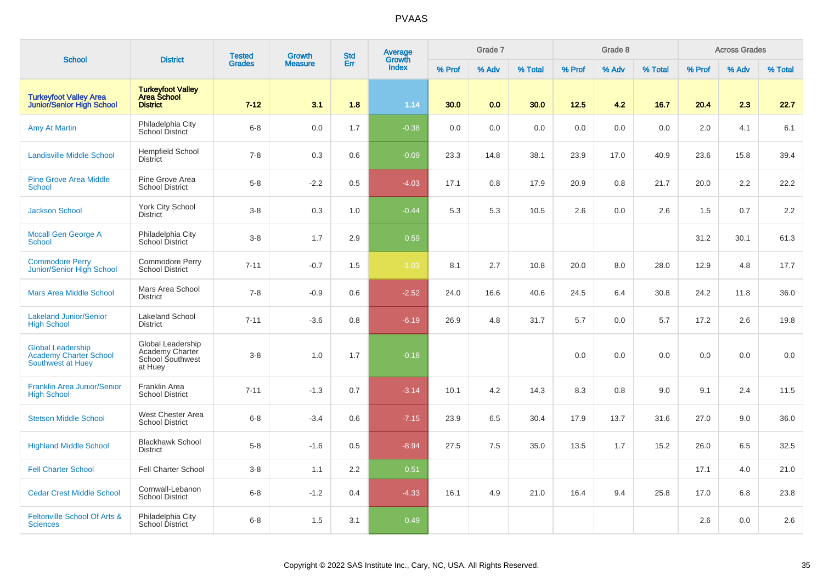| <b>School</b>                                                                  | <b>District</b>                                                     | <b>Tested</b> | Growth         | <b>Std</b> | Average<br>Growth |        | Grade 7 |         |        | Grade 8 |         |        | <b>Across Grades</b> |         |
|--------------------------------------------------------------------------------|---------------------------------------------------------------------|---------------|----------------|------------|-------------------|--------|---------|---------|--------|---------|---------|--------|----------------------|---------|
|                                                                                |                                                                     | <b>Grades</b> | <b>Measure</b> | Err        | <b>Index</b>      | % Prof | % Adv   | % Total | % Prof | % Adv   | % Total | % Prof | % Adv                | % Total |
| <b>Turkeyfoot Valley Area</b><br><b>Junior/Senior High School</b>              | <b>Turkeyfoot Valley<br/>Area School</b><br><b>District</b>         | $7 - 12$      | 3.1            | 1.8        | 1.14              | 30.0   | 0.0     | 30.0    | 12.5   | 4.2     | 16.7    | 20.4   | 2.3                  | 22.7    |
| <b>Amy At Martin</b>                                                           | Philadelphia City<br>School District                                | $6 - 8$       | 0.0            | 1.7        | $-0.38$           | 0.0    | 0.0     | 0.0     | 0.0    | 0.0     | 0.0     | 2.0    | 4.1                  | 6.1     |
| <b>Landisville Middle School</b>                                               | <b>Hempfield School</b><br><b>District</b>                          | $7 - 8$       | $0.3\,$        | 0.6        | $-0.09$           | 23.3   | 14.8    | 38.1    | 23.9   | 17.0    | 40.9    | 23.6   | 15.8                 | 39.4    |
| <b>Pine Grove Area Middle</b><br>School                                        | Pine Grove Area<br><b>School District</b>                           | $5-8$         | $-2.2$         | 0.5        | $-4.03$           | 17.1   | 0.8     | 17.9    | 20.9   | 0.8     | 21.7    | 20.0   | 2.2                  | 22.2    |
| <b>Jackson School</b>                                                          | <b>York City School</b><br><b>District</b>                          | $3-8$         | 0.3            | 1.0        | $-0.44$           | 5.3    | 5.3     | 10.5    | 2.6    | 0.0     | 2.6     | 1.5    | 0.7                  | 2.2     |
| <b>Mccall Gen George A</b><br><b>School</b>                                    | Philadelphia City<br>School District                                | $3-8$         | 1.7            | 2.9        | 0.59              |        |         |         |        |         |         | 31.2   | 30.1                 | 61.3    |
| <b>Commodore Perry</b><br>Junior/Senior High School                            | Commodore Perry<br><b>School District</b>                           | $7 - 11$      | $-0.7$         | 1.5        | $-1.03$           | 8.1    | 2.7     | 10.8    | 20.0   | 8.0     | 28.0    | 12.9   | 4.8                  | 17.7    |
| <b>Mars Area Middle School</b>                                                 | Mars Area School<br><b>District</b>                                 | $7 - 8$       | $-0.9$         | 0.6        | $-2.52$           | 24.0   | 16.6    | 40.6    | 24.5   | 6.4     | 30.8    | 24.2   | 11.8                 | 36.0    |
| <b>Lakeland Junior/Senior</b><br><b>High School</b>                            | <b>Lakeland School</b><br><b>District</b>                           | $7 - 11$      | $-3.6$         | 0.8        | $-6.19$           | 26.9   | 4.8     | 31.7    | 5.7    | 0.0     | 5.7     | 17.2   | 2.6                  | 19.8    |
| <b>Global Leadership</b><br><b>Academy Charter School</b><br>Southwest at Huey | Global Leadership<br>Academy Charter<br>School Southwest<br>at Huey | $3 - 8$       | 1.0            | 1.7        | $-0.18$           |        |         |         | 0.0    | 0.0     | 0.0     | 0.0    | 0.0                  | 0.0     |
| <b>Franklin Area Junior/Senior</b><br><b>High School</b>                       | Franklin Area<br><b>School District</b>                             | $7 - 11$      | $-1.3$         | 0.7        | $-3.14$           | 10.1   | 4.2     | 14.3    | 8.3    | 0.8     | 9.0     | 9.1    | 2.4                  | 11.5    |
| <b>Stetson Middle School</b>                                                   | West Chester Area<br><b>School District</b>                         | $6 - 8$       | $-3.4$         | 0.6        | $-7.15$           | 23.9   | 6.5     | 30.4    | 17.9   | 13.7    | 31.6    | 27.0   | 9.0                  | 36.0    |
| <b>Highland Middle School</b>                                                  | <b>Blackhawk School</b><br><b>District</b>                          | $5-8$         | $-1.6$         | 0.5        | $-8.94$           | 27.5   | 7.5     | 35.0    | 13.5   | 1.7     | 15.2    | 26.0   | 6.5                  | 32.5    |
| <b>Fell Charter School</b>                                                     | <b>Fell Charter School</b>                                          | $3 - 8$       | 1.1            | 2.2        | 0.51              |        |         |         |        |         |         | 17.1   | 4.0                  | 21.0    |
| <b>Cedar Crest Middle School</b>                                               | Cornwall-Lebanon<br><b>School District</b>                          | $6 - 8$       | $-1.2$         | 0.4        | $-4.33$           | 16.1   | 4.9     | 21.0    | 16.4   | 9.4     | 25.8    | 17.0   | 6.8                  | 23.8    |
| Feltonville School Of Arts &<br><b>Sciences</b>                                | Philadelphia City<br><b>School District</b>                         | $6 - 8$       | 1.5            | 3.1        | 0.49              |        |         |         |        |         |         | 2.6    | 0.0                  | 2.6     |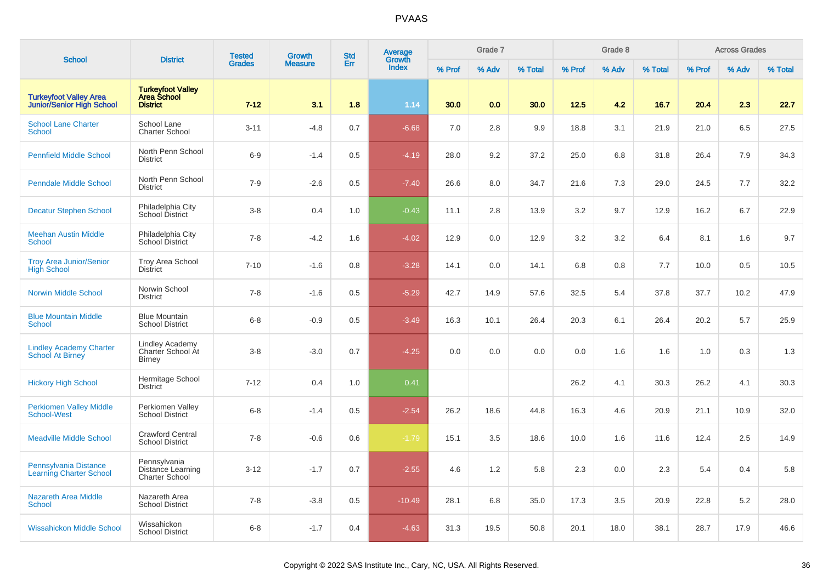|                                                                   | <b>District</b>                                              | <b>Tested</b> | <b>Growth</b>  | <b>Std</b> | Average                |        | Grade 7 |         |        | Grade 8 |         |        | <b>Across Grades</b> |         |
|-------------------------------------------------------------------|--------------------------------------------------------------|---------------|----------------|------------|------------------------|--------|---------|---------|--------|---------|---------|--------|----------------------|---------|
| <b>School</b>                                                     |                                                              | <b>Grades</b> | <b>Measure</b> | Err        | Growth<br><b>Index</b> | % Prof | % Adv   | % Total | % Prof | % Adv   | % Total | % Prof | % Adv                | % Total |
| <b>Turkeyfoot Valley Area</b><br><b>Junior/Senior High School</b> | <b>Turkeyfoot Valley<br/>Area School</b><br><b>District</b>  | $7 - 12$      | 3.1            | 1.8        | 1.14                   | 30.0   | 0.0     | 30.0    | 12.5   | 4.2     | 16.7    | 20.4   | 2.3                  | 22.7    |
| <b>School Lane Charter</b><br><b>School</b>                       | School Lane<br><b>Charter School</b>                         | $3 - 11$      | $-4.8$         | 0.7        | $-6.68$                | 7.0    | 2.8     | 9.9     | 18.8   | 3.1     | 21.9    | 21.0   | 6.5                  | 27.5    |
| <b>Pennfield Middle School</b>                                    | North Penn School<br><b>District</b>                         | $6-9$         | $-1.4$         | 0.5        | $-4.19$                | 28.0   | 9.2     | 37.2    | 25.0   | 6.8     | 31.8    | 26.4   | 7.9                  | 34.3    |
| <b>Penndale Middle School</b>                                     | North Penn School<br><b>District</b>                         | $7-9$         | $-2.6$         | 0.5        | $-7.40$                | 26.6   | 8.0     | 34.7    | 21.6   | 7.3     | 29.0    | 24.5   | 7.7                  | 32.2    |
| <b>Decatur Stephen School</b>                                     | Philadelphia City<br>School District                         | $3-8$         | 0.4            | 1.0        | $-0.43$                | 11.1   | 2.8     | 13.9    | 3.2    | 9.7     | 12.9    | 16.2   | 6.7                  | 22.9    |
| <b>Meehan Austin Middle</b><br><b>School</b>                      | Philadelphia City<br>School District                         | $7 - 8$       | $-4.2$         | 1.6        | $-4.02$                | 12.9   | 0.0     | 12.9    | 3.2    | 3.2     | 6.4     | 8.1    | 1.6                  | 9.7     |
| <b>Trov Area Junior/Senior</b><br><b>High School</b>              | <b>Troy Area School</b><br><b>District</b>                   | $7 - 10$      | $-1.6$         | 0.8        | $-3.28$                | 14.1   | 0.0     | 14.1    | 6.8    | 0.8     | 7.7     | 10.0   | 0.5                  | 10.5    |
| <b>Norwin Middle School</b>                                       | Norwin School<br><b>District</b>                             | $7 - 8$       | $-1.6$         | 0.5        | $-5.29$                | 42.7   | 14.9    | 57.6    | 32.5   | 5.4     | 37.8    | 37.7   | 10.2                 | 47.9    |
| <b>Blue Mountain Middle</b><br><b>School</b>                      | <b>Blue Mountain</b><br><b>School District</b>               | $6 - 8$       | $-0.9$         | 0.5        | $-3.49$                | 16.3   | 10.1    | 26.4    | 20.3   | 6.1     | 26.4    | 20.2   | 5.7                  | 25.9    |
| <b>Lindley Academy Charter</b><br>School At Birney                | <b>Lindley Academy</b><br>Charter School At<br><b>Birney</b> | $3 - 8$       | $-3.0$         | 0.7        | $-4.25$                | 0.0    | 0.0     | 0.0     | 0.0    | 1.6     | 1.6     | 1.0    | 0.3                  | 1.3     |
| <b>Hickory High School</b>                                        | Hermitage School<br><b>District</b>                          | $7 - 12$      | 0.4            | 1.0        | 0.41                   |        |         |         | 26.2   | 4.1     | 30.3    | 26.2   | 4.1                  | 30.3    |
| <b>Perkiomen Valley Middle</b><br><b>School-West</b>              | Perkiomen Valley<br><b>School District</b>                   | $6 - 8$       | $-1.4$         | 0.5        | $-2.54$                | 26.2   | 18.6    | 44.8    | 16.3   | 4.6     | 20.9    | 21.1   | 10.9                 | 32.0    |
| <b>Meadville Middle School</b>                                    | <b>Crawford Central</b><br><b>School District</b>            | $7 - 8$       | $-0.6$         | 0.6        | $-1.79$                | 15.1   | 3.5     | 18.6    | 10.0   | 1.6     | 11.6    | 12.4   | 2.5                  | 14.9    |
| Pennsylvania Distance<br><b>Learning Charter School</b>           | Pennsylvania<br><b>Distance Learning</b><br>Charter School   | $3 - 12$      | $-1.7$         | 0.7        | $-2.55$                | 4.6    | 1.2     | 5.8     | 2.3    | 0.0     | 2.3     | 5.4    | 0.4                  | 5.8     |
| <b>Nazareth Area Middle</b><br><b>School</b>                      | Nazareth Area<br><b>School District</b>                      | $7 - 8$       | $-3.8$         | 0.5        | $-10.49$               | 28.1   | 6.8     | 35.0    | 17.3   | 3.5     | 20.9    | 22.8   | 5.2                  | 28.0    |
| <b>Wissahickon Middle School</b>                                  | Wissahickon<br><b>School District</b>                        | $6 - 8$       | $-1.7$         | 0.4        | $-4.63$                | 31.3   | 19.5    | 50.8    | 20.1   | 18.0    | 38.1    | 28.7   | 17.9                 | 46.6    |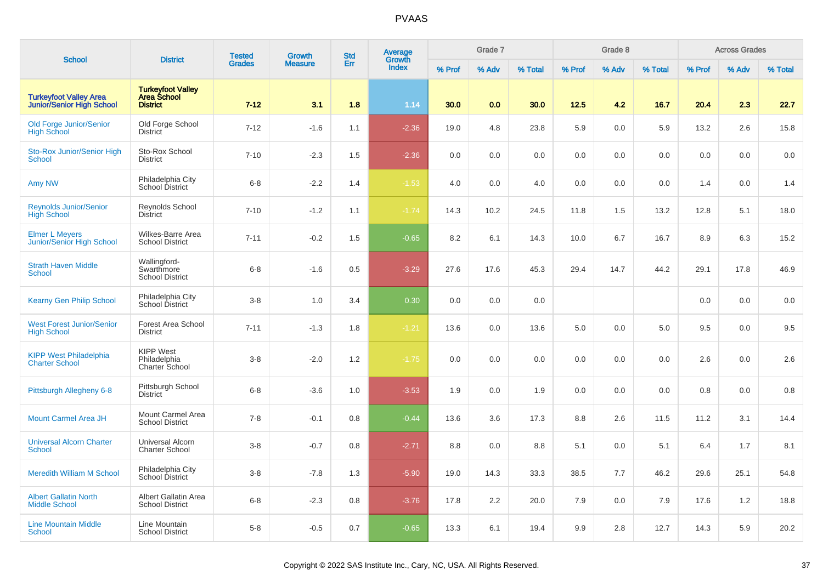|                                                            |                                                             | <b>Tested</b> | <b>Growth</b>  | <b>Std</b> | Average                |        | Grade 7 |         |        | Grade 8 |         |        | <b>Across Grades</b> |         |
|------------------------------------------------------------|-------------------------------------------------------------|---------------|----------------|------------|------------------------|--------|---------|---------|--------|---------|---------|--------|----------------------|---------|
| <b>School</b>                                              | <b>District</b>                                             | <b>Grades</b> | <b>Measure</b> | Err        | Growth<br><b>Index</b> | % Prof | % Adv   | % Total | % Prof | % Adv   | % Total | % Prof | % Adv                | % Total |
| <b>Turkeyfoot Valley Area</b><br>Junior/Senior High School | <b>Turkeyfoot Valley<br/>Area School</b><br><b>District</b> | $7 - 12$      | 3.1            | 1.8        | 1.14                   | 30.0   | 0.0     | 30.0    | 12.5   | 4.2     | 16.7    | 20.4   | 2.3                  | 22.7    |
| Old Forge Junior/Senior<br><b>High School</b>              | Old Forge School<br><b>District</b>                         | $7 - 12$      | $-1.6$         | 1.1        | $-2.36$                | 19.0   | 4.8     | 23.8    | 5.9    | 0.0     | 5.9     | 13.2   | 2.6                  | 15.8    |
| <b>Sto-Rox Junior/Senior High</b><br><b>School</b>         | Sto-Rox School<br><b>District</b>                           | $7 - 10$      | $-2.3$         | 1.5        | $-2.36$                | 0.0    | 0.0     | 0.0     | 0.0    | 0.0     | 0.0     | 0.0    | 0.0                  | 0.0     |
| Amy NW                                                     | Philadelphia City<br>School District                        | $6-8$         | $-2.2$         | 1.4        | $-1.53$                | 4.0    | 0.0     | 4.0     | 0.0    | 0.0     | 0.0     | 1.4    | 0.0                  | 1.4     |
| <b>Reynolds Junior/Senior</b><br><b>High School</b>        | <b>Revnolds School</b><br><b>District</b>                   | $7 - 10$      | $-1.2$         | 1.1        | $-1.74$                | 14.3   | 10.2    | 24.5    | 11.8   | 1.5     | 13.2    | 12.8   | 5.1                  | 18.0    |
| <b>Elmer L Meyers</b><br><b>Junior/Senior High School</b>  | Wilkes-Barre Area<br><b>School District</b>                 | $7 - 11$      | $-0.2$         | 1.5        | $-0.65$                | 8.2    | 6.1     | 14.3    | 10.0   | 6.7     | 16.7    | 8.9    | 6.3                  | 15.2    |
| <b>Strath Haven Middle</b><br><b>School</b>                | Wallingford-<br>Swarthmore<br><b>School District</b>        | $6 - 8$       | $-1.6$         | 0.5        | $-3.29$                | 27.6   | 17.6    | 45.3    | 29.4   | 14.7    | 44.2    | 29.1   | 17.8                 | 46.9    |
| <b>Kearny Gen Philip School</b>                            | Philadelphia City<br>School District                        | $3 - 8$       | 1.0            | 3.4        | 0.30                   | 0.0    | 0.0     | 0.0     |        |         |         | 0.0    | 0.0                  | 0.0     |
| <b>West Forest Junior/Senior</b><br><b>High School</b>     | Forest Area School<br><b>District</b>                       | $7 - 11$      | $-1.3$         | 1.8        | $-1.21$                | 13.6   | 0.0     | 13.6    | 5.0    | 0.0     | 5.0     | 9.5    | 0.0                  | 9.5     |
| <b>KIPP West Philadelphia</b><br><b>Charter School</b>     | <b>KIPP West</b><br>Philadelphia<br>Charter School          | $3-8$         | $-2.0$         | 1.2        | $-1.75$                | 0.0    | 0.0     | 0.0     | 0.0    | 0.0     | 0.0     | 2.6    | 0.0                  | 2.6     |
| Pittsburgh Allegheny 6-8                                   | Pittsburgh School<br><b>District</b>                        | $6 - 8$       | $-3.6$         | 1.0        | $-3.53$                | 1.9    | 0.0     | 1.9     | 0.0    | 0.0     | 0.0     | 0.8    | 0.0                  | 0.8     |
| <b>Mount Carmel Area JH</b>                                | Mount Carmel Area<br><b>School District</b>                 | $7 - 8$       | $-0.1$         | 0.8        | $-0.44$                | 13.6   | 3.6     | 17.3    | 8.8    | 2.6     | 11.5    | 11.2   | 3.1                  | 14.4    |
| <b>Universal Alcorn Charter</b><br><b>School</b>           | Universal Alcorn<br>Charter School                          | $3-8$         | $-0.7$         | 0.8        | $-2.71$                | 8.8    | 0.0     | 8.8     | 5.1    | 0.0     | 5.1     | 6.4    | 1.7                  | 8.1     |
| <b>Meredith William M School</b>                           | Philadelphia City<br>School District                        | $3 - 8$       | $-7.8$         | 1.3        | $-5.90$                | 19.0   | 14.3    | 33.3    | 38.5   | 7.7     | 46.2    | 29.6   | 25.1                 | 54.8    |
| <b>Albert Gallatin North</b><br><b>Middle School</b>       | Albert Gallatin Area<br><b>School District</b>              | $6 - 8$       | $-2.3$         | 0.8        | $-3.76$                | 17.8   | 2.2     | 20.0    | 7.9    | 0.0     | 7.9     | 17.6   | 1.2                  | 18.8    |
| <b>Line Mountain Middle</b><br><b>School</b>               | Line Mountain<br><b>School District</b>                     | $5 - 8$       | $-0.5$         | 0.7        | $-0.65$                | 13.3   | 6.1     | 19.4    | 9.9    | 2.8     | 12.7    | 14.3   | 5.9                  | 20.2    |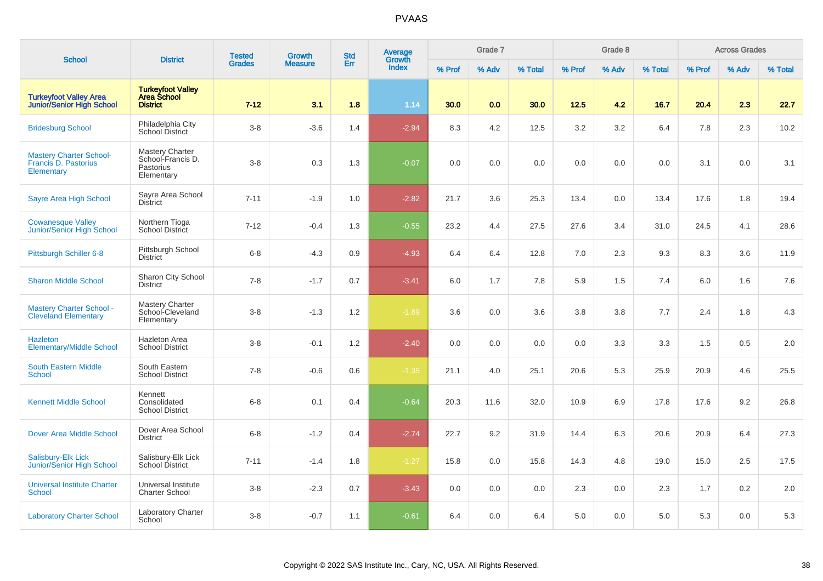| <b>School</b>                                                        | <b>District</b>                                                        | <b>Tested</b> | <b>Growth</b>  | <b>Std</b> | <b>Average</b><br>Growth |        | Grade 7 |         |        | Grade 8 |         |        | <b>Across Grades</b> |         |
|----------------------------------------------------------------------|------------------------------------------------------------------------|---------------|----------------|------------|--------------------------|--------|---------|---------|--------|---------|---------|--------|----------------------|---------|
|                                                                      |                                                                        | <b>Grades</b> | <b>Measure</b> | Err        | <b>Index</b>             | % Prof | % Adv   | % Total | % Prof | % Adv   | % Total | % Prof | % Adv                | % Total |
| <b>Turkeyfoot Valley Area</b><br><b>Junior/Senior High School</b>    | <b>Turkeyfoot Valley</b><br>Area School<br><b>District</b>             | $7 - 12$      | 3.1            | 1.8        | 1.14                     | 30.0   | 0.0     | 30.0    | 12.5   | 4.2     | 16.7    | 20.4   | 2.3                  | 22.7    |
| <b>Bridesburg School</b>                                             | Philadelphia City<br>School District                                   | $3-8$         | $-3.6$         | 1.4        | $-2.94$                  | 8.3    | 4.2     | 12.5    | 3.2    | 3.2     | 6.4     | 7.8    | 2.3                  | 10.2    |
| <b>Mastery Charter School-</b><br>Francis D. Pastorius<br>Elementary | <b>Mastery Charter</b><br>School-Francis D.<br>Pastorius<br>Elementary | $3-8$         | 0.3            | 1.3        | $-0.07$                  | 0.0    | 0.0     | 0.0     | 0.0    | 0.0     | 0.0     | 3.1    | 0.0                  | 3.1     |
| Sayre Area High School                                               | Sayre Area School<br><b>District</b>                                   | $7 - 11$      | $-1.9$         | 1.0        | $-2.82$                  | 21.7   | 3.6     | 25.3    | 13.4   | 0.0     | 13.4    | 17.6   | 1.8                  | 19.4    |
| <b>Cowanesque Valley</b><br>Junior/Senior High School                | Northern Tioga<br>School District                                      | $7 - 12$      | $-0.4$         | 1.3        | $-0.55$                  | 23.2   | 4.4     | 27.5    | 27.6   | 3.4     | 31.0    | 24.5   | 4.1                  | 28.6    |
| Pittsburgh Schiller 6-8                                              | Pittsburgh School<br><b>District</b>                                   | $6 - 8$       | $-4.3$         | 0.9        | $-4.93$                  | 6.4    | 6.4     | 12.8    | 7.0    | 2.3     | 9.3     | 8.3    | 3.6                  | 11.9    |
| <b>Sharon Middle School</b>                                          | Sharon City School<br><b>District</b>                                  | $7 - 8$       | $-1.7$         | 0.7        | $-3.41$                  | 6.0    | 1.7     | 7.8     | 5.9    | 1.5     | 7.4     | 6.0    | 1.6                  | 7.6     |
| <b>Mastery Charter School -</b><br><b>Cleveland Elementary</b>       | Mastery Charter<br>School-Cleveland<br>Elementary                      | $3 - 8$       | $-1.3$         | 1.2        | $-1.89$                  | 3.6    | 0.0     | 3.6     | 3.8    | 3.8     | 7.7     | 2.4    | 1.8                  | 4.3     |
| <b>Hazleton</b><br><b>Elementary/Middle School</b>                   | <b>Hazleton Area</b><br><b>School District</b>                         | $3-8$         | $-0.1$         | 1.2        | $-2.40$                  | 0.0    | 0.0     | 0.0     | 0.0    | 3.3     | 3.3     | 1.5    | 0.5                  | 2.0     |
| <b>South Eastern Middle</b><br><b>School</b>                         | South Eastern<br><b>School District</b>                                | $7 - 8$       | $-0.6$         | 0.6        | $-1.35$                  | 21.1   | 4.0     | 25.1    | 20.6   | 5.3     | 25.9    | 20.9   | 4.6                  | 25.5    |
| <b>Kennett Middle School</b>                                         | Kennett<br>Consolidated<br><b>School District</b>                      | $6 - 8$       | 0.1            | 0.4        | $-0.64$                  | 20.3   | 11.6    | 32.0    | 10.9   | 6.9     | 17.8    | 17.6   | 9.2                  | 26.8    |
| <b>Dover Area Middle School</b>                                      | Dover Area School<br><b>District</b>                                   | $6 - 8$       | $-1.2$         | 0.4        | $-2.74$                  | 22.7   | 9.2     | 31.9    | 14.4   | 6.3     | 20.6    | 20.9   | 6.4                  | 27.3    |
| <b>Salisbury-Elk Lick</b><br>Junior/Senior High School               | Salisbury-Elk Lick<br>School District                                  | $7 - 11$      | $-1.4$         | 1.8        | $-1.27$                  | 15.8   | 0.0     | 15.8    | 14.3   | 4.8     | 19.0    | 15.0   | 2.5                  | 17.5    |
| <b>Universal Institute Charter</b><br><b>School</b>                  | Universal Institute<br><b>Charter School</b>                           | $3-8$         | $-2.3$         | 0.7        | $-3.43$                  | 0.0    | 0.0     | 0.0     | 2.3    | 0.0     | 2.3     | 1.7    | 0.2                  | 2.0     |
| <b>Laboratory Charter School</b>                                     | <b>Laboratory Charter</b><br>School                                    | $3-8$         | $-0.7$         | 1.1        | $-0.61$                  | 6.4    | 0.0     | 6.4     | 5.0    | 0.0     | 5.0     | 5.3    | 0.0                  | 5.3     |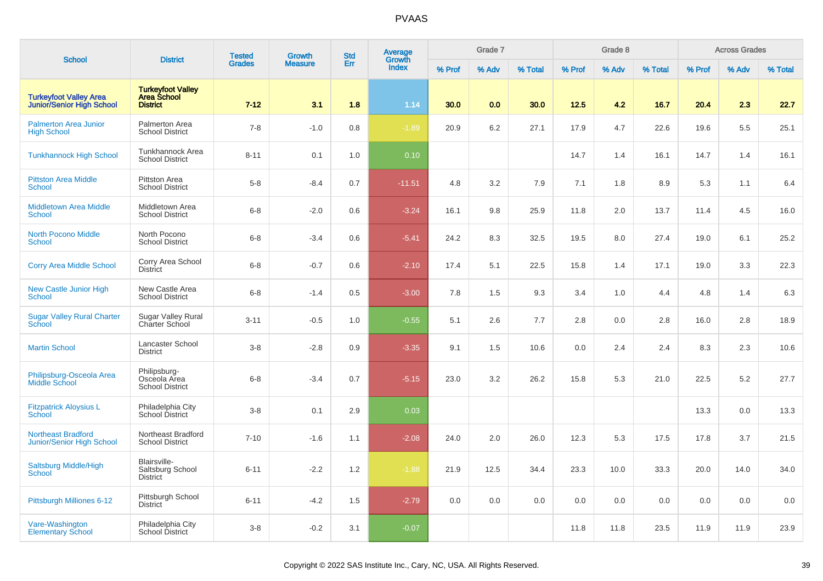| <b>School</b>                                                 | <b>District</b>                                                   | <b>Tested</b> | <b>Growth</b>  | <b>Std</b> | Average<br>Growth |        | Grade 7 |         |        | Grade 8 |         |        | <b>Across Grades</b> |         |
|---------------------------------------------------------------|-------------------------------------------------------------------|---------------|----------------|------------|-------------------|--------|---------|---------|--------|---------|---------|--------|----------------------|---------|
|                                                               |                                                                   | <b>Grades</b> | <b>Measure</b> | Err        | <b>Index</b>      | % Prof | % Adv   | % Total | % Prof | % Adv   | % Total | % Prof | % Adv                | % Total |
| <b>Turkeyfoot Valley Area</b><br>Junior/Senior High School    | <b>Turkeyfoot Valley</b><br><b>Area School</b><br><b>District</b> | $7 - 12$      | 3.1            | 1.8        | 1.14              | 30.0   | 0.0     | 30.0    | 12.5   | 4.2     | 16.7    | 20.4   | 2.3                  | 22.7    |
| <b>Palmerton Area Junior</b><br><b>High School</b>            | Palmerton Area<br><b>School District</b>                          | $7 - 8$       | $-1.0$         | 0.8        | $-1.89$           | 20.9   | 6.2     | 27.1    | 17.9   | 4.7     | 22.6    | 19.6   | 5.5                  | 25.1    |
| <b>Tunkhannock High School</b>                                | Tunkhannock Area<br><b>School District</b>                        | $8 - 11$      | 0.1            | 1.0        | 0.10              |        |         |         | 14.7   | 1.4     | 16.1    | 14.7   | 1.4                  | 16.1    |
| <b>Pittston Area Middle</b><br><b>School</b>                  | <b>Pittston Area</b><br><b>School District</b>                    | $5 - 8$       | $-8.4$         | 0.7        | $-11.51$          | 4.8    | 3.2     | 7.9     | 7.1    | 1.8     | 8.9     | 5.3    | 1.1                  | 6.4     |
| <b>Middletown Area Middle</b><br><b>School</b>                | Middletown Area<br><b>School District</b>                         | $6 - 8$       | $-2.0$         | 0.6        | $-3.24$           | 16.1   | 9.8     | 25.9    | 11.8   | 2.0     | 13.7    | 11.4   | 4.5                  | 16.0    |
| <b>North Pocono Middle</b><br><b>School</b>                   | North Pocono<br><b>School District</b>                            | $6 - 8$       | $-3.4$         | 0.6        | $-5.41$           | 24.2   | 8.3     | 32.5    | 19.5   | 8.0     | 27.4    | 19.0   | 6.1                  | 25.2    |
| <b>Corry Area Middle School</b>                               | Corry Area School<br><b>District</b>                              | $6 - 8$       | $-0.7$         | 0.6        | $-2.10$           | 17.4   | 5.1     | 22.5    | 15.8   | 1.4     | 17.1    | 19.0   | 3.3                  | 22.3    |
| New Castle Junior High<br><b>School</b>                       | New Castle Area<br><b>School District</b>                         | $6 - 8$       | $-1.4$         | 0.5        | $-3.00$           | 7.8    | 1.5     | 9.3     | 3.4    | 1.0     | 4.4     | 4.8    | 1.4                  | 6.3     |
| <b>Sugar Valley Rural Charter</b><br>School                   | <b>Sugar Valley Rural</b><br>Charter School                       | $3 - 11$      | $-0.5$         | 1.0        | $-0.55$           | 5.1    | 2.6     | 7.7     | 2.8    | 0.0     | 2.8     | 16.0   | 2.8                  | 18.9    |
| <b>Martin School</b>                                          | Lancaster School<br><b>District</b>                               | $3 - 8$       | $-2.8$         | 0.9        | $-3.35$           | 9.1    | 1.5     | 10.6    | 0.0    | 2.4     | 2.4     | 8.3    | 2.3                  | 10.6    |
| Philipsburg-Osceola Area<br><b>Middle School</b>              | Philipsburg-<br>Osceola Area<br><b>School District</b>            | $6 - 8$       | $-3.4$         | 0.7        | $-5.15$           | 23.0   | 3.2     | 26.2    | 15.8   | 5.3     | 21.0    | 22.5   | 5.2                  | 27.7    |
| <b>Fitzpatrick Aloysius L</b><br><b>School</b>                | Philadelphia City<br>School District                              | $3 - 8$       | 0.1            | 2.9        | 0.03              |        |         |         |        |         |         | 13.3   | 0.0                  | 13.3    |
| <b>Northeast Bradford</b><br><b>Junior/Senior High School</b> | Northeast Bradford<br><b>School District</b>                      | $7 - 10$      | $-1.6$         | 1.1        | $-2.08$           | 24.0   | 2.0     | 26.0    | 12.3   | 5.3     | 17.5    | 17.8   | 3.7                  | 21.5    |
| <b>Saltsburg Middle/High</b><br><b>School</b>                 | Blairsville-<br>Saltsburg School<br><b>District</b>               | $6 - 11$      | $-2.2$         | 1.2        | $-1.88$           | 21.9   | 12.5    | 34.4    | 23.3   | 10.0    | 33.3    | 20.0   | 14.0                 | 34.0    |
| Pittsburgh Milliones 6-12                                     | Pittsburgh School<br><b>District</b>                              | $6 - 11$      | $-4.2$         | 1.5        | $-2.79$           | 0.0    | 0.0     | 0.0     | 0.0    | 0.0     | 0.0     | 0.0    | 0.0                  | 0.0     |
| Vare-Washington<br><b>Elementary School</b>                   | Philadelphia City<br><b>School District</b>                       | $3 - 8$       | $-0.2$         | 3.1        | $-0.07$           |        |         |         | 11.8   | 11.8    | 23.5    | 11.9   | 11.9                 | 23.9    |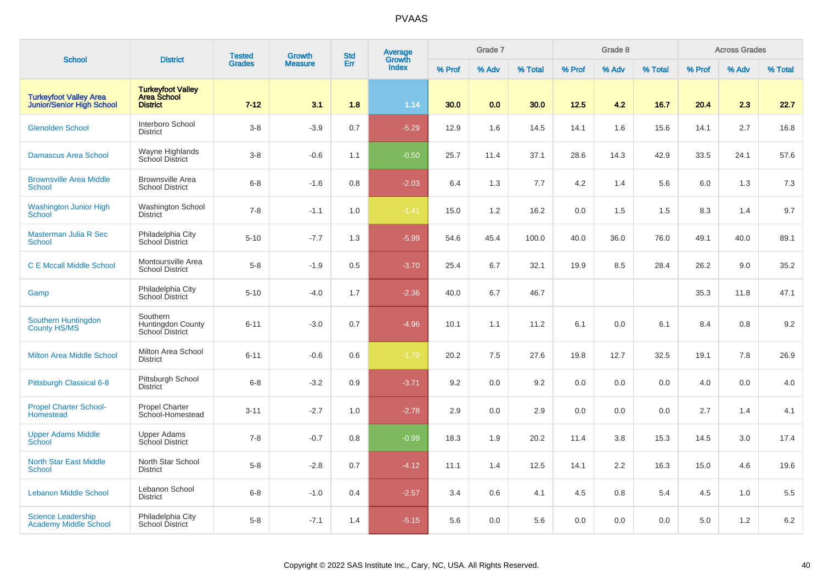| <b>School</b>                                                     | <b>District</b>                                                   | <b>Tested</b> | <b>Growth</b>  | <b>Std</b> | Average<br>Growth |        | Grade 7 |         |        | Grade 8 |         |        | <b>Across Grades</b> |         |
|-------------------------------------------------------------------|-------------------------------------------------------------------|---------------|----------------|------------|-------------------|--------|---------|---------|--------|---------|---------|--------|----------------------|---------|
|                                                                   |                                                                   | <b>Grades</b> | <b>Measure</b> | Err        | <b>Index</b>      | % Prof | % Adv   | % Total | % Prof | % Adv   | % Total | % Prof | % Adv                | % Total |
| <b>Turkeyfoot Valley Area</b><br><b>Junior/Senior High School</b> | <b>Turkeyfoot Valley</b><br><b>Area School</b><br><b>District</b> | $7 - 12$      | 3.1            | 1.8        | 1.14              | 30.0   | 0.0     | 30.0    | 12.5   | 4.2     | 16.7    | 20.4   | 2.3                  | 22.7    |
| <b>Glenolden School</b>                                           | Interboro School<br><b>District</b>                               | $3 - 8$       | $-3.9$         | 0.7        | $-5.29$           | 12.9   | 1.6     | 14.5    | 14.1   | 1.6     | 15.6    | 14.1   | 2.7                  | 16.8    |
| <b>Damascus Area School</b>                                       | Wayne Highlands<br>School District                                | $3-8$         | $-0.6$         | 1.1        | $-0.50$           | 25.7   | 11.4    | 37.1    | 28.6   | 14.3    | 42.9    | 33.5   | 24.1                 | 57.6    |
| <b>Brownsville Area Middle</b><br><b>School</b>                   | <b>Brownsville Area</b><br><b>School District</b>                 | $6 - 8$       | $-1.6$         | 0.8        | $-2.03$           | 6.4    | 1.3     | 7.7     | 4.2    | 1.4     | 5.6     | 6.0    | 1.3                  | 7.3     |
| <b>Washington Junior High</b><br><b>School</b>                    | <b>Washington School</b><br><b>District</b>                       | $7 - 8$       | $-1.1$         | 1.0        | $-1.41$           | 15.0   | 1.2     | 16.2    | 0.0    | 1.5     | 1.5     | 8.3    | 1.4                  | 9.7     |
| Masterman Julia R Sec<br><b>School</b>                            | Philadelphia City<br>School District                              | $5 - 10$      | $-7.7$         | 1.3        | $-5.99$           | 54.6   | 45.4    | 100.0   | 40.0   | 36.0    | 76.0    | 49.1   | 40.0                 | 89.1    |
| <b>C E Mccall Middle School</b>                                   | Montoursville Area<br><b>School District</b>                      | $5-8$         | $-1.9$         | 0.5        | $-3.70$           | 25.4   | 6.7     | 32.1    | 19.9   | 8.5     | 28.4    | 26.2   | 9.0                  | 35.2    |
| Gamp                                                              | Philadelphia City<br>School District                              | $5 - 10$      | $-4.0$         | 1.7        | $-2.36$           | 40.0   | 6.7     | 46.7    |        |         |         | 35.3   | 11.8                 | 47.1    |
| Southern Huntingdon<br><b>County HS/MS</b>                        | Southern<br>Huntingdon County<br>School District                  | $6 - 11$      | $-3.0$         | 0.7        | $-4.96$           | 10.1   | 1.1     | 11.2    | 6.1    | 0.0     | 6.1     | 8.4    | 0.8                  | 9.2     |
| <b>Milton Area Middle School</b>                                  | Milton Area School<br><b>District</b>                             | $6 - 11$      | $-0.6$         | 0.6        | $-1.70$           | 20.2   | 7.5     | 27.6    | 19.8   | 12.7    | 32.5    | 19.1   | 7.8                  | 26.9    |
| Pittsburgh Classical 6-8                                          | Pittsburgh School<br><b>District</b>                              | $6 - 8$       | $-3.2$         | 0.9        | $-3.71$           | 9.2    | 0.0     | 9.2     | 0.0    | 0.0     | 0.0     | 4.0    | 0.0                  | 4.0     |
| <b>Propel Charter School-</b><br>Homestead                        | Propel Charter<br>School-Homestead                                | $3 - 11$      | $-2.7$         | 1.0        | $-2.78$           | 2.9    | 0.0     | 2.9     | 0.0    | 0.0     | 0.0     | 2.7    | 1.4                  | 4.1     |
| <b>Upper Adams Middle</b><br>School                               | <b>Upper Adams</b><br>School District                             | $7 - 8$       | $-0.7$         | 0.8        | $-0.99$           | 18.3   | 1.9     | 20.2    | 11.4   | 3.8     | 15.3    | 14.5   | 3.0                  | 17.4    |
| <b>North Star East Middle</b><br><b>School</b>                    | North Star School<br><b>District</b>                              | $5 - 8$       | $-2.8$         | 0.7        | $-4.12$           | 11.1   | 1.4     | 12.5    | 14.1   | 2.2     | 16.3    | 15.0   | 4.6                  | 19.6    |
| <b>Lebanon Middle School</b>                                      | Lebanon School<br><b>District</b>                                 | $6 - 8$       | $-1.0$         | 0.4        | $-2.57$           | 3.4    | 0.6     | 4.1     | 4.5    | 0.8     | 5.4     | 4.5    | 1.0                  | 5.5     |
| <b>Science Leadership</b><br><b>Academy Middle School</b>         | Philadelphia City<br>School District                              | $5 - 8$       | $-7.1$         | 1.4        | $-5.15$           | 5.6    | 0.0     | 5.6     | 0.0    | 0.0     | 0.0     | 5.0    | 1.2                  | $6.2\,$ |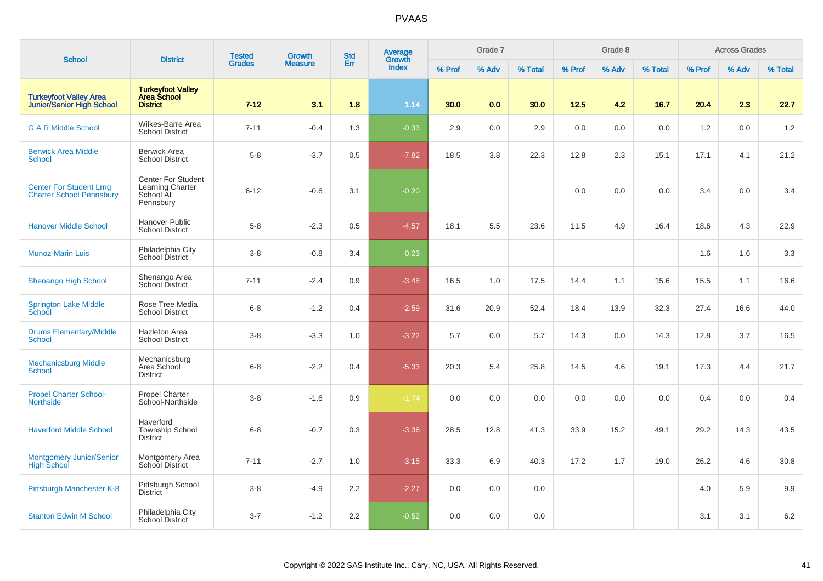| <b>School</b>                                                     | <b>District</b>                                                         | <b>Tested</b> | <b>Growth</b>  | <b>Std</b> | <b>Average</b><br>Growth |        | Grade 7 |         |        | Grade 8 |         |        | <b>Across Grades</b> |         |
|-------------------------------------------------------------------|-------------------------------------------------------------------------|---------------|----------------|------------|--------------------------|--------|---------|---------|--------|---------|---------|--------|----------------------|---------|
|                                                                   |                                                                         | <b>Grades</b> | <b>Measure</b> | Err        | <b>Index</b>             | % Prof | % Adv   | % Total | % Prof | % Adv   | % Total | % Prof | % Adv                | % Total |
| <b>Turkeyfoot Valley Area</b><br><b>Junior/Senior High School</b> | <b>Turkeyfoot Valley</b><br>Area School<br><b>District</b>              | $7 - 12$      | 3.1            | 1.8        | 1.14                     | 30.0   | 0.0     | 30.0    | 12.5   | 4.2     | 16.7    | 20.4   | 2.3                  | 22.7    |
| <b>G A R Middle School</b>                                        | Wilkes-Barre Area<br><b>School District</b>                             | $7 - 11$      | $-0.4$         | 1.3        | $-0.33$                  | 2.9    | 0.0     | 2.9     | 0.0    | 0.0     | 0.0     | 1.2    | 0.0                  | 1.2     |
| <b>Berwick Area Middle</b><br><b>School</b>                       | <b>Berwick Area</b><br><b>School District</b>                           | $5-8$         | $-3.7$         | 0.5        | $-7.82$                  | 18.5   | 3.8     | 22.3    | 12.8   | 2.3     | 15.1    | 17.1   | 4.1                  | 21.2    |
| <b>Center For Student Lrng</b><br><b>Charter School Pennsbury</b> | <b>Center For Student</b><br>Learning Charter<br>School At<br>Pennsbury | $6 - 12$      | $-0.6$         | 3.1        | $-0.20$                  |        |         |         | 0.0    | 0.0     | 0.0     | 3.4    | 0.0                  | 3.4     |
| <b>Hanover Middle School</b>                                      | <b>Hanover Public</b><br><b>School District</b>                         | $5-8$         | $-2.3$         | 0.5        | $-4.57$                  | 18.1   | 5.5     | 23.6    | 11.5   | 4.9     | 16.4    | 18.6   | 4.3                  | 22.9    |
| <b>Munoz-Marin Luis</b>                                           | Philadelphia City<br>School District                                    | $3-8$         | $-0.8$         | 3.4        | $-0.23$                  |        |         |         |        |         |         | 1.6    | 1.6                  | 3.3     |
| <b>Shenango High School</b>                                       | Shenango Area<br>School District                                        | $7 - 11$      | $-2.4$         | 0.9        | $-3.48$                  | 16.5   | 1.0     | 17.5    | 14.4   | 1.1     | 15.6    | 15.5   | 1.1                  | 16.6    |
| <b>Springton Lake Middle</b><br>School                            | Rose Tree Media<br><b>School District</b>                               | $6 - 8$       | $-1.2$         | 0.4        | $-2.59$                  | 31.6   | 20.9    | 52.4    | 18.4   | 13.9    | 32.3    | 27.4   | 16.6                 | 44.0    |
| <b>Drums Elementary/Middle</b><br><b>School</b>                   | <b>Hazleton Area</b><br><b>School District</b>                          | $3-8$         | $-3.3$         | 1.0        | $-3.22$                  | 5.7    | 0.0     | 5.7     | 14.3   | 0.0     | 14.3    | 12.8   | 3.7                  | 16.5    |
| <b>Mechanicsburg Middle</b><br><b>School</b>                      | Mechanicsburg<br>Area School<br><b>District</b>                         | $6 - 8$       | $-2.2$         | 0.4        | $-5.33$                  | 20.3   | 5.4     | 25.8    | 14.5   | 4.6     | 19.1    | 17.3   | 4.4                  | 21.7    |
| <b>Propel Charter School-</b><br><b>Northside</b>                 | <b>Propel Charter</b><br>School-Northside                               | $3-8$         | $-1.6$         | 0.9        | $-1.74$                  | 0.0    | 0.0     | 0.0     | 0.0    | 0.0     | 0.0     | 0.4    | 0.0                  | 0.4     |
| <b>Haverford Middle School</b>                                    | Haverford<br><b>Township School</b><br><b>District</b>                  | $6 - 8$       | $-0.7$         | 0.3        | $-3.36$                  | 28.5   | 12.8    | 41.3    | 33.9   | 15.2    | 49.1    | 29.2   | 14.3                 | 43.5    |
| <b>Montgomery Junior/Senior</b><br><b>High School</b>             | <b>Montgomery Area</b><br>School District                               | $7 - 11$      | $-2.7$         | 1.0        | $-3.15$                  | 33.3   | 6.9     | 40.3    | 17.2   | 1.7     | 19.0    | 26.2   | 4.6                  | 30.8    |
| Pittsburgh Manchester K-8                                         | Pittsburgh School<br><b>District</b>                                    | $3 - 8$       | $-4.9$         | 2.2        | $-2.27$                  | 0.0    | 0.0     | 0.0     |        |         |         | 4.0    | 5.9                  | 9.9     |
| <b>Stanton Edwin M School</b>                                     | Philadelphia City<br>School District                                    | $3 - 7$       | $-1.2$         | 2.2        | $-0.52$                  | 0.0    | 0.0     | 0.0     |        |         |         | 3.1    | 3.1                  | 6.2     |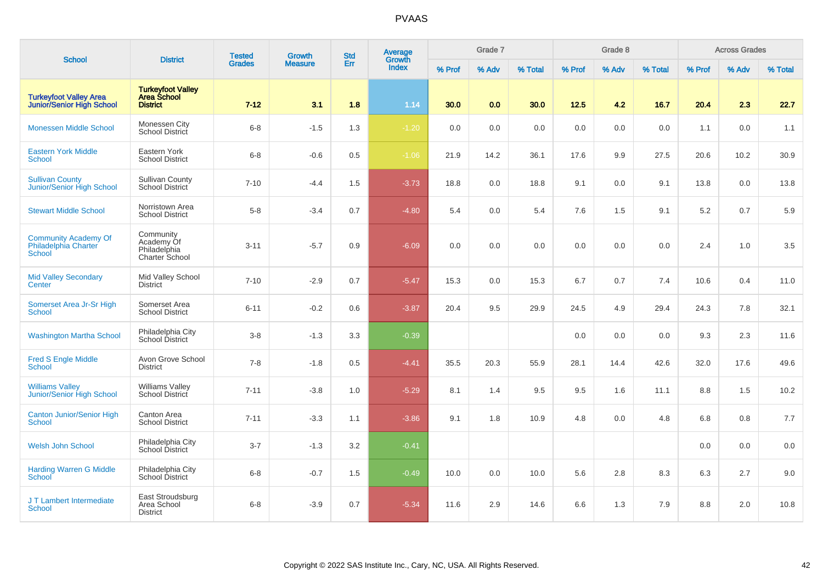| <b>School</b>                                                     | <b>District</b>                                                   | <b>Tested</b> | Growth         | <b>Std</b> | Average<br>Growth |        | Grade 7 |         |        | Grade 8 |         |        | <b>Across Grades</b> |         |
|-------------------------------------------------------------------|-------------------------------------------------------------------|---------------|----------------|------------|-------------------|--------|---------|---------|--------|---------|---------|--------|----------------------|---------|
|                                                                   |                                                                   | <b>Grades</b> | <b>Measure</b> | Err        | <b>Index</b>      | % Prof | % Adv   | % Total | % Prof | % Adv   | % Total | % Prof | % Adv                | % Total |
| <b>Turkeyfoot Valley Area</b><br><b>Junior/Senior High School</b> | <b>Turkeyfoot Valley</b><br><b>Area School</b><br><b>District</b> | $7 - 12$      | 3.1            | 1.8        | 1.14              | 30.0   | 0.0     | 30.0    | 12.5   | 4.2     | 16.7    | 20.4   | 2.3                  | 22.7    |
| <b>Monessen Middle School</b>                                     | Monessen City<br>School District                                  | $6 - 8$       | $-1.5$         | 1.3        | $-1.20$           | 0.0    | 0.0     | 0.0     | 0.0    | 0.0     | 0.0     | 1.1    | 0.0                  | 1.1     |
| <b>Eastern York Middle</b><br><b>School</b>                       | Eastern York<br><b>School District</b>                            | $6 - 8$       | $-0.6$         | 0.5        | $-1.06$           | 21.9   | 14.2    | 36.1    | 17.6   | 9.9     | 27.5    | 20.6   | 10.2                 | 30.9    |
| <b>Sullivan County</b><br>Junior/Senior High School               | <b>Sullivan County</b><br>School District                         | $7 - 10$      | $-4.4$         | 1.5        | $-3.73$           | 18.8   | 0.0     | 18.8    | 9.1    | 0.0     | 9.1     | 13.8   | 0.0                  | 13.8    |
| <b>Stewart Middle School</b>                                      | Norristown Area<br><b>School District</b>                         | $5 - 8$       | $-3.4$         | 0.7        | $-4.80$           | 5.4    | 0.0     | 5.4     | 7.6    | 1.5     | 9.1     | 5.2    | 0.7                  | 5.9     |
| <b>Community Academy Of</b><br>Philadelphia Charter<br>School     | Community<br>Academy Of<br>Philadelphia<br>Charter School         | $3 - 11$      | $-5.7$         | 0.9        | $-6.09$           | 0.0    | 0.0     | 0.0     | 0.0    | 0.0     | 0.0     | 2.4    | 1.0                  | 3.5     |
| <b>Mid Valley Secondary</b><br>Center                             | Mid Valley School<br><b>District</b>                              | $7 - 10$      | $-2.9$         | 0.7        | $-5.47$           | 15.3   | 0.0     | 15.3    | 6.7    | 0.7     | 7.4     | 10.6   | 0.4                  | 11.0    |
| Somerset Area Jr-Sr High<br>School                                | Somerset Area<br><b>School District</b>                           | $6 - 11$      | $-0.2$         | 0.6        | $-3.87$           | 20.4   | 9.5     | 29.9    | 24.5   | 4.9     | 29.4    | 24.3   | 7.8                  | 32.1    |
| <b>Washington Martha School</b>                                   | Philadelphia City<br>School District                              | $3 - 8$       | $-1.3$         | 3.3        | $-0.39$           |        |         |         | 0.0    | 0.0     | 0.0     | 9.3    | 2.3                  | 11.6    |
| <b>Fred S Engle Middle</b><br><b>School</b>                       | Avon Grove School<br><b>District</b>                              | $7 - 8$       | $-1.8$         | 0.5        | $-4.41$           | 35.5   | 20.3    | 55.9    | 28.1   | 14.4    | 42.6    | 32.0   | 17.6                 | 49.6    |
| <b>Williams Valley</b><br>Junior/Senior High School               | <b>Williams Valley</b><br>School District                         | $7 - 11$      | $-3.8$         | 1.0        | $-5.29$           | 8.1    | 1.4     | 9.5     | 9.5    | 1.6     | 11.1    | 8.8    | 1.5                  | 10.2    |
| <b>Canton Junior/Senior High</b><br>School                        | Canton Area<br><b>School District</b>                             | $7 - 11$      | $-3.3$         | 1.1        | $-3.86$           | 9.1    | 1.8     | 10.9    | 4.8    | 0.0     | 4.8     | 6.8    | 0.8                  | 7.7     |
| <b>Welsh John School</b>                                          | Philadelphia City<br>School District                              | $3 - 7$       | $-1.3$         | 3.2        | $-0.41$           |        |         |         |        |         |         | 0.0    | 0.0                  | 0.0     |
| <b>Harding Warren G Middle</b><br>School                          | Philadelphia City<br>School District                              | $6 - 8$       | $-0.7$         | 1.5        | $-0.49$           | 10.0   | 0.0     | 10.0    | 5.6    | 2.8     | 8.3     | 6.3    | 2.7                  | 9.0     |
| J T Lambert Intermediate<br><b>School</b>                         | East Stroudsburg<br>Area School<br><b>District</b>                | $6 - 8$       | $-3.9$         | 0.7        | $-5.34$           | 11.6   | 2.9     | 14.6    | 6.6    | 1.3     | 7.9     | 8.8    | 2.0                  | 10.8    |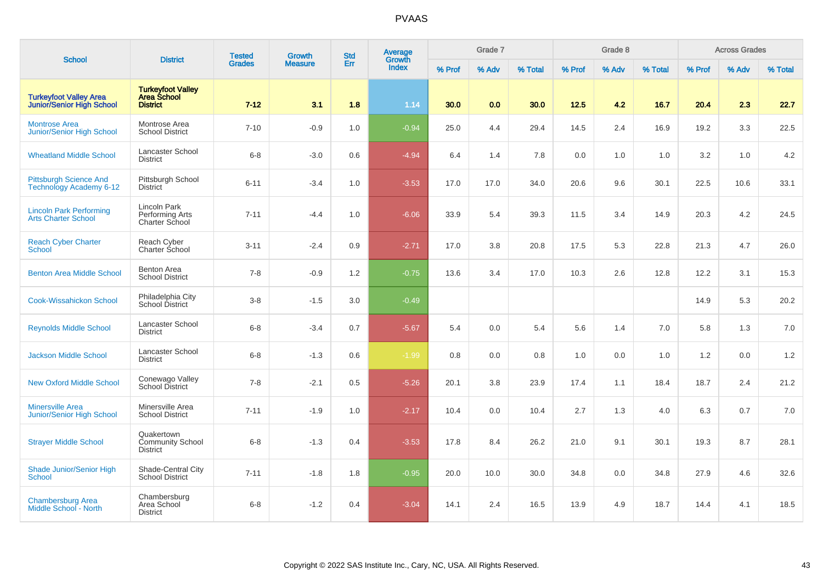| <b>School</b>                                                     | <b>District</b>                                                   | <b>Tested</b> | <b>Growth</b>  | <b>Std</b> | Average<br>Growth |        | Grade 7 |         |        | Grade 8 |         |        | <b>Across Grades</b> |         |
|-------------------------------------------------------------------|-------------------------------------------------------------------|---------------|----------------|------------|-------------------|--------|---------|---------|--------|---------|---------|--------|----------------------|---------|
|                                                                   |                                                                   | <b>Grades</b> | <b>Measure</b> | Err        | <b>Index</b>      | % Prof | % Adv   | % Total | % Prof | % Adv   | % Total | % Prof | % Adv                | % Total |
| <b>Turkeyfoot Valley Area</b><br><b>Junior/Senior High School</b> | <b>Turkeyfoot Valley</b><br><b>Area School</b><br><b>District</b> | $7 - 12$      | 3.1            | 1.8        | 1.14              | 30.0   | 0.0     | 30.0    | 12.5   | 4.2     | 16.7    | 20.4   | 2.3                  | 22.7    |
| <b>Montrose Area</b><br>Junior/Senior High School                 | Montrose Area<br><b>School District</b>                           | $7 - 10$      | $-0.9$         | 1.0        | $-0.94$           | 25.0   | 4.4     | 29.4    | 14.5   | 2.4     | 16.9    | 19.2   | 3.3                  | 22.5    |
| <b>Wheatland Middle School</b>                                    | <b>Lancaster School</b><br><b>District</b>                        | $6 - 8$       | $-3.0$         | 0.6        | $-4.94$           | 6.4    | 1.4     | 7.8     | 0.0    | 1.0     | 1.0     | 3.2    | 1.0                  | 4.2     |
| <b>Pittsburgh Science And</b><br><b>Technology Academy 6-12</b>   | Pittsburgh School<br><b>District</b>                              | $6 - 11$      | $-3.4$         | 1.0        | $-3.53$           | 17.0   | 17.0    | 34.0    | 20.6   | 9.6     | 30.1    | 22.5   | 10.6                 | 33.1    |
| <b>Lincoln Park Performing</b><br><b>Arts Charter School</b>      | Lincoln Park<br>Performing Arts<br>Charter School                 | $7 - 11$      | $-4.4$         | 1.0        | $-6.06$           | 33.9   | 5.4     | 39.3    | 11.5   | 3.4     | 14.9    | 20.3   | 4.2                  | 24.5    |
| <b>Reach Cyber Charter</b><br><b>School</b>                       | Reach Cyber<br>Charter School                                     | $3 - 11$      | $-2.4$         | 0.9        | $-2.71$           | 17.0   | 3.8     | 20.8    | 17.5   | 5.3     | 22.8    | 21.3   | 4.7                  | 26.0    |
| <b>Benton Area Middle School</b>                                  | <b>Benton Area</b><br><b>School District</b>                      | $7 - 8$       | $-0.9$         | $1.2$      | $-0.75$           | 13.6   | 3.4     | 17.0    | 10.3   | 2.6     | 12.8    | 12.2   | 3.1                  | 15.3    |
| <b>Cook-Wissahickon School</b>                                    | Philadelphia City<br>School District                              | $3-8$         | $-1.5$         | 3.0        | $-0.49$           |        |         |         |        |         |         | 14.9   | 5.3                  | 20.2    |
| <b>Reynolds Middle School</b>                                     | <b>Lancaster School</b><br><b>District</b>                        | $6-8$         | $-3.4$         | 0.7        | $-5.67$           | 5.4    | 0.0     | 5.4     | 5.6    | 1.4     | 7.0     | 5.8    | 1.3                  | 7.0     |
| <b>Jackson Middle School</b>                                      | Lancaster School<br><b>District</b>                               | $6 - 8$       | $-1.3$         | 0.6        | $-1.99$           | 0.8    | 0.0     | 0.8     | 1.0    | 0.0     | 1.0     | 1.2    | 0.0                  | 1.2     |
| <b>New Oxford Middle School</b>                                   | Conewago Valley<br><b>School District</b>                         | $7 - 8$       | $-2.1$         | 0.5        | $-5.26$           | 20.1   | 3.8     | 23.9    | 17.4   | 1.1     | 18.4    | 18.7   | 2.4                  | 21.2    |
| <b>Minersville Area</b><br><b>Junior/Senior High School</b>       | Minersville Area<br><b>School District</b>                        | $7 - 11$      | $-1.9$         | 1.0        | $-2.17$           | 10.4   | 0.0     | 10.4    | 2.7    | 1.3     | 4.0     | 6.3    | 0.7                  | 7.0     |
| <b>Strayer Middle School</b>                                      | Quakertown<br><b>Community School</b><br><b>District</b>          | $6 - 8$       | $-1.3$         | 0.4        | $-3.53$           | 17.8   | 8.4     | 26.2    | 21.0   | 9.1     | 30.1    | 19.3   | 8.7                  | 28.1    |
| <b>Shade Junior/Senior High</b><br><b>School</b>                  | Shade-Central City<br><b>School District</b>                      | $7 - 11$      | $-1.8$         | 1.8        | $-0.95$           | 20.0   | 10.0    | 30.0    | 34.8   | 0.0     | 34.8    | 27.9   | 4.6                  | 32.6    |
| <b>Chambersburg Area</b><br>Middle School - North                 | Chambersburg<br>Area School<br><b>District</b>                    | $6 - 8$       | $-1.2$         | 0.4        | $-3.04$           | 14.1   | 2.4     | 16.5    | 13.9   | 4.9     | 18.7    | 14.4   | 4.1                  | 18.5    |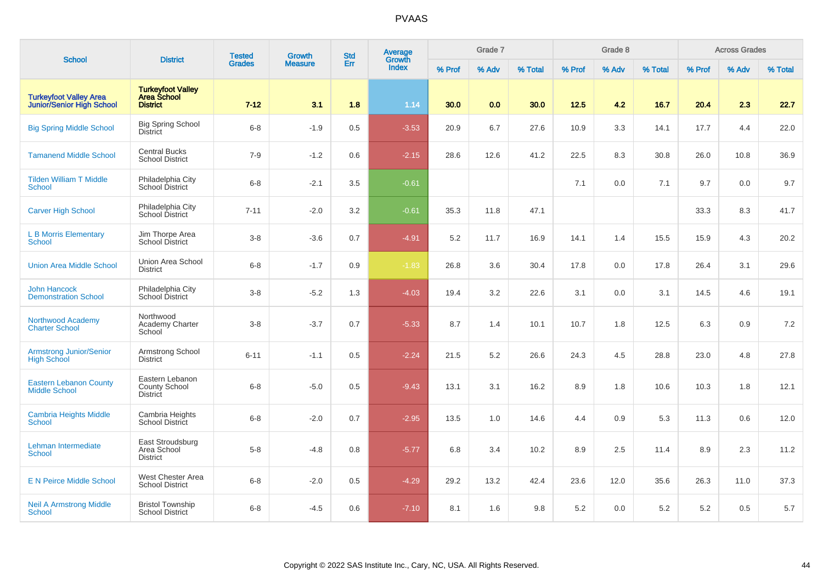| <b>School</b>                                              | <b>District</b>                                                   | <b>Tested</b> | <b>Growth</b>  | <b>Std</b> | Average<br>Growth |        | Grade 7 |         |        | Grade 8 |         |        | <b>Across Grades</b> |         |
|------------------------------------------------------------|-------------------------------------------------------------------|---------------|----------------|------------|-------------------|--------|---------|---------|--------|---------|---------|--------|----------------------|---------|
|                                                            |                                                                   | <b>Grades</b> | <b>Measure</b> | Err        | <b>Index</b>      | % Prof | % Adv   | % Total | % Prof | % Adv   | % Total | % Prof | % Adv                | % Total |
| <b>Turkeyfoot Valley Area</b><br>Junior/Senior High School | <b>Turkeyfoot Valley</b><br><b>Area School</b><br><b>District</b> | $7 - 12$      | 3.1            | 1.8        | 1.14              | 30.0   | 0.0     | 30.0    | 12.5   | 4.2     | 16.7    | 20.4   | 2.3                  | 22.7    |
| <b>Big Spring Middle School</b>                            | <b>Big Spring School</b><br>District                              | $6 - 8$       | $-1.9$         | 0.5        | $-3.53$           | 20.9   | 6.7     | 27.6    | 10.9   | 3.3     | 14.1    | 17.7   | 4.4                  | 22.0    |
| <b>Tamanend Middle School</b>                              | <b>Central Bucks</b><br><b>School District</b>                    | $7 - 9$       | $-1.2$         | 0.6        | $-2.15$           | 28.6   | 12.6    | 41.2    | 22.5   | 8.3     | 30.8    | 26.0   | 10.8                 | 36.9    |
| <b>Tilden William T Middle</b><br><b>School</b>            | Philadelphia City<br>School District                              | $6 - 8$       | $-2.1$         | 3.5        | $-0.61$           |        |         |         | 7.1    | 0.0     | 7.1     | 9.7    | 0.0                  | 9.7     |
| <b>Carver High School</b>                                  | Philadelphia City<br>School District                              | $7 - 11$      | $-2.0$         | 3.2        | $-0.61$           | 35.3   | 11.8    | 47.1    |        |         |         | 33.3   | 8.3                  | 41.7    |
| <b>L B Morris Elementary</b><br><b>School</b>              | Jim Thorpe Area<br><b>School District</b>                         | $3 - 8$       | $-3.6$         | 0.7        | $-4.91$           | 5.2    | 11.7    | 16.9    | 14.1   | 1.4     | 15.5    | 15.9   | 4.3                  | 20.2    |
| <b>Union Area Middle School</b>                            | Union Area School<br><b>District</b>                              | $6 - 8$       | $-1.7$         | 0.9        | $-1.83$           | 26.8   | 3.6     | 30.4    | 17.8   | 0.0     | 17.8    | 26.4   | 3.1                  | 29.6    |
| <b>John Hancock</b><br><b>Demonstration School</b>         | Philadelphia City<br>School District                              | $3-8$         | $-5.2$         | 1.3        | $-4.03$           | 19.4   | 3.2     | 22.6    | 3.1    | 0.0     | 3.1     | 14.5   | 4.6                  | 19.1    |
| <b>Northwood Academy</b><br><b>Charter School</b>          | Northwood<br>Academy Charter<br>School                            | $3-8$         | $-3.7$         | 0.7        | $-5.33$           | 8.7    | 1.4     | 10.1    | 10.7   | 1.8     | 12.5    | 6.3    | 0.9                  | 7.2     |
| <b>Armstrong Junior/Senior</b><br><b>High School</b>       | Armstrong School<br><b>District</b>                               | $6 - 11$      | $-1.1$         | 0.5        | $-2.24$           | 21.5   | 5.2     | 26.6    | 24.3   | 4.5     | 28.8    | 23.0   | 4.8                  | 27.8    |
| <b>Eastern Lebanon County</b><br><b>Middle School</b>      | Eastern Lebanon<br>County School<br><b>District</b>               | $6 - 8$       | $-5.0$         | 0.5        | $-9.43$           | 13.1   | 3.1     | 16.2    | 8.9    | 1.8     | 10.6    | 10.3   | 1.8                  | 12.1    |
| <b>Cambria Heights Middle</b><br>School                    | Cambria Heights<br>School District                                | $6 - 8$       | $-2.0$         | 0.7        | $-2.95$           | 13.5   | 1.0     | 14.6    | 4.4    | 0.9     | 5.3     | 11.3   | 0.6                  | 12.0    |
| Lehman Intermediate<br><b>School</b>                       | East Stroudsburg<br>Area School<br><b>District</b>                | $5 - 8$       | $-4.8$         | 0.8        | $-5.77$           | 6.8    | 3.4     | 10.2    | 8.9    | 2.5     | 11.4    | 8.9    | 2.3                  | 11.2    |
| <b>E N Peirce Middle School</b>                            | West Chester Area<br><b>School District</b>                       | $6 - 8$       | $-2.0$         | 0.5        | $-4.29$           | 29.2   | 13.2    | 42.4    | 23.6   | 12.0    | 35.6    | 26.3   | 11.0                 | 37.3    |
| <b>Neil A Armstrong Middle</b><br><b>School</b>            | <b>Bristol Township</b><br><b>School District</b>                 | $6 - 8$       | $-4.5$         | 0.6        | $-7.10$           | 8.1    | 1.6     | 9.8     | 5.2    | 0.0     | 5.2     | 5.2    | 0.5                  | 5.7     |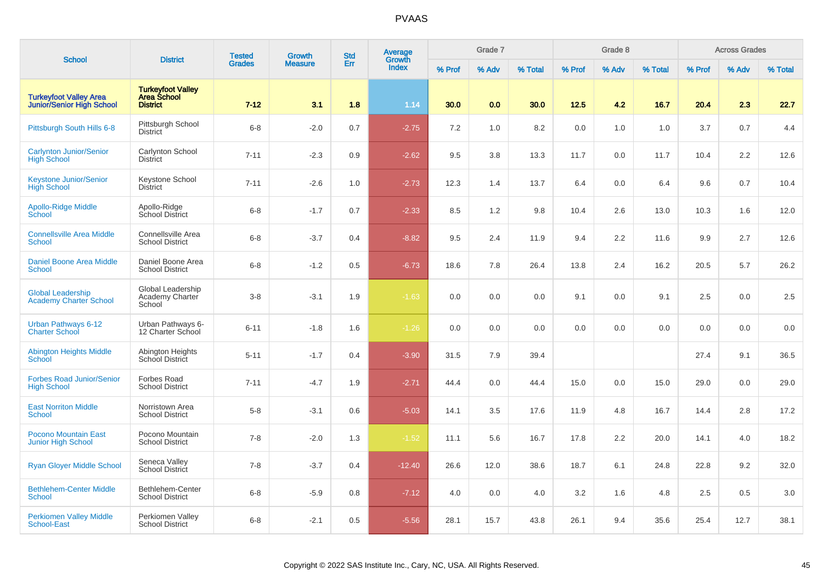| <b>School</b>                                                     | <b>District</b>                                                   | <b>Tested</b> | <b>Growth</b>  | <b>Std</b> | Average                |        | Grade 7 |         |        | Grade 8 |         |        | <b>Across Grades</b> |         |
|-------------------------------------------------------------------|-------------------------------------------------------------------|---------------|----------------|------------|------------------------|--------|---------|---------|--------|---------|---------|--------|----------------------|---------|
|                                                                   |                                                                   | <b>Grades</b> | <b>Measure</b> | Err        | Growth<br><b>Index</b> | % Prof | % Adv   | % Total | % Prof | % Adv   | % Total | % Prof | % Adv                | % Total |
| <b>Turkeyfoot Valley Area</b><br><b>Junior/Senior High School</b> | <b>Turkeyfoot Valley</b><br><b>Area School</b><br><b>District</b> | $7 - 12$      | 3.1            | 1.8        | 1.14                   | 30.0   | 0.0     | 30.0    | 12.5   | 4.2     | 16.7    | 20.4   | 2.3                  | 22.7    |
| Pittsburgh South Hills 6-8                                        | Pittsburgh School<br><b>District</b>                              | $6-8$         | $-2.0$         | 0.7        | $-2.75$                | 7.2    | 1.0     | 8.2     | 0.0    | 1.0     | 1.0     | 3.7    | 0.7                  | 4.4     |
| <b>Carlynton Junior/Senior</b><br><b>High School</b>              | <b>Carlynton School</b><br><b>District</b>                        | $7 - 11$      | $-2.3$         | 0.9        | $-2.62$                | 9.5    | 3.8     | 13.3    | 11.7   | 0.0     | 11.7    | 10.4   | $2.2\,$              | 12.6    |
| <b>Keystone Junior/Senior</b><br><b>High School</b>               | Keystone School<br><b>District</b>                                | $7 - 11$      | $-2.6$         | 1.0        | $-2.73$                | 12.3   | 1.4     | 13.7    | 6.4    | 0.0     | 6.4     | 9.6    | 0.7                  | 10.4    |
| <b>Apollo-Ridge Middle</b><br>School                              | Apollo-Ridge<br>School District                                   | $6 - 8$       | $-1.7$         | 0.7        | $-2.33$                | 8.5    | 1.2     | 9.8     | 10.4   | 2.6     | 13.0    | 10.3   | 1.6                  | 12.0    |
| <b>Connellsville Area Middle</b><br>School                        | Connellsville Area<br><b>School District</b>                      | $6 - 8$       | $-3.7$         | 0.4        | $-8.82$                | 9.5    | 2.4     | 11.9    | 9.4    | 2.2     | 11.6    | 9.9    | 2.7                  | 12.6    |
| <b>Daniel Boone Area Middle</b><br><b>School</b>                  | Daniel Boone Area<br><b>School District</b>                       | $6 - 8$       | $-1.2$         | 0.5        | $-6.73$                | 18.6   | 7.8     | 26.4    | 13.8   | 2.4     | 16.2    | 20.5   | 5.7                  | 26.2    |
| <b>Global Leadership</b><br><b>Academy Charter School</b>         | Global Leadership<br>Academy Charter<br>School                    | $3-8$         | $-3.1$         | 1.9        | $-1.63$                | 0.0    | 0.0     | 0.0     | 9.1    | 0.0     | 9.1     | 2.5    | 0.0                  | 2.5     |
| Urban Pathways 6-12<br><b>Charter School</b>                      | Urban Pathways 6-<br>12 Charter School                            | $6 - 11$      | $-1.8$         | 1.6        | $-1.26$                | 0.0    | 0.0     | 0.0     | 0.0    | 0.0     | 0.0     | 0.0    | 0.0                  | 0.0     |
| <b>Abington Heights Middle</b><br>School                          | Abington Heights<br>School District                               | $5 - 11$      | $-1.7$         | 0.4        | $-3.90$                | 31.5   | 7.9     | 39.4    |        |         |         | 27.4   | 9.1                  | 36.5    |
| <b>Forbes Road Junior/Senior</b><br><b>High School</b>            | Forbes Road<br><b>School District</b>                             | $7 - 11$      | $-4.7$         | 1.9        | $-2.71$                | 44.4   | 0.0     | 44.4    | 15.0   | 0.0     | 15.0    | 29.0   | 0.0                  | 29.0    |
| <b>East Norriton Middle</b><br><b>School</b>                      | Norristown Area<br><b>School District</b>                         | $5-8$         | $-3.1$         | 0.6        | $-5.03$                | 14.1   | 3.5     | 17.6    | 11.9   | 4.8     | 16.7    | 14.4   | 2.8                  | 17.2    |
| <b>Pocono Mountain East</b><br><b>Junior High School</b>          | Pocono Mountain<br><b>School District</b>                         | $7 - 8$       | $-2.0$         | 1.3        | $-1.52$                | 11.1   | 5.6     | 16.7    | 17.8   | 2.2     | 20.0    | 14.1   | 4.0                  | 18.2    |
| <b>Ryan Gloyer Middle School</b>                                  | Seneca Valley<br>School District                                  | $7 - 8$       | $-3.7$         | 0.4        | $-12.40$               | 26.6   | 12.0    | 38.6    | 18.7   | 6.1     | 24.8    | 22.8   | 9.2                  | 32.0    |
| <b>Bethlehem-Center Middle</b><br><b>School</b>                   | Bethlehem-Center<br><b>School District</b>                        | $6 - 8$       | $-5.9$         | 0.8        | $-7.12$                | 4.0    | 0.0     | 4.0     | 3.2    | 1.6     | 4.8     | 2.5    | 0.5                  | 3.0     |
| <b>Perkiomen Valley Middle</b><br><b>School-East</b>              | Perkiomen Valley<br><b>School District</b>                        | $6-8$         | $-2.1$         | 0.5        | $-5.56$                | 28.1   | 15.7    | 43.8    | 26.1   | 9.4     | 35.6    | 25.4   | 12.7                 | 38.1    |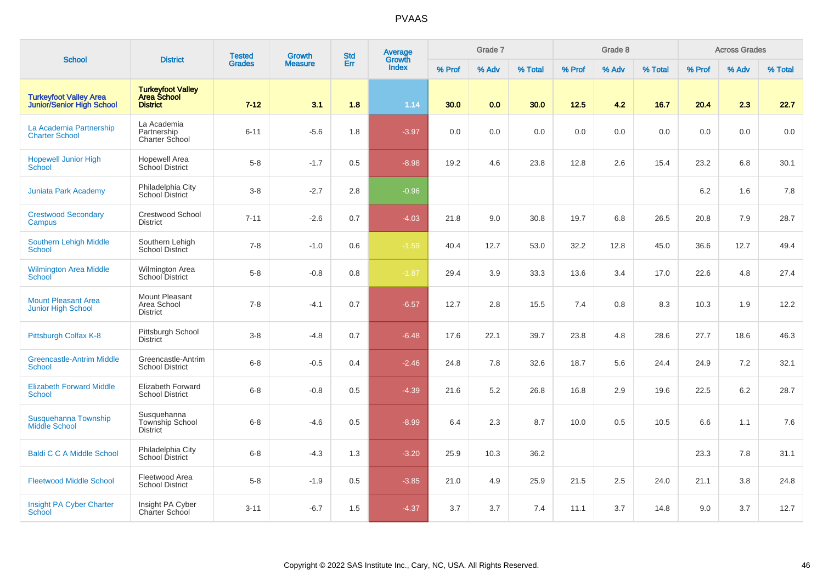| <b>School</b>                                              | <b>District</b>                                                   | <b>Tested</b> | <b>Growth</b>  | <b>Std</b> | Average<br>Growth |        | Grade 7 |         |        | Grade 8 |         |        | <b>Across Grades</b> |         |
|------------------------------------------------------------|-------------------------------------------------------------------|---------------|----------------|------------|-------------------|--------|---------|---------|--------|---------|---------|--------|----------------------|---------|
|                                                            |                                                                   | <b>Grades</b> | <b>Measure</b> | Err        | <b>Index</b>      | % Prof | % Adv   | % Total | % Prof | % Adv   | % Total | % Prof | % Adv                | % Total |
| <b>Turkeyfoot Valley Area</b><br>Junior/Senior High School | <b>Turkeyfoot Valley</b><br><b>Area School</b><br><b>District</b> | $7 - 12$      | 3.1            | 1.8        | 1.14              | 30.0   | 0.0     | 30.0    | 12.5   | 4.2     | 16.7    | 20.4   | 2.3                  | 22.7    |
| La Academia Partnership<br><b>Charter School</b>           | La Academia<br>Partnership<br>Charter School                      | $6 - 11$      | $-5.6$         | 1.8        | $-3.97$           | 0.0    | 0.0     | 0.0     | 0.0    | 0.0     | 0.0     | 0.0    | 0.0                  | 0.0     |
| <b>Hopewell Junior High</b><br>School                      | <b>Hopewell Area</b><br><b>School District</b>                    | $5 - 8$       | $-1.7$         | 0.5        | $-8.98$           | 19.2   | 4.6     | 23.8    | 12.8   | 2.6     | 15.4    | 23.2   | 6.8                  | 30.1    |
| <b>Juniata Park Academy</b>                                | Philadelphia City<br>School District                              | $3-8$         | $-2.7$         | 2.8        | $-0.96$           |        |         |         |        |         |         | 6.2    | 1.6                  | 7.8     |
| <b>Crestwood Secondary</b><br>Campus                       | Crestwood School<br><b>District</b>                               | $7 - 11$      | $-2.6$         | 0.7        | $-4.03$           | 21.8   | 9.0     | 30.8    | 19.7   | 6.8     | 26.5    | 20.8   | 7.9                  | 28.7    |
| Southern Lehigh Middle<br><b>School</b>                    | Southern Lehigh<br>School District                                | $7 - 8$       | $-1.0$         | 0.6        | $-1.59$           | 40.4   | 12.7    | 53.0    | 32.2   | 12.8    | 45.0    | 36.6   | 12.7                 | 49.4    |
| <b>Wilmington Area Middle</b><br>School                    | <b>Wilmington Area</b><br>School District                         | $5-8$         | $-0.8$         | 0.8        | $-1.87$           | 29.4   | 3.9     | 33.3    | 13.6   | 3.4     | 17.0    | 22.6   | 4.8                  | 27.4    |
| <b>Mount Pleasant Area</b><br><b>Junior High School</b>    | <b>Mount Pleasant</b><br>Area School<br><b>District</b>           | $7 - 8$       | $-4.1$         | 0.7        | $-6.57$           | 12.7   | 2.8     | 15.5    | 7.4    | 0.8     | 8.3     | 10.3   | 1.9                  | 12.2    |
| Pittsburgh Colfax K-8                                      | Pittsburgh School<br><b>District</b>                              | $3-8$         | $-4.8$         | 0.7        | $-6.48$           | 17.6   | 22.1    | 39.7    | 23.8   | 4.8     | 28.6    | 27.7   | 18.6                 | 46.3    |
| <b>Greencastle-Antrim Middle</b><br>School                 | Greencastle-Antrim<br><b>School District</b>                      | $6-8$         | $-0.5$         | 0.4        | $-2.46$           | 24.8   | 7.8     | 32.6    | 18.7   | 5.6     | 24.4    | 24.9   | 7.2                  | 32.1    |
| <b>Elizabeth Forward Middle</b><br><b>School</b>           | <b>Elizabeth Forward</b><br><b>School District</b>                | $6-8$         | $-0.8$         | 0.5        | $-4.39$           | 21.6   | 5.2     | 26.8    | 16.8   | 2.9     | 19.6    | 22.5   | 6.2                  | 28.7    |
| Susquehanna Township<br><b>Middle School</b>               | Susquehanna<br><b>Township School</b><br><b>District</b>          | $6 - 8$       | $-4.6$         | 0.5        | $-8.99$           | 6.4    | 2.3     | 8.7     | 10.0   | 0.5     | 10.5    | 6.6    | 1.1                  | 7.6     |
| <b>Baldi C C A Middle School</b>                           | Philadelphia City<br>School District                              | $6 - 8$       | $-4.3$         | 1.3        | $-3.20$           | 25.9   | 10.3    | 36.2    |        |         |         | 23.3   | 7.8                  | 31.1    |
| <b>Fleetwood Middle School</b>                             | Fleetwood Area<br><b>School District</b>                          | $5-8$         | $-1.9$         | 0.5        | $-3.85$           | 21.0   | 4.9     | 25.9    | 21.5   | 2.5     | 24.0    | 21.1   | 3.8                  | 24.8    |
| Insight PA Cyber Charter<br><b>School</b>                  | Insight PA Cyber<br><b>Charter School</b>                         | $3 - 11$      | $-6.7$         | 1.5        | $-4.37$           | 3.7    | 3.7     | 7.4     | 11.1   | 3.7     | 14.8    | 9.0    | 3.7                  | 12.7    |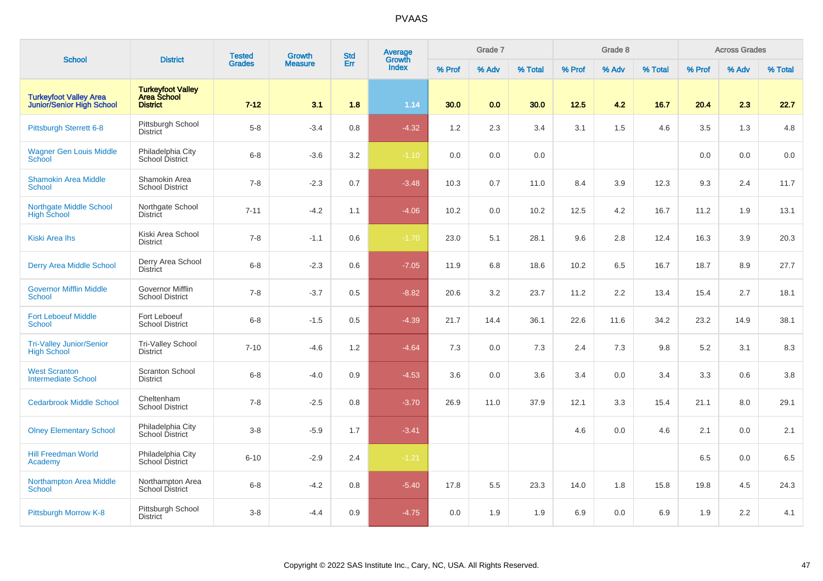| <b>School</b>                                                     | <b>District</b>                                                   | <b>Tested</b> | <b>Growth</b>  | <b>Std</b> | <b>Average</b><br>Growth |        | Grade 7 |         |        | Grade 8 |         |        | <b>Across Grades</b> |         |
|-------------------------------------------------------------------|-------------------------------------------------------------------|---------------|----------------|------------|--------------------------|--------|---------|---------|--------|---------|---------|--------|----------------------|---------|
|                                                                   |                                                                   | <b>Grades</b> | <b>Measure</b> | Err        | <b>Index</b>             | % Prof | % Adv   | % Total | % Prof | % Adv   | % Total | % Prof | % Adv                | % Total |
| <b>Turkeyfoot Valley Area</b><br><b>Junior/Senior High School</b> | <b>Turkeyfoot Valley</b><br><b>Area School</b><br><b>District</b> | $7 - 12$      | 3.1            | 1.8        | 1.14                     | 30.0   | 0.0     | 30.0    | 12.5   | 4.2     | 16.7    | 20.4   | 2.3                  | 22.7    |
| <b>Pittsburgh Sterrett 6-8</b>                                    | Pittsburgh School<br><b>District</b>                              | $5-8$         | $-3.4$         | 0.8        | $-4.32$                  | 1.2    | 2.3     | 3.4     | 3.1    | 1.5     | 4.6     | 3.5    | 1.3                  | 4.8     |
| <b>Wagner Gen Louis Middle</b><br><b>School</b>                   | Philadelphia City<br>School District                              | $6 - 8$       | $-3.6$         | 3.2        | $-1.10$                  | 0.0    | 0.0     | 0.0     |        |         |         | 0.0    | 0.0                  | $0.0\,$ |
| <b>Shamokin Area Middle</b><br><b>School</b>                      | Shamokin Area<br><b>School District</b>                           | $7 - 8$       | $-2.3$         | 0.7        | $-3.48$                  | 10.3   | 0.7     | 11.0    | 8.4    | 3.9     | 12.3    | 9.3    | 2.4                  | 11.7    |
| <b>Northgate Middle School</b><br><b>High School</b>              | Northgate School<br><b>District</b>                               | $7 - 11$      | $-4.2$         | 1.1        | $-4.06$                  | 10.2   | 0.0     | 10.2    | 12.5   | 4.2     | 16.7    | 11.2   | 1.9                  | 13.1    |
| <b>Kiski Area Ihs</b>                                             | Kiski Area School<br><b>District</b>                              | $7 - 8$       | $-1.1$         | 0.6        | $-1.70$                  | 23.0   | 5.1     | 28.1    | 9.6    | 2.8     | 12.4    | 16.3   | 3.9                  | 20.3    |
| <b>Derry Area Middle School</b>                                   | Derry Area School<br><b>District</b>                              | $6 - 8$       | $-2.3$         | 0.6        | $-7.05$                  | 11.9   | 6.8     | 18.6    | 10.2   | 6.5     | 16.7    | 18.7   | 8.9                  | 27.7    |
| <b>Governor Mifflin Middle</b><br><b>School</b>                   | Governor Mifflin<br><b>School District</b>                        | $7 - 8$       | $-3.7$         | 0.5        | $-8.82$                  | 20.6   | 3.2     | 23.7    | 11.2   | 2.2     | 13.4    | 15.4   | 2.7                  | 18.1    |
| <b>Fort Leboeuf Middle</b><br><b>School</b>                       | Fort Leboeuf<br><b>School District</b>                            | $6 - 8$       | $-1.5$         | 0.5        | $-4.39$                  | 21.7   | 14.4    | 36.1    | 22.6   | 11.6    | 34.2    | 23.2   | 14.9                 | 38.1    |
| Tri-Valley Junior/Senior<br><b>High School</b>                    | Tri-Valley School<br><b>District</b>                              | $7 - 10$      | $-4.6$         | 1.2        | $-4.64$                  | 7.3    | 0.0     | 7.3     | 2.4    | 7.3     | 9.8     | 5.2    | 3.1                  | 8.3     |
| <b>West Scranton</b><br><b>Intermediate School</b>                | <b>Scranton School</b><br><b>District</b>                         | $6 - 8$       | $-4.0$         | 0.9        | $-4.53$                  | 3.6    | 0.0     | 3.6     | 3.4    | 0.0     | 3.4     | 3.3    | 0.6                  | 3.8     |
| <b>Cedarbrook Middle School</b>                                   | Cheltenham<br><b>School District</b>                              | $7 - 8$       | $-2.5$         | 0.8        | $-3.70$                  | 26.9   | 11.0    | 37.9    | 12.1   | 3.3     | 15.4    | 21.1   | 8.0                  | 29.1    |
| <b>Olney Elementary School</b>                                    | Philadelphia City<br>School District                              | $3-8$         | $-5.9$         | 1.7        | $-3.41$                  |        |         |         | 4.6    | 0.0     | 4.6     | 2.1    | 0.0                  | 2.1     |
| <b>Hill Freedman World</b><br>Academy                             | Philadelphia City<br>School District                              | $6 - 10$      | $-2.9$         | 2.4        | $-1.21$                  |        |         |         |        |         |         | 6.5    | 0.0                  | 6.5     |
| <b>Northampton Area Middle</b><br><b>School</b>                   | Northampton Area<br><b>School District</b>                        | $6 - 8$       | $-4.2$         | 0.8        | $-5.40$                  | 17.8   | 5.5     | 23.3    | 14.0   | 1.8     | 15.8    | 19.8   | 4.5                  | 24.3    |
| <b>Pittsburgh Morrow K-8</b>                                      | Pittsburgh School<br><b>District</b>                              | $3-8$         | $-4.4$         | 0.9        | $-4.75$                  | 0.0    | 1.9     | 1.9     | 6.9    | 0.0     | 6.9     | 1.9    | 2.2                  | 4.1     |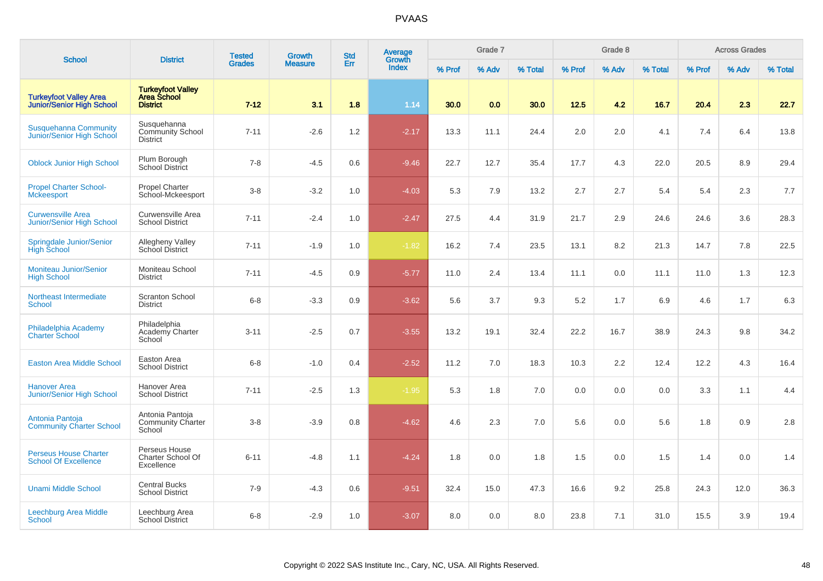| <b>School</b>                                                     | <b>District</b>                                                   | <b>Tested</b> | <b>Growth</b>  | <b>Std</b> | Average<br>Growth |        | Grade 7 |         |        | Grade 8 |         |        | <b>Across Grades</b> |         |
|-------------------------------------------------------------------|-------------------------------------------------------------------|---------------|----------------|------------|-------------------|--------|---------|---------|--------|---------|---------|--------|----------------------|---------|
|                                                                   |                                                                   | <b>Grades</b> | <b>Measure</b> | Err        | <b>Index</b>      | % Prof | % Adv   | % Total | % Prof | % Adv   | % Total | % Prof | % Adv                | % Total |
| <b>Turkeyfoot Valley Area</b><br><b>Junior/Senior High School</b> | <b>Turkeyfoot Valley</b><br><b>Area School</b><br><b>District</b> | $7 - 12$      | 3.1            | 1.8        | 1.14              | 30.0   | 0.0     | 30.0    | 12.5   | 4.2     | 16.7    | 20.4   | 2.3                  | 22.7    |
| <b>Susquehanna Community</b><br>Junior/Senior High School         | Susquehanna<br><b>Community School</b><br><b>District</b>         | $7 - 11$      | $-2.6$         | 1.2        | $-2.17$           | 13.3   | 11.1    | 24.4    | 2.0    | 2.0     | 4.1     | 7.4    | 6.4                  | 13.8    |
| <b>Oblock Junior High School</b>                                  | Plum Borough<br>School District                                   | $7 - 8$       | $-4.5$         | 0.6        | $-9.46$           | 22.7   | 12.7    | 35.4    | 17.7   | 4.3     | 22.0    | 20.5   | 8.9                  | 29.4    |
| <b>Propel Charter School-</b><br><b>Mckeesport</b>                | <b>Propel Charter</b><br>School-Mckeesport                        | $3 - 8$       | $-3.2$         | 1.0        | $-4.03$           | 5.3    | 7.9     | 13.2    | 2.7    | 2.7     | 5.4     | 5.4    | 2.3                  | 7.7     |
| <b>Curwensville Area</b><br>Junior/Senior High School             | Curwensville Area<br><b>School District</b>                       | $7 - 11$      | $-2.4$         | 1.0        | $-2.47$           | 27.5   | 4.4     | 31.9    | 21.7   | 2.9     | 24.6    | 24.6   | 3.6                  | 28.3    |
| Springdale Junior/Senior<br><b>High School</b>                    | <b>Allegheny Valley</b><br>School District                        | $7 - 11$      | $-1.9$         | 1.0        | $-1.82$           | 16.2   | 7.4     | 23.5    | 13.1   | 8.2     | 21.3    | 14.7   | 7.8                  | 22.5    |
| <b>Moniteau Junior/Senior</b><br><b>High School</b>               | Moniteau School<br><b>District</b>                                | $7 - 11$      | $-4.5$         | 0.9        | $-5.77$           | 11.0   | 2.4     | 13.4    | 11.1   | 0.0     | 11.1    | 11.0   | 1.3                  | 12.3    |
| Northeast Intermediate<br><b>School</b>                           | Scranton School<br><b>District</b>                                | $6 - 8$       | $-3.3$         | 0.9        | $-3.62$           | 5.6    | 3.7     | 9.3     | 5.2    | 1.7     | 6.9     | 4.6    | 1.7                  | 6.3     |
| Philadelphia Academy<br><b>Charter School</b>                     | Philadelphia<br>Academy Charter<br>School                         | $3 - 11$      | $-2.5$         | 0.7        | $-3.55$           | 13.2   | 19.1    | 32.4    | 22.2   | 16.7    | 38.9    | 24.3   | 9.8                  | 34.2    |
| <b>Easton Area Middle School</b>                                  | Easton Area<br><b>School District</b>                             | $6 - 8$       | $-1.0$         | 0.4        | $-2.52$           | 11.2   | 7.0     | 18.3    | 10.3   | 2.2     | 12.4    | 12.2   | 4.3                  | 16.4    |
| <b>Hanover Area</b><br>Junior/Senior High School                  | Hanover Area<br><b>School District</b>                            | $7 - 11$      | $-2.5$         | 1.3        | $-1.95$           | 5.3    | 1.8     | 7.0     | 0.0    | 0.0     | 0.0     | 3.3    | 1.1                  | 4.4     |
| Antonia Pantoja<br><b>Community Charter School</b>                | Antonia Pantoja<br>Community Charter<br>School                    | $3 - 8$       | $-3.9$         | 0.8        | $-4.62$           | 4.6    | 2.3     | 7.0     | 5.6    | 0.0     | 5.6     | 1.8    | 0.9                  | 2.8     |
| <b>Perseus House Charter</b><br><b>School Of Excellence</b>       | Perseus House<br>Charter School Of<br>Excellence                  | $6 - 11$      | $-4.8$         | 1.1        | $-4.24$           | 1.8    | 0.0     | 1.8     | 1.5    | 0.0     | 1.5     | 1.4    | 0.0                  | 1.4     |
| <b>Unami Middle School</b>                                        | <b>Central Bucks</b><br><b>School District</b>                    | $7 - 9$       | $-4.3$         | 0.6        | $-9.51$           | 32.4   | 15.0    | 47.3    | 16.6   | 9.2     | 25.8    | 24.3   | 12.0                 | 36.3    |
| Leechburg Area Middle<br><b>School</b>                            | Leechburg Area<br><b>School District</b>                          | $6 - 8$       | $-2.9$         | 1.0        | $-3.07$           | 8.0    | 0.0     | 8.0     | 23.8   | 7.1     | 31.0    | 15.5   | 3.9                  | 19.4    |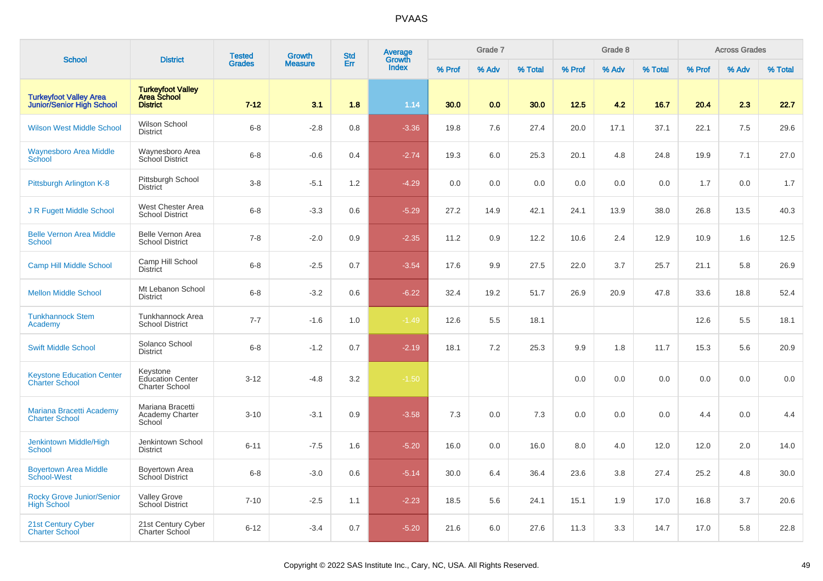|                                                            |                                                              | <b>Tested</b> | <b>Growth</b>  | <b>Std</b> | Average                |        | Grade 7 |         |        | Grade 8 |         |        | <b>Across Grades</b> |         |
|------------------------------------------------------------|--------------------------------------------------------------|---------------|----------------|------------|------------------------|--------|---------|---------|--------|---------|---------|--------|----------------------|---------|
| <b>School</b>                                              | <b>District</b>                                              | <b>Grades</b> | <b>Measure</b> | Err        | Growth<br><b>Index</b> | % Prof | % Adv   | % Total | % Prof | % Adv   | % Total | % Prof | % Adv                | % Total |
| <b>Turkeyfoot Valley Area</b><br>Junior/Senior High School | <b>Turkeyfoot Valley<br/>Area School</b><br><b>District</b>  | $7 - 12$      | 3.1            | 1.8        | 1.14                   | 30.0   | 0.0     | 30.0    | 12.5   | 4.2     | 16.7    | 20.4   | 2.3                  | 22.7    |
| <b>Wilson West Middle School</b>                           | Wilson School<br><b>District</b>                             | $6 - 8$       | $-2.8$         | 0.8        | $-3.36$                | 19.8   | 7.6     | 27.4    | 20.0   | 17.1    | 37.1    | 22.1   | 7.5                  | 29.6    |
| <b>Waynesboro Area Middle</b><br><b>School</b>             | Waynesboro Area<br><b>School District</b>                    | $6 - 8$       | $-0.6$         | 0.4        | $-2.74$                | 19.3   | 6.0     | 25.3    | 20.1   | 4.8     | 24.8    | 19.9   | 7.1                  | 27.0    |
| Pittsburgh Arlington K-8                                   | Pittsburgh School<br><b>District</b>                         | $3 - 8$       | $-5.1$         | 1.2        | $-4.29$                | 0.0    | 0.0     | 0.0     | 0.0    | 0.0     | 0.0     | 1.7    | 0.0                  | 1.7     |
| J R Fugett Middle School                                   | <b>West Chester Area</b><br><b>School District</b>           | $6 - 8$       | $-3.3$         | 0.6        | $-5.29$                | 27.2   | 14.9    | 42.1    | 24.1   | 13.9    | 38.0    | 26.8   | 13.5                 | 40.3    |
| <b>Belle Vernon Area Middle</b><br><b>School</b>           | Belle Vernon Area<br><b>School District</b>                  | $7 - 8$       | $-2.0$         | 0.9        | $-2.35$                | 11.2   | 0.9     | 12.2    | 10.6   | 2.4     | 12.9    | 10.9   | 1.6                  | 12.5    |
| <b>Camp Hill Middle School</b>                             | Camp Hill School<br><b>District</b>                          | $6 - 8$       | $-2.5$         | 0.7        | $-3.54$                | 17.6   | 9.9     | 27.5    | 22.0   | 3.7     | 25.7    | 21.1   | 5.8                  | 26.9    |
| <b>Mellon Middle School</b>                                | Mt Lebanon School<br><b>District</b>                         | $6 - 8$       | $-3.2$         | 0.6        | $-6.22$                | 32.4   | 19.2    | 51.7    | 26.9   | 20.9    | 47.8    | 33.6   | 18.8                 | 52.4    |
| <b>Tunkhannock Stem</b><br>Academy                         | Tunkhannock Area<br><b>School District</b>                   | $7 - 7$       | $-1.6$         | 1.0        | $-1.49$                | 12.6   | 5.5     | 18.1    |        |         |         | 12.6   | 5.5                  | 18.1    |
| <b>Swift Middle School</b>                                 | Solanco School<br><b>District</b>                            | $6 - 8$       | $-1.2$         | 0.7        | $-2.19$                | 18.1   | 7.2     | 25.3    | 9.9    | 1.8     | 11.7    | 15.3   | 5.6                  | 20.9    |
| <b>Keystone Education Center</b><br><b>Charter School</b>  | Keystone<br><b>Education Center</b><br><b>Charter School</b> | $3 - 12$      | $-4.8$         | 3.2        | $-1.50$                |        |         |         | 0.0    | 0.0     | 0.0     | 0.0    | 0.0                  | 0.0     |
| Mariana Bracetti Academy<br><b>Charter School</b>          | Mariana Bracetti<br>Academy Charter<br>School                | $3 - 10$      | $-3.1$         | 0.9        | $-3.58$                | 7.3    | 0.0     | 7.3     | 0.0    | 0.0     | 0.0     | 4.4    | 0.0                  | 4.4     |
| Jenkintown Middle/High<br><b>School</b>                    | Jenkintown School<br><b>District</b>                         | $6 - 11$      | $-7.5$         | 1.6        | $-5.20$                | 16.0   | 0.0     | 16.0    | 8.0    | 4.0     | 12.0    | 12.0   | 2.0                  | 14.0    |
| <b>Boyertown Area Middle</b><br>School-West                | Boyertown Area<br>School District                            | $6 - 8$       | $-3.0$         | 0.6        | $-5.14$                | 30.0   | 6.4     | 36.4    | 23.6   | 3.8     | 27.4    | 25.2   | 4.8                  | 30.0    |
| <b>Rocky Grove Junior/Senior</b><br><b>High School</b>     | <b>Valley Grove</b><br><b>School District</b>                | $7 - 10$      | $-2.5$         | 1.1        | $-2.23$                | 18.5   | 5.6     | 24.1    | 15.1   | 1.9     | 17.0    | 16.8   | 3.7                  | 20.6    |
| <b>21st Century Cyber</b><br><b>Charter School</b>         | 21st Century Cyber<br><b>Charter School</b>                  | $6 - 12$      | $-3.4$         | 0.7        | $-5.20$                | 21.6   | 6.0     | 27.6    | 11.3   | 3.3     | 14.7    | 17.0   | 5.8                  | 22.8    |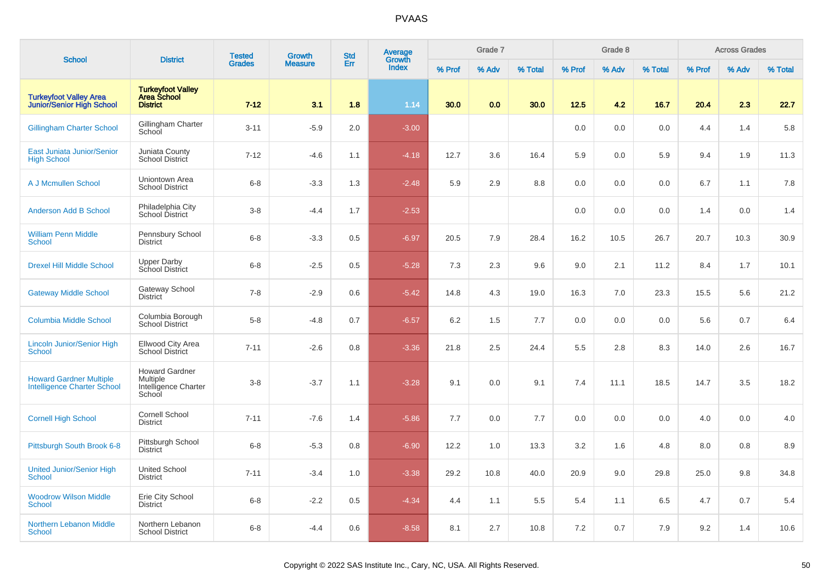| <b>School</b>                                                        | <b>District</b>                                                     | <b>Tested</b> | <b>Growth</b>  | <b>Std</b> | Average<br>Growth |        | Grade 7 |         |        | Grade 8 |         |        | <b>Across Grades</b> |         |
|----------------------------------------------------------------------|---------------------------------------------------------------------|---------------|----------------|------------|-------------------|--------|---------|---------|--------|---------|---------|--------|----------------------|---------|
|                                                                      |                                                                     | <b>Grades</b> | <b>Measure</b> | Err        | <b>Index</b>      | % Prof | % Adv   | % Total | % Prof | % Adv   | % Total | % Prof | % Adv                | % Total |
| <b>Turkeyfoot Valley Area</b><br><b>Junior/Senior High School</b>    | <b>Turkeyfoot Valley<br/>Area School</b><br><b>District</b>         | $7 - 12$      | 3.1            | 1.8        | 1.14              | 30.0   | 0.0     | 30.0    | 12.5   | 4.2     | 16.7    | 20.4   | 2.3                  | 22.7    |
| <b>Gillingham Charter School</b>                                     | Gillingham Charter<br>School                                        | $3 - 11$      | $-5.9$         | 2.0        | $-3.00$           |        |         |         | 0.0    | 0.0     | 0.0     | 4.4    | 1.4                  | 5.8     |
| East Juniata Junior/Senior<br><b>High School</b>                     | Juniata County<br>School District                                   | $7 - 12$      | $-4.6$         | 1.1        | $-4.18$           | 12.7   | 3.6     | 16.4    | 5.9    | 0.0     | 5.9     | 9.4    | 1.9                  | 11.3    |
| A J Mcmullen School                                                  | Uniontown Area<br><b>School District</b>                            | $6 - 8$       | $-3.3$         | 1.3        | $-2.48$           | 5.9    | 2.9     | 8.8     | 0.0    | 0.0     | 0.0     | 6.7    | 1.1                  | 7.8     |
| <b>Anderson Add B School</b>                                         | Philadelphia City<br>School District                                | $3 - 8$       | $-4.4$         | 1.7        | $-2.53$           |        |         |         | 0.0    | 0.0     | 0.0     | 1.4    | 0.0                  | 1.4     |
| <b>William Penn Middle</b><br><b>School</b>                          | Pennsbury School<br><b>District</b>                                 | $6 - 8$       | $-3.3$         | 0.5        | $-6.97$           | 20.5   | 7.9     | 28.4    | 16.2   | 10.5    | 26.7    | 20.7   | 10.3                 | 30.9    |
| <b>Drexel Hill Middle School</b>                                     | Upper Darby<br>School District                                      | $6 - 8$       | $-2.5$         | 0.5        | $-5.28$           | 7.3    | 2.3     | 9.6     | 9.0    | 2.1     | 11.2    | 8.4    | 1.7                  | 10.1    |
| <b>Gateway Middle School</b>                                         | Gateway School<br><b>District</b>                                   | $7 - 8$       | $-2.9$         | 0.6        | $-5.42$           | 14.8   | 4.3     | 19.0    | 16.3   | 7.0     | 23.3    | 15.5   | 5.6                  | 21.2    |
| <b>Columbia Middle School</b>                                        | Columbia Borough<br><b>School District</b>                          | $5 - 8$       | $-4.8$         | 0.7        | $-6.57$           | 6.2    | 1.5     | 7.7     | 0.0    | 0.0     | 0.0     | 5.6    | 0.7                  | 6.4     |
| <b>Lincoln Junior/Senior High</b><br><b>School</b>                   | Ellwood City Area<br><b>School District</b>                         | $7 - 11$      | $-2.6$         | 0.8        | $-3.36$           | 21.8   | 2.5     | 24.4    | 5.5    | 2.8     | 8.3     | 14.0   | 2.6                  | 16.7    |
| <b>Howard Gardner Multiple</b><br><b>Intelligence Charter School</b> | <b>Howard Gardner</b><br>Multiple<br>Intelligence Charter<br>School | $3 - 8$       | $-3.7$         | 1.1        | $-3.28$           | 9.1    | 0.0     | 9.1     | 7.4    | 11.1    | 18.5    | 14.7   | 3.5                  | 18.2    |
| <b>Cornell High School</b>                                           | Cornell School<br><b>District</b>                                   | $7 - 11$      | $-7.6$         | 1.4        | $-5.86$           | 7.7    | $0.0\,$ | 7.7     | 0.0    | 0.0     | 0.0     | 4.0    | 0.0                  | 4.0     |
| Pittsburgh South Brook 6-8                                           | Pittsburgh School<br><b>District</b>                                | $6 - 8$       | $-5.3$         | 0.8        | $-6.90$           | 12.2   | 1.0     | 13.3    | 3.2    | 1.6     | 4.8     | 8.0    | 0.8                  | 8.9     |
| <b>United Junior/Senior High</b><br><b>School</b>                    | <b>United School</b><br><b>District</b>                             | $7 - 11$      | $-3.4$         | 1.0        | $-3.38$           | 29.2   | 10.8    | 40.0    | 20.9   | 9.0     | 29.8    | 25.0   | 9.8                  | 34.8    |
| <b>Woodrow Wilson Middle</b><br><b>School</b>                        | Erie City School<br><b>District</b>                                 | $6 - 8$       | $-2.2$         | 0.5        | $-4.34$           | 4.4    | 1.1     | 5.5     | 5.4    | 1.1     | 6.5     | 4.7    | 0.7                  | 5.4     |
| <b>Northern Lebanon Middle</b><br><b>School</b>                      | Northern Lebanon<br><b>School District</b>                          | $6 - 8$       | -4.4           | 0.6        | $-8.58$           | 8.1    | 2.7     | 10.8    | 7.2    | 0.7     | 7.9     | 9.2    | 1.4                  | 10.6    |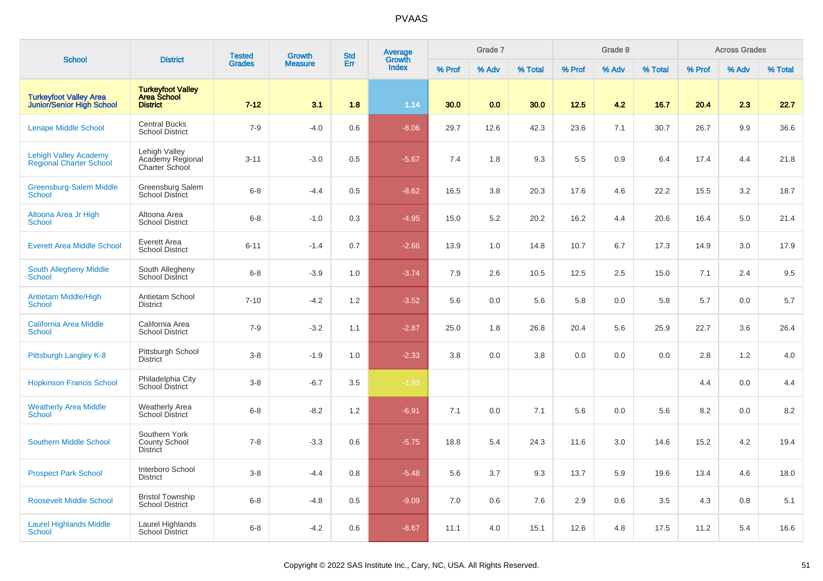| <b>School</b>                                                     | <b>District</b>                                                   | <b>Tested</b> | <b>Growth</b>  | <b>Std</b> | Average                |        | Grade 7 |         |        | Grade 8 |         |        | <b>Across Grades</b> |         |
|-------------------------------------------------------------------|-------------------------------------------------------------------|---------------|----------------|------------|------------------------|--------|---------|---------|--------|---------|---------|--------|----------------------|---------|
|                                                                   |                                                                   | <b>Grades</b> | <b>Measure</b> | Err        | Growth<br><b>Index</b> | % Prof | % Adv   | % Total | % Prof | % Adv   | % Total | % Prof | % Adv                | % Total |
| <b>Turkeyfoot Valley Area</b><br><b>Junior/Senior High School</b> | <b>Turkeyfoot Valley</b><br><b>Area School</b><br><b>District</b> | $7 - 12$      | 3.1            | 1.8        | 1.14                   | 30.0   | 0.0     | 30.0    | 12.5   | 4.2     | 16.7    | 20.4   | 2.3                  | 22.7    |
| <b>Lenape Middle School</b>                                       | <b>Central Bucks</b><br><b>School District</b>                    | $7-9$         | $-4.0$         | 0.6        | $-8.06$                | 29.7   | 12.6    | 42.3    | 23.6   | 7.1     | 30.7    | 26.7   | 9.9                  | 36.6    |
| <b>Lehigh Valley Academy</b><br><b>Regional Charter School</b>    | Lehigh Valley<br>Academy Regional<br>Charter School               | $3 - 11$      | $-3.0$         | 0.5        | $-5.67$                | 7.4    | 1.8     | 9.3     | 5.5    | 0.9     | 6.4     | 17.4   | 4.4                  | 21.8    |
| <b>Greensburg-Salem Middle</b><br><b>School</b>                   | Greensburg Salem<br><b>School District</b>                        | $6 - 8$       | $-4.4$         | 0.5        | $-8.62$                | 16.5   | 3.8     | 20.3    | 17.6   | 4.6     | 22.2    | 15.5   | 3.2                  | 18.7    |
| Altoona Area Jr High<br><b>School</b>                             | Altoona Area<br><b>School District</b>                            | $6 - 8$       | $-1.0$         | 0.3        | $-4.95$                | 15.0   | 5.2     | 20.2    | 16.2   | 4.4     | 20.6    | 16.4   | 5.0                  | 21.4    |
| <b>Everett Area Middle School</b>                                 | Everett Area<br><b>School District</b>                            | $6 - 11$      | $-1.4$         | 0.7        | $-2.66$                | 13.9   | 1.0     | 14.8    | 10.7   | 6.7     | 17.3    | 14.9   | 3.0                  | 17.9    |
| South Allegheny Middle<br><b>School</b>                           | South Allegheny<br>School District                                | $6 - 8$       | $-3.9$         | 1.0        | $-3.74$                | 7.9    | 2.6     | 10.5    | 12.5   | 2.5     | 15.0    | 7.1    | 2.4                  | 9.5     |
| Antietam Middle/High<br><b>School</b>                             | Antietam School<br><b>District</b>                                | $7 - 10$      | $-4.2$         | 1.2        | $-3.52$                | 5.6    | 0.0     | 5.6     | 5.8    | 0.0     | 5.8     | 5.7    | 0.0                  | $5.7\,$ |
| <b>California Area Middle</b><br><b>School</b>                    | California Area<br><b>School District</b>                         | $7 - 9$       | $-3.2$         | 1.1        | $-2.87$                | 25.0   | 1.8     | 26.8    | 20.4   | 5.6     | 25.9    | 22.7   | 3.6                  | 26.4    |
| Pittsburgh Langley K-8                                            | Pittsburgh School<br><b>District</b>                              | $3 - 8$       | $-1.9$         | 1.0        | $-2.33$                | 3.8    | 0.0     | 3.8     | 0.0    | 0.0     | 0.0     | 2.8    | 1.2                  | 4.0     |
| <b>Hopkinson Francis School</b>                                   | Philadelphia City<br>School District                              | $3 - 8$       | $-6.7$         | 3.5        | $-1.93$                |        |         |         |        |         |         | 4.4    | 0.0                  | 4.4     |
| <b>Weatherly Area Middle</b><br><b>School</b>                     | <b>Weatherly Area</b><br><b>School District</b>                   | $6 - 8$       | $-8.2$         | 1.2        | $-6.91$                | 7.1    | 0.0     | 7.1     | 5.6    | 0.0     | 5.6     | 8.2    | 0.0                  | 8.2     |
| <b>Southern Middle School</b>                                     | Southern York<br>County School<br>District                        | $7 - 8$       | $-3.3$         | 0.6        | $-5.75$                | 18.8   | 5.4     | 24.3    | 11.6   | 3.0     | 14.6    | 15.2   | 4.2                  | 19.4    |
| <b>Prospect Park School</b>                                       | Interboro School<br><b>District</b>                               | $3 - 8$       | $-4.4$         | 0.8        | $-5.48$                | 5.6    | 3.7     | 9.3     | 13.7   | 5.9     | 19.6    | 13.4   | 4.6                  | 18.0    |
| <b>Roosevelt Middle School</b>                                    | <b>Bristol Township</b><br><b>School District</b>                 | $6 - 8$       | $-4.8$         | 0.5        | $-9.09$                | 7.0    | 0.6     | 7.6     | 2.9    | 0.6     | 3.5     | 4.3    | 0.8                  | 5.1     |
| <b>Laurel Highlands Middle</b><br>School                          | Laurel Highlands<br><b>School District</b>                        | $6 - 8$       | $-4.2$         | 0.6        | $-8.67$                | 11.1   | 4.0     | 15.1    | 12.6   | 4.8     | 17.5    | 11.2   | 5.4                  | 16.6    |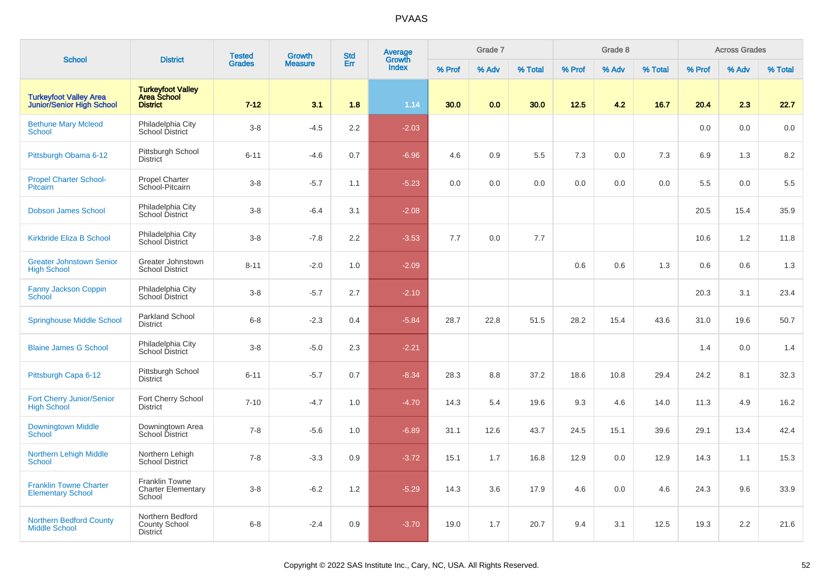| <b>School</b>                                              | <b>District</b>                                                   | <b>Tested</b> | <b>Growth</b>  | <b>Std</b> | <b>Average</b><br>Growth |        | Grade 7 |         |        | Grade 8 |         |        | <b>Across Grades</b> |         |
|------------------------------------------------------------|-------------------------------------------------------------------|---------------|----------------|------------|--------------------------|--------|---------|---------|--------|---------|---------|--------|----------------------|---------|
|                                                            |                                                                   | <b>Grades</b> | <b>Measure</b> | Err        | Index                    | % Prof | % Adv   | % Total | % Prof | % Adv   | % Total | % Prof | % Adv                | % Total |
| <b>Turkeyfoot Valley Area</b><br>Junior/Senior High School | <b>Turkeyfoot Valley</b><br><b>Area School</b><br><b>District</b> | $7 - 12$      | 3.1            | 1.8        | 1.14                     | 30.0   | 0.0     | 30.0    | 12.5   | 4.2     | 16.7    | 20.4   | 2.3                  | 22.7    |
| <b>Bethune Mary Mcleod</b><br><b>School</b>                | Philadelphia City<br>School District                              | $3 - 8$       | $-4.5$         | 2.2        | $-2.03$                  |        |         |         |        |         |         | 0.0    | 0.0                  | 0.0     |
| Pittsburgh Obama 6-12                                      | Pittsburgh School<br><b>District</b>                              | $6 - 11$      | $-4.6$         | 0.7        | $-6.96$                  | 4.6    | 0.9     | 5.5     | 7.3    | $0.0\,$ | 7.3     | 6.9    | 1.3                  | 8.2     |
| <b>Propel Charter School-</b><br>Pitcairn                  | <b>Propel Charter</b><br>School-Pitcairn                          | $3 - 8$       | $-5.7$         | 1.1        | $-5.23$                  | 0.0    | 0.0     | 0.0     | 0.0    | 0.0     | 0.0     | 5.5    | 0.0                  | 5.5     |
| <b>Dobson James School</b>                                 | Philadelphia City<br>School District                              | $3-8$         | $-6.4$         | 3.1        | $-2.08$                  |        |         |         |        |         |         | 20.5   | 15.4                 | 35.9    |
| Kirkbride Eliza B School                                   | Philadelphia City<br>School District                              | $3 - 8$       | $-7.8$         | 2.2        | $-3.53$                  | 7.7    | 0.0     | 7.7     |        |         |         | 10.6   | 1.2                  | 11.8    |
| <b>Greater Johnstown Senior</b><br><b>High School</b>      | Greater Johnstown<br><b>School District</b>                       | $8 - 11$      | $-2.0$         | 1.0        | $-2.09$                  |        |         |         | 0.6    | 0.6     | 1.3     | 0.6    | 0.6                  | 1.3     |
| <b>Fanny Jackson Coppin</b><br>School                      | Philadelphia City<br>School District                              | $3 - 8$       | $-5.7$         | 2.7        | $-2.10$                  |        |         |         |        |         |         | 20.3   | 3.1                  | 23.4    |
| <b>Springhouse Middle School</b>                           | Parkland School<br><b>District</b>                                | $6 - 8$       | $-2.3$         | 0.4        | $-5.84$                  | 28.7   | 22.8    | 51.5    | 28.2   | 15.4    | 43.6    | 31.0   | 19.6                 | 50.7    |
| <b>Blaine James G School</b>                               | Philadelphia City<br>School District                              | $3 - 8$       | $-5.0$         | 2.3        | $-2.21$                  |        |         |         |        |         |         | 1.4    | 0.0                  | 1.4     |
| Pittsburgh Capa 6-12                                       | Pittsburgh School<br><b>District</b>                              | $6 - 11$      | $-5.7$         | 0.7        | $-8.34$                  | 28.3   | 8.8     | 37.2    | 18.6   | 10.8    | 29.4    | 24.2   | 8.1                  | 32.3    |
| Fort Cherry Junior/Senior<br><b>High School</b>            | Fort Cherry School<br><b>District</b>                             | $7 - 10$      | $-4.7$         | 1.0        | $-4.70$                  | 14.3   | 5.4     | 19.6    | 9.3    | 4.6     | 14.0    | 11.3   | 4.9                  | 16.2    |
| Downingtown Middle<br><b>School</b>                        | Downingtown Area<br>School District                               | $7 - 8$       | $-5.6$         | 1.0        | $-6.89$                  | 31.1   | 12.6    | 43.7    | 24.5   | 15.1    | 39.6    | 29.1   | 13.4                 | 42.4    |
| <b>Northern Lehigh Middle</b><br><b>School</b>             | Northern Lehigh<br>School District                                | $7 - 8$       | $-3.3$         | 0.9        | $-3.72$                  | 15.1   | 1.7     | 16.8    | 12.9   | 0.0     | 12.9    | 14.3   | 1.1                  | 15.3    |
| <b>Franklin Towne Charter</b><br><b>Elementary School</b>  | <b>Franklin Towne</b><br><b>Charter Elementary</b><br>School      | $3 - 8$       | $-6.2$         | 1.2        | $-5.29$                  | 14.3   | 3.6     | 17.9    | 4.6    | 0.0     | 4.6     | 24.3   | 9.6                  | 33.9    |
| <b>Northern Bedford County</b><br><b>Middle School</b>     | Northern Bedford<br><b>County School</b><br><b>District</b>       | $6 - 8$       | $-2.4$         | 0.9        | $-3.70$                  | 19.0   | 1.7     | 20.7    | 9.4    | 3.1     | 12.5    | 19.3   | 2.2                  | 21.6    |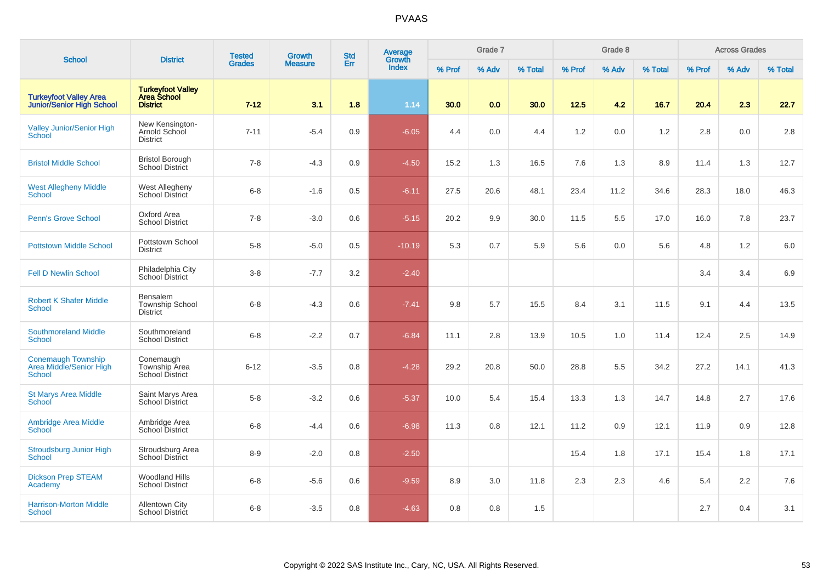| <b>School</b>                                                     | <b>District</b>                                                   | <b>Tested</b> | Growth         | <b>Std</b> | Average<br>Growth |        | Grade 7 |         |        | Grade 8 |         |        | <b>Across Grades</b> |         |
|-------------------------------------------------------------------|-------------------------------------------------------------------|---------------|----------------|------------|-------------------|--------|---------|---------|--------|---------|---------|--------|----------------------|---------|
|                                                                   |                                                                   | <b>Grades</b> | <b>Measure</b> | Err        | <b>Index</b>      | % Prof | % Adv   | % Total | % Prof | % Adv   | % Total | % Prof | % Adv                | % Total |
| <b>Turkeyfoot Valley Area</b><br><b>Junior/Senior High School</b> | <b>Turkeyfoot Valley</b><br><b>Area School</b><br><b>District</b> | $7 - 12$      | 3.1            | 1.8        | 1.14              | 30.0   | 0.0     | 30.0    | 12.5   | 4.2     | 16.7    | 20.4   | 2.3                  | 22.7    |
| <b>Valley Junior/Senior High</b><br><b>School</b>                 | New Kensington-<br>Arnold School<br><b>District</b>               | $7 - 11$      | $-5.4$         | 0.9        | $-6.05$           | 4.4    | 0.0     | 4.4     | 1.2    | 0.0     | 1.2     | 2.8    | 0.0                  | 2.8     |
| <b>Bristol Middle School</b>                                      | <b>Bristol Borough</b><br><b>School District</b>                  | $7 - 8$       | $-4.3$         | 0.9        | $-4.50$           | 15.2   | 1.3     | 16.5    | 7.6    | 1.3     | 8.9     | 11.4   | 1.3                  | 12.7    |
| <b>West Allegheny Middle</b><br><b>School</b>                     | West Allegheny<br>School District                                 | $6 - 8$       | $-1.6$         | 0.5        | $-6.11$           | 27.5   | 20.6    | 48.1    | 23.4   | 11.2    | 34.6    | 28.3   | 18.0                 | 46.3    |
| Penn's Grove School                                               | Oxford Area<br><b>School District</b>                             | $7 - 8$       | $-3.0$         | 0.6        | $-5.15$           | 20.2   | 9.9     | 30.0    | 11.5   | 5.5     | 17.0    | 16.0   | 7.8                  | 23.7    |
| <b>Pottstown Middle School</b>                                    | Pottstown School<br><b>District</b>                               | $5-8$         | $-5.0$         | 0.5        | $-10.19$          | 5.3    | 0.7     | 5.9     | 5.6    | 0.0     | 5.6     | 4.8    | 1.2                  | 6.0     |
| <b>Fell D Newlin School</b>                                       | Philadelphia City<br>School District                              | $3-8$         | $-7.7$         | 3.2        | $-2.40$           |        |         |         |        |         |         | 3.4    | 3.4                  | 6.9     |
| <b>Robert K Shafer Middle</b><br><b>School</b>                    | Bensalem<br><b>Township School</b><br><b>District</b>             | $6 - 8$       | $-4.3$         | 0.6        | $-7.41$           | 9.8    | 5.7     | 15.5    | 8.4    | 3.1     | 11.5    | 9.1    | 4.4                  | 13.5    |
| <b>Southmoreland Middle</b><br><b>School</b>                      | Southmoreland<br><b>School District</b>                           | $6 - 8$       | $-2.2$         | 0.7        | $-6.84$           | 11.1   | 2.8     | 13.9    | 10.5   | 1.0     | 11.4    | 12.4   | 2.5                  | 14.9    |
| Conemaugh Township<br>Area Middle/Senior High<br>School           | Conemaugh<br>Township Area<br><b>School District</b>              | $6 - 12$      | $-3.5$         | 0.8        | $-4.28$           | 29.2   | 20.8    | 50.0    | 28.8   | 5.5     | 34.2    | 27.2   | 14.1                 | 41.3    |
| <b>St Marys Area Middle</b><br>School                             | Saint Marys Area<br><b>School District</b>                        | $5-8$         | $-3.2$         | 0.6        | $-5.37$           | 10.0   | 5.4     | 15.4    | 13.3   | 1.3     | 14.7    | 14.8   | 2.7                  | 17.6    |
| Ambridge Area Middle<br><b>School</b>                             | Ambridge Area<br>School District                                  | $6 - 8$       | $-4.4$         | 0.6        | $-6.98$           | 11.3   | 0.8     | 12.1    | 11.2   | 0.9     | 12.1    | 11.9   | 0.9                  | 12.8    |
| <b>Stroudsburg Junior High</b><br><b>School</b>                   | Stroudsburg Area<br><b>School District</b>                        | $8-9$         | $-2.0$         | 0.8        | $-2.50$           |        |         |         | 15.4   | 1.8     | 17.1    | 15.4   | 1.8                  | 17.1    |
| <b>Dickson Prep STEAM</b><br>Academy                              | <b>Woodland Hills</b><br><b>School District</b>                   | $6 - 8$       | $-5.6$         | 0.6        | $-9.59$           | 8.9    | 3.0     | 11.8    | 2.3    | 2.3     | 4.6     | 5.4    | 2.2                  | 7.6     |
| <b>Harrison-Morton Middle</b><br>School                           | <b>Allentown City</b><br><b>School District</b>                   | $6 - 8$       | $-3.5$         | 0.8        | $-4.63$           | 0.8    | 0.8     | 1.5     |        |         |         | 2.7    | 0.4                  | 3.1     |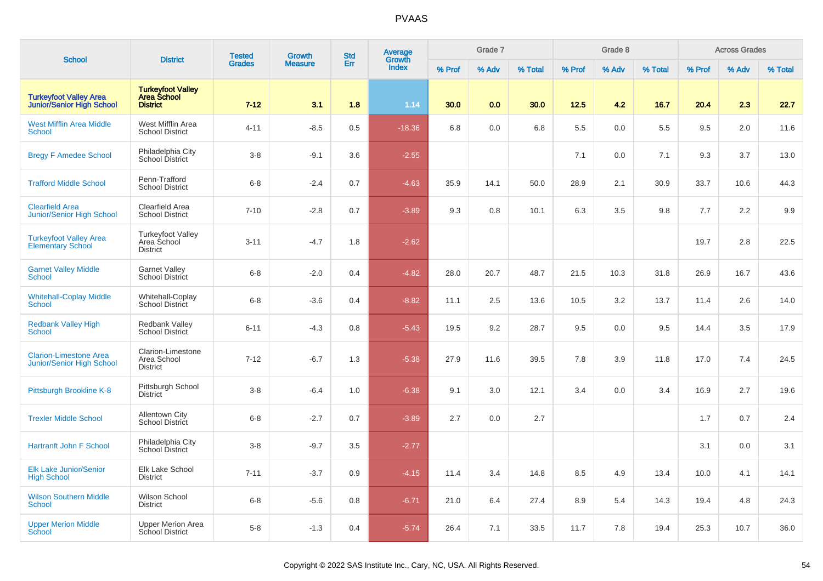| <b>School</b>                                                     | <b>District</b>                                             | <b>Tested</b> | Growth         | <b>Std</b> | <b>Average</b><br>Growth |        | Grade 7 |         |        | Grade 8 |         |        | <b>Across Grades</b> |         |
|-------------------------------------------------------------------|-------------------------------------------------------------|---------------|----------------|------------|--------------------------|--------|---------|---------|--------|---------|---------|--------|----------------------|---------|
|                                                                   |                                                             | <b>Grades</b> | <b>Measure</b> | Err        | <b>Index</b>             | % Prof | % Adv   | % Total | % Prof | % Adv   | % Total | % Prof | % Adv                | % Total |
| <b>Turkeyfoot Valley Area</b><br><b>Junior/Senior High School</b> | <b>Turkeyfoot Valley<br/>Area School</b><br><b>District</b> | $7 - 12$      | 3.1            | 1.8        | 1.14                     | 30.0   | 0.0     | 30.0    | 12.5   | 4.2     | 16.7    | 20.4   | 2.3                  | 22.7    |
| <b>West Mifflin Area Middle</b><br><b>School</b>                  | West Mifflin Area<br><b>School District</b>                 | $4 - 11$      | $-8.5$         | 0.5        | $-18.36$                 | 6.8    | 0.0     | 6.8     | 5.5    | 0.0     | 5.5     | 9.5    | 2.0                  | 11.6    |
| <b>Bregy F Amedee School</b>                                      | Philadelphia City<br>School District                        | $3-8$         | $-9.1$         | 3.6        | $-2.55$                  |        |         |         | 7.1    | 0.0     | 7.1     | 9.3    | 3.7                  | 13.0    |
| <b>Trafford Middle School</b>                                     | Penn-Trafford<br><b>School District</b>                     | $6 - 8$       | $-2.4$         | 0.7        | $-4.63$                  | 35.9   | 14.1    | 50.0    | 28.9   | 2.1     | 30.9    | 33.7   | 10.6                 | 44.3    |
| <b>Clearfield Area</b><br>Junior/Senior High School               | <b>Clearfield Area</b><br><b>School District</b>            | $7 - 10$      | $-2.8$         | 0.7        | $-3.89$                  | 9.3    | 0.8     | 10.1    | 6.3    | 3.5     | 9.8     | 7.7    | 2.2                  | 9.9     |
| <b>Turkeyfoot Valley Area</b><br><b>Elementary School</b>         | <b>Turkeyfoot Valley</b><br>Area School<br><b>District</b>  | $3 - 11$      | $-4.7$         | 1.8        | $-2.62$                  |        |         |         |        |         |         | 19.7   | 2.8                  | 22.5    |
| <b>Garnet Valley Middle</b><br><b>School</b>                      | <b>Garnet Valley</b><br>School District                     | $6 - 8$       | $-2.0$         | 0.4        | $-4.82$                  | 28.0   | 20.7    | 48.7    | 21.5   | 10.3    | 31.8    | 26.9   | 16.7                 | 43.6    |
| <b>Whitehall-Coplay Middle</b><br><b>School</b>                   | Whitehall-Coplay<br><b>School District</b>                  | $6 - 8$       | $-3.6$         | 0.4        | $-8.82$                  | 11.1   | 2.5     | 13.6    | 10.5   | 3.2     | 13.7    | 11.4   | 2.6                  | 14.0    |
| <b>Redbank Valley High</b><br><b>School</b>                       | <b>Redbank Valley</b><br><b>School District</b>             | $6 - 11$      | $-4.3$         | 0.8        | $-5.43$                  | 19.5   | 9.2     | 28.7    | 9.5    | 0.0     | 9.5     | 14.4   | 3.5                  | 17.9    |
| <b>Clarion-Limestone Area</b><br><b>Junior/Senior High School</b> | Clarion-Limestone<br>Area School<br><b>District</b>         | $7 - 12$      | $-6.7$         | 1.3        | $-5.38$                  | 27.9   | 11.6    | 39.5    | 7.8    | 3.9     | 11.8    | 17.0   | 7.4                  | 24.5    |
| Pittsburgh Brookline K-8                                          | Pittsburgh School<br><b>District</b>                        | $3 - 8$       | $-6.4$         | 1.0        | $-6.38$                  | 9.1    | 3.0     | 12.1    | 3.4    | 0.0     | 3.4     | 16.9   | 2.7                  | 19.6    |
| <b>Trexler Middle School</b>                                      | <b>Allentown City</b><br>School District                    | $6 - 8$       | $-2.7$         | 0.7        | $-3.89$                  | 2.7    | 0.0     | 2.7     |        |         |         | 1.7    | 0.7                  | 2.4     |
| <b>Hartranft John F School</b>                                    | Philadelphia City<br>School District                        | $3-8$         | $-9.7$         | 3.5        | $-2.77$                  |        |         |         |        |         |         | 3.1    | 0.0                  | 3.1     |
| <b>Elk Lake Junior/Senior</b><br><b>High School</b>               | Elk Lake School<br><b>District</b>                          | $7 - 11$      | $-3.7$         | 0.9        | $-4.15$                  | 11.4   | 3.4     | 14.8    | 8.5    | 4.9     | 13.4    | 10.0   | 4.1                  | 14.1    |
| <b>Wilson Southern Middle</b><br><b>School</b>                    | Wilson School<br><b>District</b>                            | $6 - 8$       | $-5.6$         | 0.8        | $-6.71$                  | 21.0   | 6.4     | 27.4    | 8.9    | 5.4     | 14.3    | 19.4   | 4.8                  | 24.3    |
| <b>Upper Merion Middle</b><br>School                              | <b>Upper Merion Area</b><br><b>School District</b>          | $5 - 8$       | $-1.3$         | 0.4        | $-5.74$                  | 26.4   | 7.1     | 33.5    | 11.7   | 7.8     | 19.4    | 25.3   | 10.7                 | 36.0    |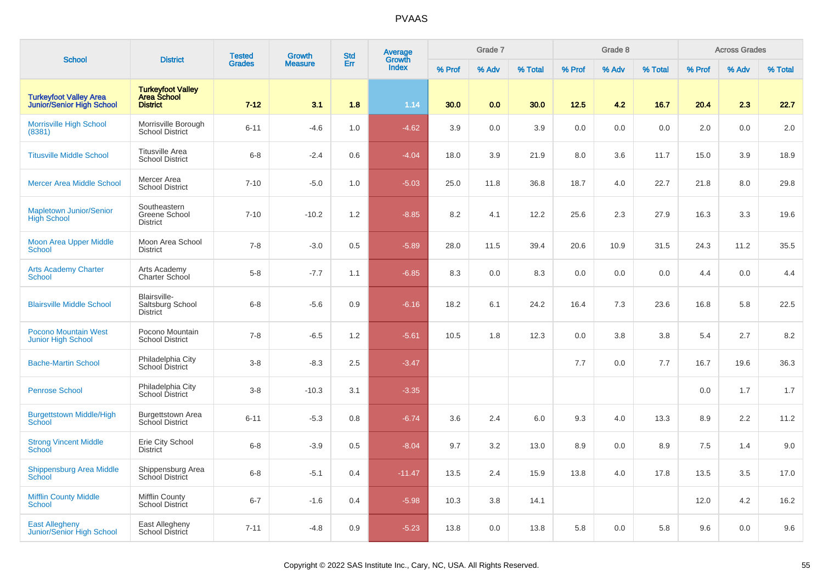|                                                            |                                                             | <b>Tested</b> | <b>Growth</b>  | <b>Std</b> | <b>Average</b>         |        | Grade 7 |         |        | Grade 8 |         |        | <b>Across Grades</b> |         |
|------------------------------------------------------------|-------------------------------------------------------------|---------------|----------------|------------|------------------------|--------|---------|---------|--------|---------|---------|--------|----------------------|---------|
| <b>School</b>                                              | <b>District</b>                                             | <b>Grades</b> | <b>Measure</b> | Err        | Growth<br><b>Index</b> | % Prof | % Adv   | % Total | % Prof | % Adv   | % Total | % Prof | % Adv                | % Total |
| <b>Turkeyfoot Valley Area</b><br>Junior/Senior High School | <b>Turkeyfoot Valley<br/>Area School</b><br><b>District</b> | $7 - 12$      | 3.1            | 1.8        | 1.14                   | 30.0   | 0.0     | 30.0    | 12.5   | 4.2     | 16.7    | 20.4   | 2.3                  | 22.7    |
| <b>Morrisville High School</b><br>(8381)                   | Morrisville Borough<br><b>School District</b>               | $6 - 11$      | $-4.6$         | 1.0        | $-4.62$                | 3.9    | 0.0     | 3.9     | 0.0    | 0.0     | 0.0     | 2.0    | 0.0                  | 2.0     |
| <b>Titusville Middle School</b>                            | <b>Titusville Area</b><br><b>School District</b>            | $6 - 8$       | $-2.4$         | 0.6        | $-4.04$                | 18.0   | 3.9     | 21.9    | 8.0    | 3.6     | 11.7    | 15.0   | 3.9                  | 18.9    |
| <b>Mercer Area Middle School</b>                           | Mercer Area<br><b>School District</b>                       | $7 - 10$      | $-5.0$         | 1.0        | $-5.03$                | 25.0   | 11.8    | 36.8    | 18.7   | 4.0     | 22.7    | 21.8   | 8.0                  | 29.8    |
| <b>Mapletown Junior/Senior</b><br><b>High School</b>       | Southeastern<br>Greene School<br><b>District</b>            | $7 - 10$      | $-10.2$        | 1.2        | $-8.85$                | 8.2    | 4.1     | 12.2    | 25.6   | 2.3     | 27.9    | 16.3   | 3.3                  | 19.6    |
| <b>Moon Area Upper Middle</b><br>School                    | Moon Area School<br><b>District</b>                         | $7 - 8$       | $-3.0$         | 0.5        | $-5.89$                | 28.0   | 11.5    | 39.4    | 20.6   | 10.9    | 31.5    | 24.3   | 11.2                 | 35.5    |
| <b>Arts Academy Charter</b><br><b>School</b>               | Arts Academy<br>Charter School                              | $5 - 8$       | $-7.7$         | 1.1        | $-6.85$                | 8.3    | 0.0     | 8.3     | 0.0    | 0.0     | 0.0     | 4.4    | 0.0                  | 4.4     |
| <b>Blairsville Middle School</b>                           | Blairsville-<br>Saltsburg School<br><b>District</b>         | $6 - 8$       | $-5.6$         | 0.9        | $-6.16$                | 18.2   | 6.1     | 24.2    | 16.4   | 7.3     | 23.6    | 16.8   | 5.8                  | 22.5    |
| <b>Pocono Mountain West</b><br><b>Junior High School</b>   | Pocono Mountain<br><b>School District</b>                   | $7 - 8$       | $-6.5$         | 1.2        | $-5.61$                | 10.5   | 1.8     | 12.3    | 0.0    | 3.8     | 3.8     | 5.4    | 2.7                  | 8.2     |
| <b>Bache-Martin School</b>                                 | Philadelphia City<br>School District                        | $3 - 8$       | $-8.3$         | 2.5        | $-3.47$                |        |         |         | 7.7    | 0.0     | 7.7     | 16.7   | 19.6                 | 36.3    |
| <b>Penrose School</b>                                      | Philadelphia City<br>School District                        | $3 - 8$       | $-10.3$        | 3.1        | $-3.35$                |        |         |         |        |         |         | 0.0    | 1.7                  | 1.7     |
| <b>Burgettstown Middle/High</b><br>School                  | <b>Burgettstown Area</b><br>School District                 | $6 - 11$      | $-5.3$         | 0.8        | $-6.74$                | 3.6    | 2.4     | 6.0     | 9.3    | 4.0     | 13.3    | 8.9    | 2.2                  | 11.2    |
| <b>Strong Vincent Middle</b><br>School                     | Erie City School<br><b>District</b>                         | $6 - 8$       | $-3.9$         | 0.5        | $-8.04$                | 9.7    | 3.2     | 13.0    | 8.9    | 0.0     | 8.9     | 7.5    | 1.4                  | 9.0     |
| Shippensburg Area Middle<br><b>School</b>                  | Shippensburg Area<br>School District                        | $6 - 8$       | $-5.1$         | 0.4        | $-11.47$               | 13.5   | 2.4     | 15.9    | 13.8   | 4.0     | 17.8    | 13.5   | 3.5                  | 17.0    |
| <b>Mifflin County Middle</b><br><b>School</b>              | <b>Mifflin County</b><br><b>School District</b>             | $6 - 7$       | $-1.6$         | 0.4        | $-5.98$                | 10.3   | 3.8     | 14.1    |        |         |         | 12.0   | 4.2                  | 16.2    |
| <b>East Allegheny</b><br>Junior/Senior High School         | East Allegheny<br>School District                           | $7 - 11$      | $-4.8$         | 0.9        | $-5.23$                | 13.8   | 0.0     | 13.8    | 5.8    | 0.0     | 5.8     | 9.6    | 0.0                  | 9.6     |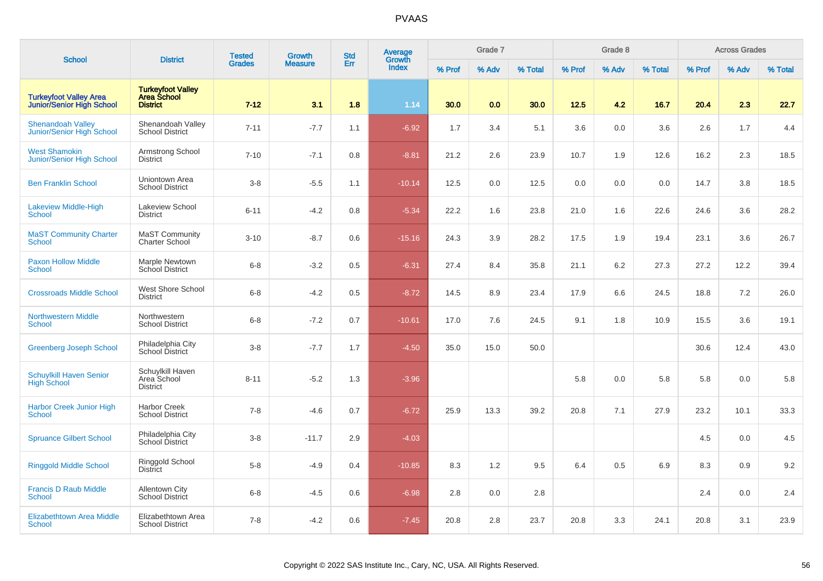| <b>School</b>                                                     | <b>District</b>                                     | <b>Tested</b> | <b>Growth</b>  | <b>Std</b> | <b>Average</b><br>Growth |        | Grade 7 |         |        | Grade 8 |         |        | <b>Across Grades</b> |         |
|-------------------------------------------------------------------|-----------------------------------------------------|---------------|----------------|------------|--------------------------|--------|---------|---------|--------|---------|---------|--------|----------------------|---------|
|                                                                   |                                                     | <b>Grades</b> | <b>Measure</b> | Err        | <b>Index</b>             | % Prof | % Adv   | % Total | % Prof | % Adv   | % Total | % Prof | % Adv                | % Total |
| <b>Turkeyfoot Valley Area</b><br><b>Junior/Senior High School</b> | Turkeyfoot Valley<br>Area School<br><b>District</b> | $7 - 12$      | 3.1            | 1.8        | 1.14                     | 30.0   | 0.0     | 30.0    | 12.5   | 4.2     | 16.7    | 20.4   | 2.3                  | 22.7    |
| <b>Shenandoah Valley</b><br><b>Junior/Senior High School</b>      | Shenandoah Valley<br><b>School District</b>         | $7 - 11$      | $-7.7$         | 1.1        | $-6.92$                  | 1.7    | 3.4     | 5.1     | 3.6    | 0.0     | 3.6     | 2.6    | 1.7                  | 4.4     |
| <b>West Shamokin</b><br>Junior/Senior High School                 | Armstrong School<br><b>District</b>                 | $7 - 10$      | $-7.1$         | 0.8        | $-8.81$                  | 21.2   | 2.6     | 23.9    | 10.7   | 1.9     | 12.6    | 16.2   | 2.3                  | 18.5    |
| <b>Ben Franklin School</b>                                        | Uniontown Area<br><b>School District</b>            | $3-8$         | $-5.5$         | 1.1        | $-10.14$                 | 12.5   | 0.0     | 12.5    | 0.0    | 0.0     | 0.0     | 14.7   | 3.8                  | 18.5    |
| <b>Lakeview Middle-High</b><br><b>School</b>                      | Lakeview School<br><b>District</b>                  | $6 - 11$      | $-4.2$         | 0.8        | $-5.34$                  | 22.2   | 1.6     | 23.8    | 21.0   | 1.6     | 22.6    | 24.6   | 3.6                  | 28.2    |
| <b>MaST Community Charter</b><br><b>School</b>                    | <b>MaST Community</b><br><b>Charter School</b>      | $3 - 10$      | $-8.7$         | 0.6        | $-15.16$                 | 24.3   | 3.9     | 28.2    | 17.5   | 1.9     | 19.4    | 23.1   | 3.6                  | 26.7    |
| <b>Paxon Hollow Middle</b><br><b>School</b>                       | Marple Newtown<br>School District                   | $6 - 8$       | $-3.2$         | 0.5        | $-6.31$                  | 27.4   | 8.4     | 35.8    | 21.1   | 6.2     | 27.3    | 27.2   | 12.2                 | 39.4    |
| <b>Crossroads Middle School</b>                                   | West Shore School<br><b>District</b>                | $6 - 8$       | $-4.2$         | 0.5        | $-8.72$                  | 14.5   | 8.9     | 23.4    | 17.9   | 6.6     | 24.5    | 18.8   | 7.2                  | 26.0    |
| <b>Northwestern Middle</b><br>School                              | Northwestern<br><b>School District</b>              | $6 - 8$       | $-7.2$         | 0.7        | $-10.61$                 | 17.0   | 7.6     | 24.5    | 9.1    | 1.8     | 10.9    | 15.5   | 3.6                  | 19.1    |
| <b>Greenberg Joseph School</b>                                    | Philadelphia City<br>School District                | $3-8$         | $-7.7$         | 1.7        | $-4.50$                  | 35.0   | 15.0    | 50.0    |        |         |         | 30.6   | 12.4                 | 43.0    |
| <b>Schuylkill Haven Senior</b><br><b>High School</b>              | Schuylkill Haven<br>Area School<br><b>District</b>  | $8 - 11$      | $-5.2$         | 1.3        | $-3.96$                  |        |         |         | 5.8    | 0.0     | 5.8     | 5.8    | 0.0                  | 5.8     |
| <b>Harbor Creek Junior High</b><br><b>School</b>                  | <b>Harbor Creek</b><br><b>School District</b>       | $7 - 8$       | $-4.6$         | 0.7        | $-6.72$                  | 25.9   | 13.3    | 39.2    | 20.8   | 7.1     | 27.9    | 23.2   | 10.1                 | 33.3    |
| <b>Spruance Gilbert School</b>                                    | Philadelphia City<br>School District                | $3-8$         | $-11.7$        | 2.9        | $-4.03$                  |        |         |         |        |         |         | 4.5    | 0.0                  | 4.5     |
| <b>Ringgold Middle School</b>                                     | Ringgold School<br><b>District</b>                  | $5-8$         | $-4.9$         | 0.4        | $-10.85$                 | 8.3    | 1.2     | 9.5     | 6.4    | 0.5     | 6.9     | 8.3    | 0.9                  | 9.2     |
| <b>Francis D Raub Middle</b><br>School                            | Allentown City<br><b>School District</b>            | $6 - 8$       | $-4.5$         | 0.6        | $-6.98$                  | 2.8    | 0.0     | 2.8     |        |         |         | 2.4    | 0.0                  | 2.4     |
| Elizabethtown Area Middle<br><b>School</b>                        | Elizabethtown Area<br><b>School District</b>        | $7 - 8$       | $-4.2$         | 0.6        | $-7.45$                  | 20.8   | 2.8     | 23.7    | 20.8   | 3.3     | 24.1    | 20.8   | 3.1                  | 23.9    |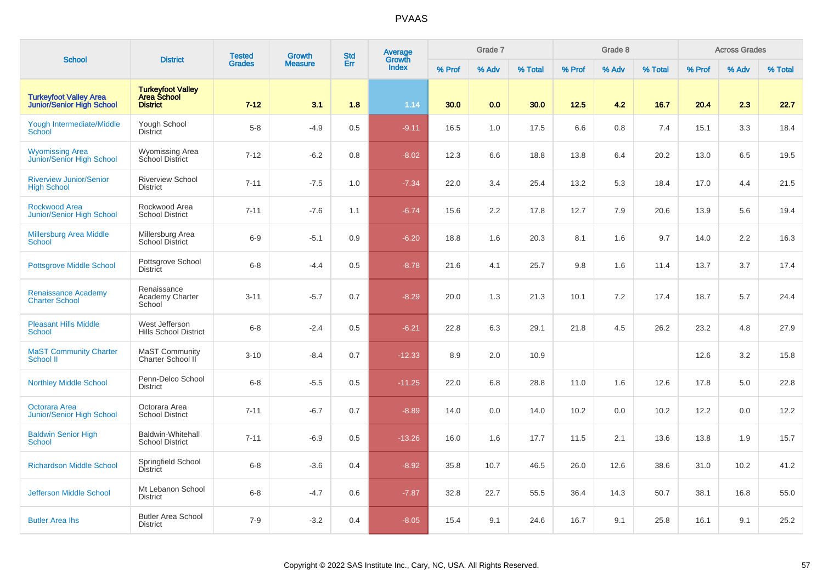| <b>School</b>                                                     | <b>District</b>                                                   | <b>Tested</b> | <b>Growth</b>  | <b>Std</b> | <b>Average</b><br>Growth |        | Grade 7 |         |        | Grade 8 |         |        | <b>Across Grades</b> |         |
|-------------------------------------------------------------------|-------------------------------------------------------------------|---------------|----------------|------------|--------------------------|--------|---------|---------|--------|---------|---------|--------|----------------------|---------|
|                                                                   |                                                                   | <b>Grades</b> | <b>Measure</b> | Err        | <b>Index</b>             | % Prof | % Adv   | % Total | % Prof | % Adv   | % Total | % Prof | % Adv                | % Total |
| <b>Turkeyfoot Valley Area</b><br><b>Junior/Senior High School</b> | <b>Turkeyfoot Valley</b><br><b>Area School</b><br><b>District</b> | $7 - 12$      | 3.1            | 1.8        | 1.14                     | 30.0   | 0.0     | 30.0    | 12.5   | 4.2     | 16.7    | 20.4   | 2.3                  | 22.7    |
| Yough Intermediate/Middle<br>School                               | Yough School<br><b>District</b>                                   | $5-8$         | $-4.9$         | 0.5        | $-9.11$                  | 16.5   | 1.0     | 17.5    | 6.6    | 0.8     | 7.4     | 15.1   | 3.3                  | 18.4    |
| <b>Wyomissing Area</b><br>Junior/Senior High School               | <b>Wyomissing Area</b><br>School District                         | $7 - 12$      | $-6.2$         | 0.8        | $-8.02$                  | 12.3   | 6.6     | 18.8    | 13.8   | 6.4     | 20.2    | 13.0   | 6.5                  | 19.5    |
| <b>Riverview Junior/Senior</b><br><b>High School</b>              | <b>Riverview School</b><br><b>District</b>                        | $7 - 11$      | $-7.5$         | 1.0        | $-7.34$                  | 22.0   | 3.4     | 25.4    | 13.2   | 5.3     | 18.4    | 17.0   | 4.4                  | 21.5    |
| <b>Rockwood Area</b><br><b>Junior/Senior High School</b>          | Rockwood Area<br><b>School District</b>                           | $7 - 11$      | $-7.6$         | 1.1        | $-6.74$                  | 15.6   | 2.2     | 17.8    | 12.7   | 7.9     | 20.6    | 13.9   | 5.6                  | 19.4    |
| <b>Millersburg Area Middle</b><br><b>School</b>                   | Millersburg Area<br><b>School District</b>                        | $6-9$         | $-5.1$         | 0.9        | $-6.20$                  | 18.8   | 1.6     | 20.3    | 8.1    | 1.6     | 9.7     | 14.0   | 2.2                  | 16.3    |
| <b>Pottsgrove Middle School</b>                                   | Pottsgrove School<br><b>District</b>                              | $6 - 8$       | $-4.4$         | 0.5        | $-8.78$                  | 21.6   | 4.1     | 25.7    | 9.8    | 1.6     | 11.4    | 13.7   | 3.7                  | 17.4    |
| <b>Renaissance Academy</b><br><b>Charter School</b>               | Renaissance<br>Academy Charter<br>School                          | $3 - 11$      | $-5.7$         | 0.7        | $-8.29$                  | 20.0   | 1.3     | 21.3    | 10.1   | 7.2     | 17.4    | 18.7   | 5.7                  | 24.4    |
| <b>Pleasant Hills Middle</b><br><b>School</b>                     | West Jefferson<br><b>Hills School District</b>                    | $6 - 8$       | $-2.4$         | 0.5        | $-6.21$                  | 22.8   | 6.3     | 29.1    | 21.8   | 4.5     | 26.2    | 23.2   | 4.8                  | 27.9    |
| <b>MaST Community Charter</b><br>School II                        | <b>MaST Community</b><br>Charter School II                        | $3 - 10$      | $-8.4$         | 0.7        | $-12.33$                 | 8.9    | 2.0     | 10.9    |        |         |         | 12.6   | 3.2                  | 15.8    |
| <b>Northley Middle School</b>                                     | Penn-Delco School<br><b>District</b>                              | $6 - 8$       | $-5.5$         | 0.5        | $-11.25$                 | 22.0   | 6.8     | 28.8    | 11.0   | 1.6     | 12.6    | 17.8   | 5.0                  | 22.8    |
| <b>Octorara Area</b><br>Junior/Senior High School                 | Octorara Area<br><b>School District</b>                           | $7 - 11$      | $-6.7$         | 0.7        | $-8.89$                  | 14.0   | 0.0     | 14.0    | 10.2   | 0.0     | 10.2    | 12.2   | 0.0                  | 12.2    |
| <b>Baldwin Senior High</b><br><b>School</b>                       | <b>Baldwin-Whitehall</b><br><b>School District</b>                | $7 - 11$      | $-6.9$         | 0.5        | $-13.26$                 | 16.0   | 1.6     | 17.7    | 11.5   | 2.1     | 13.6    | 13.8   | 1.9                  | 15.7    |
| <b>Richardson Middle School</b>                                   | Springfield School<br><b>District</b>                             | $6 - 8$       | $-3.6$         | 0.4        | $-8.92$                  | 35.8   | 10.7    | 46.5    | 26.0   | 12.6    | 38.6    | 31.0   | 10.2                 | 41.2    |
| Jefferson Middle School                                           | Mt Lebanon School<br><b>District</b>                              | $6 - 8$       | $-4.7$         | 0.6        | $-7.87$                  | 32.8   | 22.7    | 55.5    | 36.4   | 14.3    | 50.7    | 38.1   | 16.8                 | 55.0    |
| <b>Butler Area lhs</b>                                            | <b>Butler Area School</b><br><b>District</b>                      | $7-9$         | $-3.2$         | 0.4        | $-8.05$                  | 15.4   | 9.1     | 24.6    | 16.7   | 9.1     | 25.8    | 16.1   | 9.1                  | 25.2    |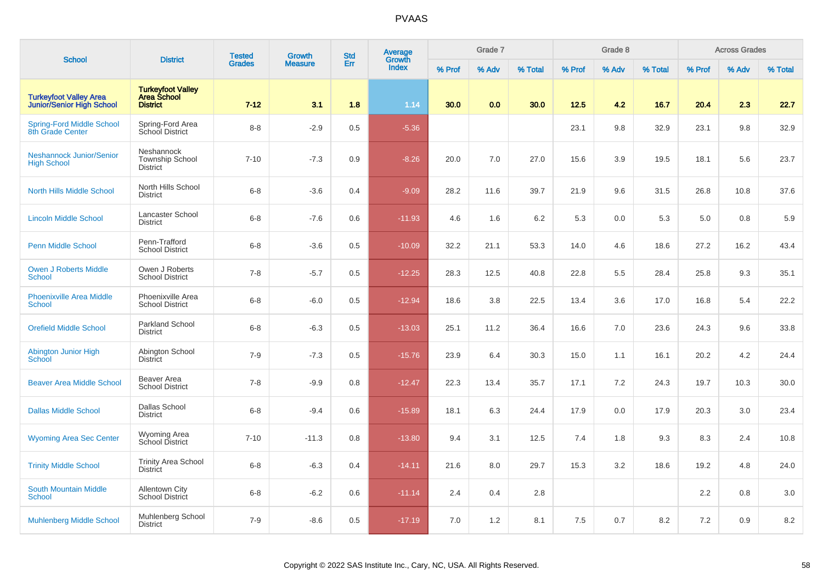| <b>School</b>                                                     | <b>District</b>                                            | <b>Tested</b> | <b>Growth</b>  | <b>Std</b> | Average<br>Growth |        | Grade 7 |         |        | Grade 8 |         |        | <b>Across Grades</b> |         |
|-------------------------------------------------------------------|------------------------------------------------------------|---------------|----------------|------------|-------------------|--------|---------|---------|--------|---------|---------|--------|----------------------|---------|
|                                                                   |                                                            | <b>Grades</b> | <b>Measure</b> | Err        | <b>Index</b>      | % Prof | % Adv   | % Total | % Prof | % Adv   | % Total | % Prof | % Adv                | % Total |
| <b>Turkeyfoot Valley Area</b><br><b>Junior/Senior High School</b> | <b>Turkeyfoot Valley</b><br>Area School<br><b>District</b> | $7 - 12$      | 3.1            | 1.8        | 1.14              | 30.0   | 0.0     | 30.0    | 12.5   | 4.2     | 16.7    | 20.4   | 2.3                  | 22.7    |
| <b>Spring-Ford Middle School</b><br>8th Grade Center              | Spring-Ford Area<br>School District                        | $8 - 8$       | $-2.9$         | 0.5        | $-5.36$           |        |         |         | 23.1   | 9.8     | 32.9    | 23.1   | 9.8                  | 32.9    |
| <b>Neshannock Junior/Senior</b><br><b>High School</b>             | Neshannock<br><b>Township School</b><br><b>District</b>    | $7 - 10$      | $-7.3$         | 0.9        | $-8.26$           | 20.0   | 7.0     | 27.0    | 15.6   | 3.9     | 19.5    | 18.1   | 5.6                  | 23.7    |
| <b>North Hills Middle School</b>                                  | North Hills School<br><b>District</b>                      | $6 - 8$       | $-3.6$         | 0.4        | $-9.09$           | 28.2   | 11.6    | 39.7    | 21.9   | 9.6     | 31.5    | 26.8   | 10.8                 | 37.6    |
| <b>Lincoln Middle School</b>                                      | Lancaster School<br><b>District</b>                        | $6 - 8$       | $-7.6$         | 0.6        | $-11.93$          | 4.6    | 1.6     | 6.2     | 5.3    | 0.0     | 5.3     | 5.0    | 0.8                  | 5.9     |
| <b>Penn Middle School</b>                                         | Penn-Trafford<br><b>School District</b>                    | $6 - 8$       | $-3.6$         | 0.5        | $-10.09$          | 32.2   | 21.1    | 53.3    | 14.0   | 4.6     | 18.6    | 27.2   | 16.2                 | 43.4    |
| <b>Owen J Roberts Middle</b><br><b>School</b>                     | Owen J Roberts<br><b>School District</b>                   | $7 - 8$       | $-5.7$         | 0.5        | $-12.25$          | 28.3   | 12.5    | 40.8    | 22.8   | 5.5     | 28.4    | 25.8   | 9.3                  | 35.1    |
| <b>Phoenixville Area Middle</b><br><b>School</b>                  | Phoenixville Area<br><b>School District</b>                | $6 - 8$       | $-6.0$         | 0.5        | $-12.94$          | 18.6   | 3.8     | 22.5    | 13.4   | 3.6     | 17.0    | 16.8   | 5.4                  | 22.2    |
| <b>Orefield Middle School</b>                                     | Parkland School<br><b>District</b>                         | $6-8$         | $-6.3$         | 0.5        | $-13.03$          | 25.1   | 11.2    | 36.4    | 16.6   | 7.0     | 23.6    | 24.3   | 9.6                  | 33.8    |
| Abington Junior High<br><b>School</b>                             | Abington School<br><b>District</b>                         | $7 - 9$       | $-7.3$         | 0.5        | $-15.76$          | 23.9   | 6.4     | 30.3    | 15.0   | 1.1     | 16.1    | 20.2   | 4.2                  | 24.4    |
| <b>Beaver Area Middle School</b>                                  | Beaver Area<br><b>School District</b>                      | $7 - 8$       | $-9.9$         | 0.8        | $-12.47$          | 22.3   | 13.4    | 35.7    | 17.1   | 7.2     | 24.3    | 19.7   | 10.3                 | 30.0    |
| <b>Dallas Middle School</b>                                       | Dallas School<br><b>District</b>                           | $6 - 8$       | $-9.4$         | 0.6        | $-15.89$          | 18.1   | 6.3     | 24.4    | 17.9   | 0.0     | 17.9    | 20.3   | 3.0                  | 23.4    |
| <b>Wyoming Area Sec Center</b>                                    | Wyoming Area<br>School District                            | $7 - 10$      | $-11.3$        | 0.8        | $-13.80$          | 9.4    | 3.1     | 12.5    | 7.4    | 1.8     | 9.3     | 8.3    | 2.4                  | 10.8    |
| <b>Trinity Middle School</b>                                      | <b>Trinity Area School</b><br><b>District</b>              | $6 - 8$       | $-6.3$         | 0.4        | $-14.11$          | 21.6   | 8.0     | 29.7    | 15.3   | 3.2     | 18.6    | 19.2   | 4.8                  | 24.0    |
| <b>South Mountain Middle</b><br><b>School</b>                     | <b>Allentown City</b><br>School District                   | $6 - 8$       | $-6.2$         | 0.6        | $-11.14$          | 2.4    | 0.4     | 2.8     |        |         |         | 2.2    | 0.8                  | 3.0     |
| <b>Muhlenberg Middle School</b>                                   | Muhlenberg School<br><b>District</b>                       | $7 - 9$       | $-8.6$         | 0.5        | $-17.19$          | 7.0    | 1.2     | 8.1     | 7.5    | 0.7     | 8.2     | 7.2    | 0.9                  | 8.2     |